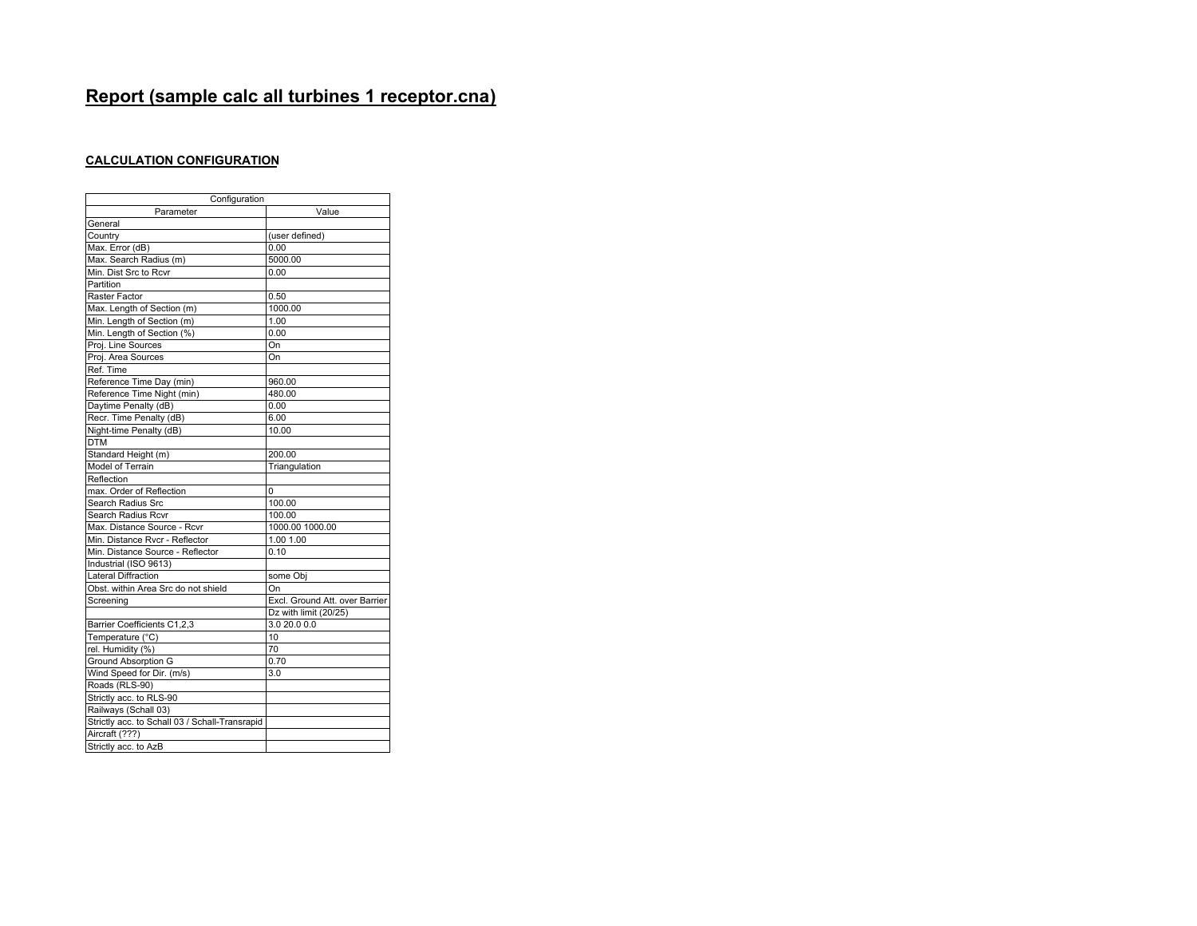# **Report (sample calc all turbines 1 receptor.cna)**

## **CALCULATION CONFIGURATION**

| Configuration                                  |                                |
|------------------------------------------------|--------------------------------|
| Parameter                                      | Value                          |
| General                                        |                                |
| Country                                        | (user defined)                 |
| Max. Error (dB)                                | 0.00                           |
| Max. Search Radius (m)                         | 5000.00                        |
| Min. Dist Src to Rcvr                          | 0.00                           |
| Partition                                      |                                |
| Raster Factor                                  | 0.50                           |
| Max. Length of Section (m)                     | 1000.00                        |
| Min. Length of Section (m)                     | 1.00                           |
| Min. Length of Section (%)                     | 0.00                           |
| Proj. Line Sources                             | On                             |
| Proj. Area Sources                             | On                             |
| Ref. Time                                      |                                |
| Reference Time Day (min)                       | 960.00                         |
| Reference Time Night (min)                     | 480.00                         |
| Daytime Penalty (dB)                           | 0.00                           |
| Recr. Time Penalty (dB)                        | 6.00                           |
| Night-time Penalty (dB)                        | 10.00                          |
| <b>DTM</b>                                     |                                |
| Standard Height (m)                            | 200.00                         |
| Model of Terrain                               | Triangulation                  |
| Reflection                                     |                                |
| max. Order of Reflection                       | 0                              |
| Search Radius Src                              | 100.00                         |
| Search Radius Rcvr                             | 100.00                         |
| Max. Distance Source - Rcvr                    | 1000.00 1000.00                |
| Min. Distance Rvcr - Reflector                 | 1.00 1.00                      |
| Min. Distance Source - Reflector               | 0.10                           |
| Industrial (ISO 9613)                          |                                |
| <b>Lateral Diffraction</b>                     | some Obj                       |
| Obst. within Area Src do not shield            | On                             |
| Screening                                      | Excl. Ground Att. over Barrier |
|                                                | Dz with limit (20/25)          |
| Barrier Coefficients C1,2,3                    | 3.0 20.0 0.0                   |
| Temperature (°C)                               | 10                             |
| rel. Humidity (%)                              | 70                             |
| <b>Ground Absorption G</b>                     | 0.70                           |
| Wind Speed for Dir. (m/s)                      | 3.0                            |
| Roads (RLS-90)                                 |                                |
| Strictly acc. to RLS-90                        |                                |
| Railways (Schall 03)                           |                                |
| Strictly acc. to Schall 03 / Schall-Transrapid |                                |
| Aircraft (???)                                 |                                |
| Strictly acc. to AzB                           |                                |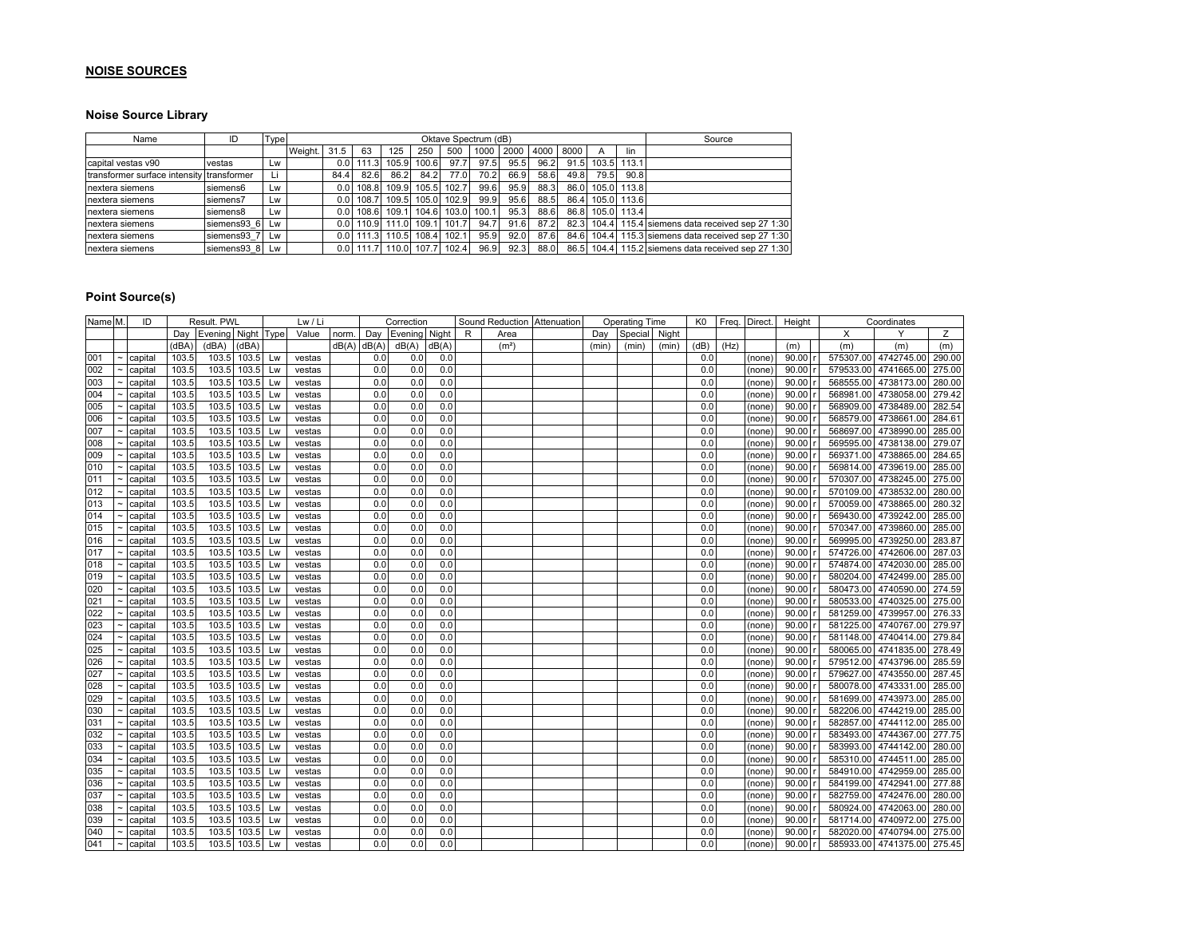## **NOISE SOURCES**

## **Noise Source Library**

| Name                                      | ID          | Type |         |                  |                    |       |       | Oktave Spectrum (dB) |       |      |      |      |       |             | Source                                        |
|-------------------------------------------|-------------|------|---------|------------------|--------------------|-------|-------|----------------------|-------|------|------|------|-------|-------------|-----------------------------------------------|
|                                           |             |      | Weight. | 31.5             | 63                 | 125   | 250   | 500                  | 1000  | 2000 | 4000 | 8000 | A     | lin         |                                               |
| capital vestas v90                        | vestas      | Lw   |         | 0.0              | 111.3              | 105.9 | 100.6 | 97.7                 | 97.5  | 95.5 | 96.2 | 91.5 | 103.5 | 113.1       |                                               |
| transformer surface intensity transformer |             | Li   |         | 84.4             | 82.6               | 86.2  | 84.2  | 77.0                 | 70.2  | 66.9 | 58.6 | 49.8 | 79.5  | 90.8        |                                               |
| nextera siemens                           | siemens6    | Lw   |         | 0.0              | 108.8              | 109.9 | 105.5 | 102.7                | 99.6  | 95.9 | 88.3 | 86.0 | 105.0 | 113.8       |                                               |
| nextera siemens                           | siemens7    | Lw   |         | 0.01             | 108.7              | 109.5 | 105.0 | 102.9                | 99.9  | 95.6 | 88.5 | 86.4 |       | 105.0 113.6 |                                               |
| nextera siemens                           | siemens8    | Lw   |         | 0.0              | 108.6              | 109.1 | 104.6 | 103.0                | 100.1 | 95.3 | 88.6 | 86.8 |       | 105.0 113.4 |                                               |
| nextera siemens                           | siemens93 6 | Lw   |         |                  | $0.01$ 110.9 111.0 |       | 109.1 | 101.7                | 94.7  | 91.6 | 87.2 | 82.3 |       |             | 104.4 115.4 siemens data received sep 27 1:30 |
| nextera siemens                           | siemens93 7 | Lw   |         | 0.0 <sub>1</sub> | 111.3              | 110.5 | 108.4 | 102.1                | 95.9  | 92.0 | 87.6 | 84.6 | 104.4 |             | 115.3 siemens data received sep 27 1:30       |
| nextera siemens                           | siemens93 8 | Lw   |         |                  | $0.0$   111.7      | 110.0 | 107.7 | 102.4                | 96.9  | 92.3 | 88.0 | 86.5 | 104.4 |             | 115.2 siemens data received sep 27 1:30       |

#### **Point Source(s)**

| Name M. | ID               |       | Result. PWL              |                |    | Lw / Li |               |     | Correction    |         |   |                   | Sound Reduction Attenuation |       | <b>Operating Time</b> |       | K <sub>0</sub> | Freq. Direct. |        | Height  |          | Coordinates                 |        |
|---------|------------------|-------|--------------------------|----------------|----|---------|---------------|-----|---------------|---------|---|-------------------|-----------------------------|-------|-----------------------|-------|----------------|---------------|--------|---------|----------|-----------------------------|--------|
|         |                  |       | Day Evening Night   Type |                |    | Value   | norm.         | Day | Evening Night |         | R | Area              |                             | Day   | Special               | Night |                |               |        |         | $\times$ | Y                           | Z      |
|         |                  | (dBA) | (dBA)                    | (dBA)          |    |         | $dB(A)$ dB(A) |     | dB(A)  dB(A)  |         |   | (m <sup>2</sup> ) |                             | (min) | (min)                 | (min) | (dB)           | (Hz)          |        | (m)     | (m)      | (m)                         | (m)    |
| 001     | capital          | 103.5 | 103.5                    | 103.5          | Lw | vestas  |               | 0.0 | 0.0           | 0.0     |   |                   |                             |       |                       |       | 0.0            |               | (none) | 90.00   |          | 575307.00 4742745.00 290.00 |        |
| 002     | capital          | 103.5 | 103.5                    | 103.5          | Lw | vestas  |               | 0.0 | 0.0           | 0.0     |   |                   |                             |       |                       |       | 0.0            |               | (none) | 90.00   |          | 579533.00 4741665.00        | 275.00 |
| 003     | capital          | 103.5 | 103.5                    | 103.5          | Lw | vestas  |               | 0.0 | 0.0           | 0.0     |   |                   |                             |       |                       |       | 0.0            |               | (none) | 90.00   |          | 568555.00 4738173.00 280.00 |        |
| 004     | capital          | 103.5 | 103.5                    | 103.5          | Lw | vestas  |               | 0.0 | 0.0           | $0.0\,$ |   |                   |                             |       |                       |       | 0.0            |               | (none) | 90.00   |          | 568981.00 4738058.00 279.42 |        |
| 005     | capital          | 103.5 | 103.5                    | 103.5          | Lw | vestas  |               | 0.0 | 0.0           | 0.0     |   |                   |                             |       |                       |       | 0.0            |               | (none) | 90.00   |          | 568909.00 4738489.00 282.54 |        |
| 006     | capital          | 103.5 | 103.5                    | 103.5          | Lw | vestas  |               | 0.0 | 0.0           | 0.0     |   |                   |                             |       |                       |       | 0.0            |               | (none) | 90.00   |          | 568579.00 4738661.00 284.61 |        |
| 007     | capital          | 103.5 | 103.5                    | 103.5          | Lw | vestas  |               | 0.0 | 0.0           | 0.0     |   |                   |                             |       |                       |       | 0.0            |               | (none) | 90.00   |          | 568697.00 4738990.00 285.00 |        |
| 008     | capital          | 103.5 | 103.5                    | 103.5          | Lw | vestas  |               | 0.0 | 0.0           | 0.0     |   |                   |                             |       |                       |       | 0.0            |               | (none) | 90.00   |          | 569595.00 4738138.00 279.07 |        |
| 009     | capital          | 103.5 | 103.5                    | 103.5          | Lw | vestas  |               | 0.0 | 0.0           | 0.0     |   |                   |                             |       |                       |       | 0.0            |               | (none) | 90.00   |          | 569371.00 4738865.00 284.65 |        |
| 010     | capital          | 103.5 | 103.5                    | 103.5          | Lw | vestas  |               | 0.0 | 0.0           | 0.0     |   |                   |                             |       |                       |       | 0.0            |               | (none) | 90.00   |          | 569814.00 4739619.00 285.00 |        |
| 011     | capital          | 103.5 | 103.5                    | 103.5          | Lw | vestas  |               | 0.0 | 0.0           | 0.0     |   |                   |                             |       |                       |       | 0.0            |               | (none) | 90.00   |          | 570307.00 4738245.00 275.00 |        |
| 012     | capital          | 103.5 | 103.5                    | 103.5          | Lw | vestas  |               | 0.0 | 0.0           | 0.0     |   |                   |                             |       |                       |       | 0.0            |               | (none) | 90.00   |          | 570109.00 4738532.00 280.00 |        |
| 013     | capital          | 103.5 | 103.5                    | 103.5          | Lw | vestas  |               | 0.0 | 0.0           | 0.0     |   |                   |                             |       |                       |       | 0.0            |               | (none) | 90.00   |          | 570059.00 4738865.00        | 280.32 |
| 014     | capital          | 103.5 | 103.5                    | 103.5          | Lw | vestas  |               | 0.0 | 0.0           | 0.0     |   |                   |                             |       |                       |       | 0.0            |               | (none) | 90.00   |          | 569430.00 4739242.00 285.00 |        |
| 015     | capital          | 103.5 | 103.5                    | 103.5          | Lw | vestas  |               | 0.0 | 0.0           | 0.0     |   |                   |                             |       |                       |       | 0.0            |               | (none) | 90.00   |          | 570347.00 4739860.00 285.00 |        |
| 016     | capital          | 103.5 | 103.5                    | 103.5          | Lw | vestas  |               | 0.0 | 0.0           | 0.0     |   |                   |                             |       |                       |       | 0.0            |               | (none) | 90.00   |          | 569995.00 4739250.00 283.87 |        |
| 017     | capital          | 103.5 |                          | 103.5 103.5    | Lw | vestas  |               | 0.0 | 0.0           | 0.0     |   |                   |                             |       |                       |       | 0.0            |               | (none) | 90.00   |          | 574726.00 4742606.00 287.03 |        |
| 018     | capital          | 103.5 | 103.5                    | 103.5          | Lw | vestas  |               | 0.0 | 0.0           | 0.0     |   |                   |                             |       |                       |       | 0.0            |               | (none) | 90.00   |          | 574874.00 4742030.00 285.00 |        |
| 019     | capital          | 103.5 | 103.5                    | 103.5          | Lw | vestas  |               | 0.0 | 0.0           | 0.0     |   |                   |                             |       |                       |       | 0.0            |               | (none) | 90.00   |          | 580204.00 4742499.00 285.00 |        |
| 020     | capital          | 103.5 | 103.5                    | 103.5          | Lw | vestas  |               | 0.0 | 0.0           | 0.0     |   |                   |                             |       |                       |       | 0.0            |               | (none) | 90.00   |          | 580473.00 4740590.00 274.59 |        |
| 021     | capital          | 103.5 | 103.5                    | 103.5          | Lw | vestas  |               | 0.0 | 0.0           | 0.0     |   |                   |                             |       |                       |       | 0.0            |               | (none) | 90.00   |          | 580533.00 4740325.00 275.00 |        |
| 022     | capital          | 103.5 | 103.5                    | 103.5          | Lw | vestas  |               | 0.0 | 0.0           | 0.0     |   |                   |                             |       |                       |       | 0.0            |               | (none) | 90.00   |          | 581259.00 4739957.00 276.33 |        |
| 023     | capital          | 103.5 | 103.5                    | 103.5          | Lw | vestas  |               | 0.0 | 0.0           | 0.0     |   |                   |                             |       |                       |       | 0.0            |               | (none) | 90.00   |          | 581225.00 4740767.00 279.97 |        |
| 024     | capital          | 103.5 | 103.5                    | 103.5          | Lw | vestas  |               | 0.0 | 0.0           | 0.0     |   |                   |                             |       |                       |       | 0.0            |               | (none) | 90.00   |          | 581148.00 4740414.00 279.84 |        |
| 025     | capital          | 103.5 | 103.5                    | 103.5          | Lw | vestas  |               | 0.0 | 0.0           | 0.0     |   |                   |                             |       |                       |       | 0.0            |               | (none) | 90.00   |          | 580065.00 4741835.00 278.49 |        |
| 026     | capital          | 103.5 | 103.5                    | 103.5          | Lw | vestas  |               | 0.0 | 0.0           | 0.0     |   |                   |                             |       |                       |       | 0.0            |               | (none) | 90.00   |          | 579512.00 4743796.00 285.59 |        |
| 027     | capital          | 103.5 | 103.5                    | 103.5          | Lw | vestas  |               | 0.0 | 0.0           | 0.0     |   |                   |                             |       |                       |       | 0.0            |               | (none) | 90.00   |          | 579627.00 4743550.00 287.45 |        |
| 028     | capital          | 103.5 | 103.5                    | 103.5          | Lw | vestas  |               | 0.0 | 0.0           | 0.0     |   |                   |                             |       |                       |       | 0.0            |               | (none) | 90.00   |          | 580078.00 4743331.00 285.00 |        |
| 029     | capital          | 103.5 | 103.5                    | 103.5          | Lw | vestas  |               | 0.0 | 0.0           | 0.0     |   |                   |                             |       |                       |       | 0.0            |               | (none) | 90.00   |          | 581699.00 4743973.00        | 285.00 |
| 030     | capital          | 103.5 | 103.5                    | 103.5          | Lw | vestas  |               | 0.0 | 0.0           | 0.0     |   |                   |                             |       |                       |       | 0.0            |               | (none) | 90.00   |          | 582206.00 4744219.00 285.00 |        |
| 031     | capital          | 103.5 | 103.5                    | 103.5          | Lw | vestas  |               | 0.0 | 0.0           | 0.0     |   |                   |                             |       |                       |       | 0.0            |               | (none) | 90.00   |          | 582857.00 4744112.00 285.00 |        |
| 032     | capital          | 103.5 | 103.5                    | 103.5          | Lw | vestas  |               | 0.0 | 0.0           | 0.0     |   |                   |                             |       |                       |       | 0.0            |               | (none) | 90.00   |          | 583493.00 4744367.00        | 277.75 |
| 033     | capital          | 103.5 | 103.5                    | 103.5          | Lw | vestas  |               | 0.0 | 0.0           | 0.0     |   |                   |                             |       |                       |       | 0.0            |               | (none) | 90.00   |          | 583993.00 4744142.00 280.00 |        |
| 034     | capital          | 103.5 | 103.5                    | 103.5          | Lw | vestas  |               | 0.0 | 0.0           | 0.0     |   |                   |                             |       |                       |       | 0.0            |               | (none) | 90.00   |          | 585310.00 4744511.00        | 285.00 |
| 035     | capital          | 103.5 | 103.5                    | 103.5          | Lw | vestas  |               | 0.0 | 0.0           | 0.0     |   |                   |                             |       |                       |       | 0.0            |               | (none) | 90.00   |          | 584910.00 4742959.00 285.00 |        |
| 036     | capital          | 103.5 | 103.5                    | 103.5          | Lw | vestas  |               | 0.0 | 0.0           | 0.0     |   |                   |                             |       |                       |       | 0.0            |               | (none) | 90.00   |          | 584199.00 4742941.00 277.88 |        |
| 037     | capital          | 103.5 | 103.5                    | 103.5          | Lw | vestas  |               | 0.0 | 0.0           | 0.0     |   |                   |                             |       |                       |       | 0.0            |               | (none) | 90.00   |          | 582759.00 4742476.00 280.00 |        |
| 038     | capital          | 103.5 | 103.5                    | 103.5          | Lw | vestas  |               | 0.0 | 0.0           | 0.0     |   |                   |                             |       |                       |       | 0.0            |               | (none) | 90.00   |          | 580924.00 4742063.00 280.00 |        |
| 039     | capital          | 103.5 | 103.5                    | 103.5          | Lw | vestas  |               | 0.0 | 0.0           | 0.0     |   |                   |                             |       |                       |       | 0.0            |               | (none) | 90.00   |          | 581714.00 4740972.00 275.00 |        |
| 040     | capital          | 103.5 | 103.5                    | 103.5          | Lw | vestas  |               | 0.0 | 0.0           | 0.0     |   |                   |                             |       |                       |       | 0.0            |               | (none) | 90.00   |          | 582020.00 4740794.00 275.00 |        |
| 041     | $\sim$   capital | 103.5 |                          | 103.5 103.5 Lw |    | vestas  |               | 0.0 | 0.0           | 0.0     |   |                   |                             |       |                       |       | 0.0            |               | (none) | 90.00 r |          | 585933.00 4741375.00 275.45 |        |
|         |                  |       |                          |                |    |         |               |     |               |         |   |                   |                             |       |                       |       |                |               |        |         |          |                             |        |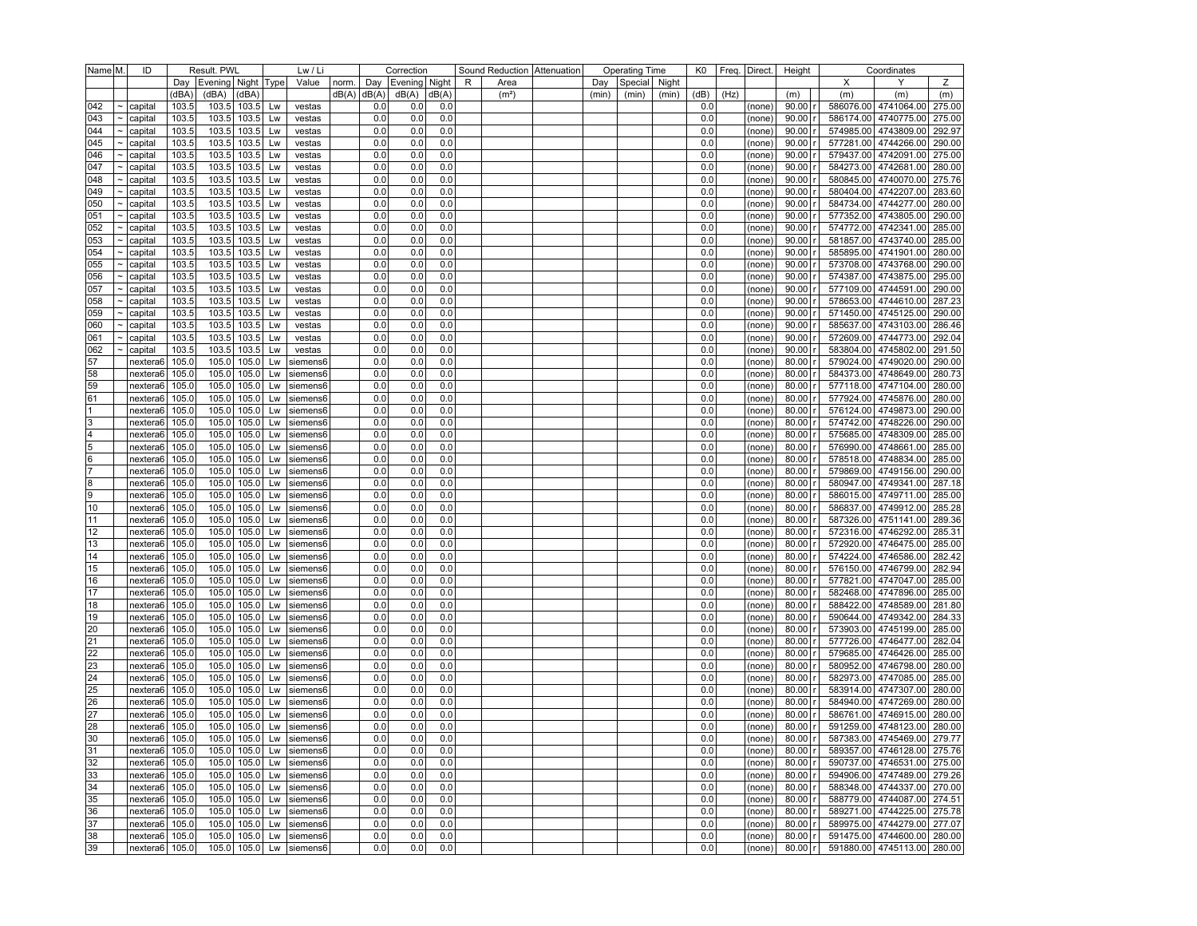| Name M.        |                           | ID                   |       | Result. PWL<br>Lw / Li<br>Correction |             |    |                         |                 |     | Sound Reduction Attenuation |       | <b>Operating Time</b> |                   | K0    |               | Freq. Direct. | Height |      | Coordinates      |           |     |                             |        |
|----------------|---------------------------|----------------------|-------|--------------------------------------|-------------|----|-------------------------|-----------------|-----|-----------------------------|-------|-----------------------|-------------------|-------|---------------|---------------|--------|------|------------------|-----------|-----|-----------------------------|--------|
|                |                           |                      |       | Day   Evening   Night   Type         |             |    | Value                   | norm.           | Day | Evening   Night             |       | R                     | Area              | Day   | Special Night |               |        |      |                  |           | X   | Υ                           | Ζ      |
|                |                           |                      | (dBA) | (dBA)                                | (dBA)       |    |                         | $dB(A)$ $dB(A)$ |     | dB(A)                       | dB(A) |                       | (m <sup>2</sup> ) | (min) | (min)         | (min)         | (dB)   | (Hz) |                  | (m)       | (m) | (m)                         | (m)    |
| 042            | $\tilde{\phantom{a}}$     | capital              | 103.5 | 103.5                                | 103.5       | Lw | vestas                  |                 | 0.0 | 0.0                         | 0.0   |                       |                   |       |               |               | 0.0    |      | (none)           | 90.00     |     | 586076.00 4741064.00 275.00 |        |
| 043            | $\tilde{\phantom{a}}$     | capital              | 103.5 | 103.5                                | 103.5       | Lw | vestas                  |                 | 0.0 | 0.0                         | 0.0   |                       |                   |       |               |               | 0.0    |      | (none)           | 90.00     |     | 586174.00 4740775.00 275.00 |        |
| 044            | $\tilde{}$                | capital              | 103.5 | 103.5                                | 103.5       | Lw | vestas                  |                 | 0.0 | 0.0                         | 0.0   |                       |                   |       |               |               | 0.0    |      | (none)           | 90.00     |     | 574985.00 4743809.00        | 292.97 |
| 045            | $\widetilde{\phantom{m}}$ | capital              | 103.5 | 103.5                                | 103.5       | Lw | vestas                  |                 | 0.0 | 0.0                         | 0.0   |                       |                   |       |               |               | 0.0    |      | (none)           | 90.00     |     | 577281.00 4744266.00 290.00 |        |
| 046            | $\tilde{\phantom{a}}$     | capital              | 103.5 | 103.5                                | 103.5       | Lw | vestas                  |                 | 0.0 | 0.0                         | 0.0   |                       |                   |       |               |               | 0.0    |      | (none)           | 90.00     |     | 579437.00 4742091.00 275.00 |        |
| 047            | $\tilde{\phantom{a}}$     | capital              | 103.5 | 103.5                                | 103.5       | Lw | vestas                  |                 | 0.0 | 0.0                         | 0.0   |                       |                   |       |               |               | 0.0    |      | (none)           | 90.00     |     | 584273.00 4742681.00 280.00 |        |
| 048            | $\widetilde{\phantom{m}}$ | capital              | 103.5 | 103.5                                | 103.5       | Lw | vestas                  |                 | 0.0 | 0.0                         | 0.0   |                       |                   |       |               |               | 0.0    |      | (none)           | 90.00     |     | 580845.00 4740070.00 275.76 |        |
| 049            | $\tilde{\phantom{a}}$     | capital              | 103.5 | 103.5                                | 103.5       | Lw | vestas                  |                 | 0.0 | 0.0                         | 0.0   |                       |                   |       |               |               | 0.0    |      | (none)           | 90.00     |     | 580404.00 4742207.00 283.60 |        |
| 050            |                           | capital              | 103.5 | 103.5                                | 103.5       | Lw | vestas                  |                 | 0.0 | 0.0                         | 0.0   |                       |                   |       |               |               | 0.0    |      | (none)           | 90.00     |     | 584734.00 4744277.00 280.00 |        |
| 051            | $\tilde{}$                | capital              | 103.5 | 103.5                                | 103.5       | Lw | vestas                  |                 | 0.0 | 0.0                         | 0.0   |                       |                   |       |               |               | 0.0    |      | (none)           | 90.00     |     | 577352.00 4743805.00 290.00 |        |
| 052            | $\tilde{\phantom{a}}$     | capital              | 103.5 | 103.5                                | 103.5       | Lw | vestas                  |                 | 0.0 | 0.0                         | 0.0   |                       |                   |       |               |               | 0.0    |      | (none)           | 90.00     |     | 574772.00 4742341.00 285.00 |        |
| 053            | $\sim$                    | capital              | 103.5 | 103.5                                | 103.5       | Lw | vestas                  |                 | 0.0 | 0.0                         | 0.0   |                       |                   |       |               |               | 0.0    |      | (none)           | 90.00     |     | 581857.00 4743740.00 285.00 |        |
| 054            |                           | capital              | 103.5 | 103.5                                | 103.5       | Lw | vestas                  |                 | 0.0 | 0.0                         | 0.0   |                       |                   |       |               |               | 0.0    |      | (none)           | 90.00     |     | 585895.00 4741901.00 280.00 |        |
| 055            | $\tilde{}$                | capital              | 103.5 | 103.5                                | 103.5       | Lw | vestas                  |                 | 0.0 | 0.0                         | 0.0   |                       |                   |       |               |               | 0.0    |      | (none)           | 90.00     |     | 573708.00 4743768.00 290.00 |        |
| 056            |                           | capital              | 103.5 | 103.5                                | 103.5       | Lw | vestas                  |                 | 0.0 | 0.0                         | 0.0   |                       |                   |       |               |               | 0.0    |      | (none)           | 90.00     |     | 574387.00 4743875.00 295.00 |        |
| 057            |                           |                      | 103.5 | 103.5                                | 103.5       | Lw |                         |                 | 0.0 | 0.0                         | 0.0   |                       |                   |       |               |               | 0.0    |      |                  | 90.00     |     | 577109.00 4744591.00 290.00 |        |
| 058            | $\tilde{}$                | capital              | 103.5 | 103.5                                | 103.5       | Lw | vestas                  |                 | 0.0 | 0.0                         | 0.0   |                       |                   |       |               |               | 0.0    |      | (none)<br>(none) | 90.00     |     | 578653.00 4744610.00 287.23 |        |
|                |                           | capital              | 103.5 | 103.5                                | 103.5       | Lw | vestas                  |                 | 0.0 | 0.0                         | 0.0   |                       |                   |       |               |               | 0.0    |      |                  | 90.00     |     | 571450.00 4745125.00 290.00 |        |
| 059            |                           | capital              |       |                                      |             |    | vestas                  |                 |     |                             |       |                       |                   |       |               |               |        |      | (none)           |           |     |                             |        |
| 060            |                           | capital              | 103.5 | 103.5                                | 103.5       | Lw | vestas                  |                 | 0.0 | 0.0                         | 0.0   |                       |                   |       |               |               | 0.0    |      | (none)           | 90.00     |     | 585637.00 4743103.00 286.46 |        |
| 061            | $\tilde{}$                | capital              | 103.5 | 103.5                                | 103.5       | Lw | vestas                  |                 | 0.0 | 0.0                         | 0.0   |                       |                   |       |               |               | 0.0    |      | (none)           | 90.00     |     | 572609.00 4744773.00 292.04 |        |
| 062            |                           | capital              | 103.5 | 103.5                                | 103.5       | Lw | vestas                  |                 | 0.0 | 0.0                         | 0.0   |                       |                   |       |               |               | 0.0    |      | (none)           | 90.00     |     | 583804.00 4745802.00 291.50 |        |
| 57             |                           | nextera6             | 105.0 | 105.0                                | 105.0       | Lw | siemens6                |                 | 0.0 | 0.0                         | 0.0   |                       |                   |       |               |               | 0.0    |      | (none)           | 80.00     |     | 579024.00 4749020.00 290.00 |        |
| 58             |                           | nextera6             | 105.0 | 105.0                                | 105.0       | Lw | siemens6                |                 | 0.0 | 0.0                         | 0.0   |                       |                   |       |               |               | 0.0    |      | (none)           | 80.00     |     | 584373.00 4748649.00 280.73 |        |
| 59             |                           | nextera6             | 105.0 | 105.0                                | 105.0       | Lw | siemens6                |                 | 0.0 | 0.0                         | 0.0   |                       |                   |       |               |               | 0.0    |      | (none)           | 80.00     |     | 577118.00 4747104.00 280.00 |        |
| 61             |                           | nextera6             | 105.0 | 105.0                                | 105.0       | Lw | siemens6                |                 | 0.0 | 0.0                         | 0.0   |                       |                   |       |               |               | 0.0    |      | (none)           | 80.00     |     | 577924.00 4745876.00 280.00 |        |
| 11             |                           | nextera6             | 105.0 | 105.0                                | 105.0       | Lw | siemens6                |                 | 0.0 | 0.0                         | 0.0   |                       |                   |       |               |               | 0.0    |      | (none)           | 80.00     |     | 576124.00 4749873.00 290.00 |        |
| 3              |                           | nextera6             | 105.0 | 105.0                                | 105.0       | Lw | siemens6                |                 | 0.0 | 0.0                         | 0.0   |                       |                   |       |               |               | 0.0    |      | (none)           | 80.00     |     | 574742.00 4748226.00 290.00 |        |
| 4              |                           | nextera6             | 105.0 | 105.0                                | 105.0       | Lw | siemens6                |                 | 0.0 | 0.0                         | 0.0   |                       |                   |       |               |               | 0.0    |      | (none)           | 80.00     |     | 575685.00 4748309.00        | 285.00 |
| $\overline{5}$ |                           | nextera6             | 105.0 | 105.0                                | 105.0       | Lw | siemens6                |                 | 0.0 | 0.0                         | 0.0   |                       |                   |       |               |               | 0.0    |      | (none)           | 80.00     |     | 576990.00 4748661.00 285.00 |        |
| 6              |                           | nextera6             | 105.0 | 105.0                                | 105.0       | Lw | siemens6                |                 | 0.0 | 0.0                         | 0.0   |                       |                   |       |               |               | 0.0    |      | (none)           | 80.00     |     | 578518.00 4748834.00 285.00 |        |
| 17             |                           | nextera6             | 105.0 | 105.0                                | 105.0       | Lw | siemens6                |                 | 0.0 | 0.0                         | 0.0   |                       |                   |       |               |               | 0.0    |      | (none)           | 80.00     |     | 579869.00 4749156.00        | 290.00 |
| 8              |                           | nextera6             | 105.0 | 105.0                                | 105.0       | Lw | siemens6                |                 | 0.0 | 0.0                         | 0.0   |                       |                   |       |               |               | 0.0    |      | (none)           | 80.00     |     | 580947.00 4749341.00        | 287.18 |
| 9              |                           | nextera6             | 105.0 | 105.0                                | 105.0       | Lw | siemens6                |                 | 0.0 | 0.0                         | 0.0   |                       |                   |       |               |               | 0.0    |      | (none)           | 80.00     |     | 586015.00 4749711.00 285.00 |        |
| 10             |                           | nextera6             | 105.0 | 105.0                                | 105.0       | Lw | siemens6                |                 | 0.0 | 0.0                         | 0.0   |                       |                   |       |               |               | 0.0    |      | (none)           | 80.00     |     | 586837.00 4749912.00 285.28 |        |
| 11             |                           | nextera6             | 105.0 | 105.0                                | 105.0       | Lw | siemens6                |                 | 0.0 | 0.0                         | 0.0   |                       |                   |       |               |               | 0.0    |      | (none)           | 80.00     |     | 587326.00 4751141.00 289.36 |        |
| 12             |                           | nextera6             | 105.0 | 105.0                                | 105.0       | Lw | siemens6                |                 | 0.0 | 0.0                         | 0.0   |                       |                   |       |               |               | 0.0    |      | (none)           | 80.00     |     | 572316.00 4746292.00 285.31 |        |
| 13             |                           | nextera6             | 105.0 | 105.0                                | 105.0       | Lw | siemens6                |                 | 0.0 | 0.0                         | 0.0   |                       |                   |       |               |               | 0.0    |      | (none)           | 80.00     |     | 572920.00 4746475.00 285.00 |        |
| 14             |                           | nextera6             | 105.0 | 105.0                                | 105.0       | Lw | siemens6                |                 | 0.0 | 0.0                         | 0.0   |                       |                   |       |               |               | 0.0    |      | (none)           | 80.00     |     | 574224.00 4746586.00 282.42 |        |
| 15             |                           | nextera6             | 105.0 | 105.0                                | 105.0       | Lw | siemens6                |                 | 0.0 | 0.0                         | 0.0   |                       |                   |       |               |               | 0.0    |      | (none)           | 80.00     |     | 576150.00 4746799.00 282.94 |        |
| 16             |                           | nextera6             | 105.0 | 105.0                                | 105.0       | Lw | siemens6                |                 | 0.0 | 0.0                         | 0.0   |                       |                   |       |               |               | 0.0    |      | (none)           | 80.00     |     | 577821.00 4747047.00 285.00 |        |
| 17             |                           | nextera6             | 105.0 | 105.0                                | 105.0       | Lw | siemens6                |                 | 0.0 | 0.0                         | 0.0   |                       |                   |       |               |               | 0.0    |      | (none)           | 80.00     |     | 582468.00 4747896.00 285.00 |        |
| 18             |                           | nextera6             | 105.0 | 105.0                                | 105.0       | Lw | siemens6                |                 | 0.0 | 0.0                         | 0.0   |                       |                   |       |               |               | 0.0    |      | (none)           | 80.00     |     | 588422.00 4748589.00 281.80 |        |
| 19             |                           | nextera6             | 105.0 | 105.0                                | 105.0       | Lw | siemens6                |                 | 0.0 | 0.0                         | 0.0   |                       |                   |       |               |               | 0.0    |      | (none)           | 80.00     |     | 590644.00 4749342.00 284.33 |        |
| 20             |                           | nextera6             | 105.0 | 105.0                                | 105.0       | Lw | siemens6                |                 | 0.0 | 0.0                         | 0.0   |                       |                   |       |               |               | 0.0    |      | (none)           | 80.00     |     | 573903.00 4745199.00 285.00 |        |
| 21             |                           | nextera6             | 105.0 | 105.0                                | 105.0       | Lw | siemens6                |                 | 0.0 | 0.0                         | 0.0   |                       |                   |       |               |               | 0.0    |      | (none)           | 80.00     |     | 577726.00 4746477.00 282.04 |        |
| 22             |                           | nextera6             | 105.0 | 105.0                                | 105.0       | Lw | siemens6                |                 | 0.0 | 0.0                         | 0.0   |                       |                   |       |               |               | 0.0    |      | (none)           | 80.00     |     | 579685.00 4746426.00 285.00 |        |
| 23             |                           | nextera6             | 105.0 | 105.0                                | 105.0       | Lw | siemens6                |                 | 0.0 | 0.0                         | 0.0   |                       |                   |       |               |               | 0.0    |      | (none)           | 80.00     |     | 580952.00 4746798.00 280.00 |        |
| 24             |                           | nextera6             | 105.0 | 105.0                                | 105.0       | Lw | siemens6                |                 | 0.0 | 0.0                         | 0.0   |                       |                   |       |               |               | 0.0    |      | (none)           | 80.00     |     | 582973.00 4747085.00 285.00 |        |
| 25             |                           | nextera6             | 105.0 | 105.0                                | 105.0       | Lw | siemens6                |                 | 0.0 | 0.0                         | 0.0   |                       |                   |       |               |               | 0.0    |      | (none)           | 80.00     |     | 583914.00 4747307.00 280.00 |        |
| 26             |                           | nextera6             | 105.0 | 105.0                                | 105.0       | Lw | siemens6                |                 | 0.0 | 0.0                         | 0.0   |                       |                   |       |               |               | 0.0    |      | (none)           | 80.00     |     | 584940.00 4747269.00 280.00 |        |
| 27             |                           | nextera6             | 105.0 | 105.0                                | 105.0       | Lw | siemens6                |                 | 0.0 | 0.0                         | 0.0   |                       |                   |       |               |               | 0.0    |      | (none)           | 80.00     |     | 586761.00 4746915.00 280.00 |        |
| 28             |                           | nextera6             | 105.0 | 105.0                                | 105.0       | Lw | siemens6                |                 | 0.0 | 0.0                         | 0.0   |                       |                   |       |               |               | 0.0    |      | (none)           | 80.00     |     | 591259.00 4748123.00 280.00 |        |
| 30             |                           | nextera6             | 105.0 | 105.0                                | 105.0       | Lw | siemens6                |                 | 0.0 | 0.0                         | 0.0   |                       |                   |       |               |               | 0.0    |      | (none)           | $80.00$ r |     | 587383.00 4745469.00 279.77 |        |
| 31             |                           | nextera6 105.0       |       |                                      | 105.0 105.0 | Lw | siemens6                |                 | 0.0 | 0.0                         | 0.0   |                       |                   |       |               |               | 0.0    |      | (none)           | $80.00$ r |     | 589357.00 4746128.00 275.76 |        |
| 32             |                           | nextera <sub>6</sub> | 105.0 |                                      | 105.0 105.0 | Lw | siemens6                |                 | 0.0 | 0.0                         | 0.0   |                       |                   |       |               |               | 0.0    |      | (none)           | $80.00$ r |     | 590737.00 4746531.00 275.00 |        |
| 33             |                           | nextera6             | 105.0 | 105.0                                | 105.0       | Lw | siemens6                |                 | 0.0 | 0.0                         | 0.0   |                       |                   |       |               |               | 0.0    |      | (none)           | 80.00 r   |     | 594906.00 4747489.00 279.26 |        |
| 34             |                           | nextera6             | 105.0 | 105.0                                | 105.0       | Lw | siemens6                |                 | 0.0 | 0.0                         | 0.0   |                       |                   |       |               |               | 0.0    |      | (none)           | $80.00$ r |     | 588348.00 4744337.00 270.00 |        |
| 35             |                           | nextera <sub>6</sub> | 105.0 |                                      | 105.0 105.0 | Lw | siemens6                |                 | 0.0 | 0.0                         | 0.0   |                       |                   |       |               |               | 0.0    |      |                  | $80.00$ r |     | 588779.00 4744087.00 274.51 |        |
|                |                           |                      |       |                                      |             |    |                         |                 | 0.0 |                             |       |                       |                   |       |               |               | 0.0    |      | (none)           | 80.00     |     | 589271.00 4744225.00 275.78 |        |
| 36             |                           | nextera6             | 105.0 | 105.0                                | 105.0       | Lw | siemens6                |                 |     | 0.0                         | 0.0   |                       |                   |       |               |               |        |      | (none)           |           |     |                             |        |
| 37             |                           | nextera6             | 105.0 | 105.0                                | 105.0       | Lw | siemens6                |                 | 0.0 | 0.0                         | 0.0   |                       |                   |       |               |               | 0.0    |      | (none)           | $80.00$ r |     | 589975.00 4744279.00 277.07 |        |
| 38             |                           | nextera6 105.0       |       |                                      | 105.0 105.0 | Lw | siemens6                |                 | 0.0 | 0.0                         | 0.0   |                       |                   |       |               |               | 0.0    |      | (none)           | 80.00 r   |     | 591475.00 4744600.00 280.00 |        |
| 39             |                           | nextera6 105.0       |       |                                      |             |    | 105.0 105.0 Lw siemens6 |                 | 0.0 | 0.0                         | 0.0   |                       |                   |       |               |               | 0.0    |      | (none)           | 80.00 r   |     | 591880.00 4745113.00 280.00 |        |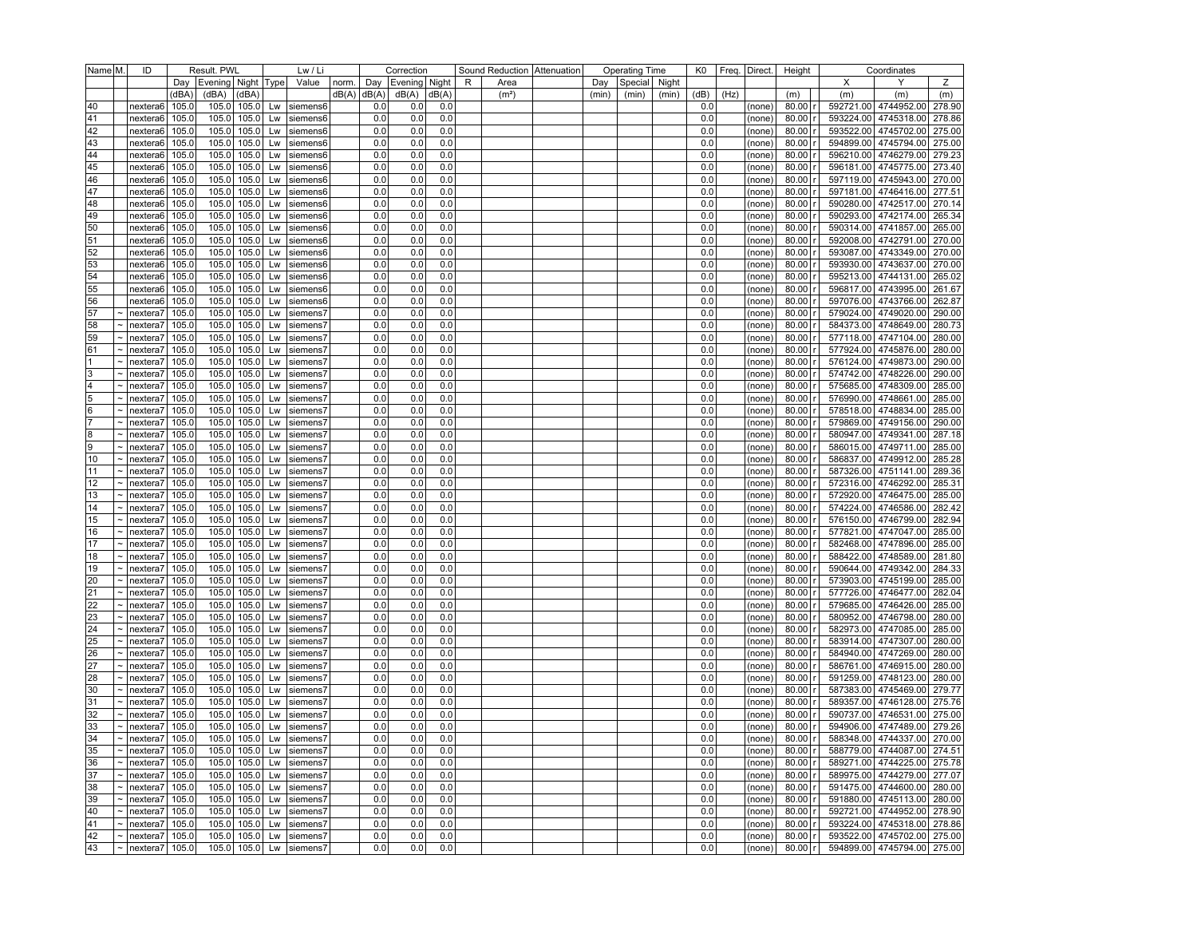| Name M.  |                           | ID                              | Result. PWL<br>Lw / Li |                              |                |          | Correction              |       |       | Sound Reduction   Attenuation |       | <b>Operating Time</b> |                   | K0    |         | Freq.   Direct. | Height |      | Coordinates      |           |     |                             |        |
|----------|---------------------------|---------------------------------|------------------------|------------------------------|----------------|----------|-------------------------|-------|-------|-------------------------------|-------|-----------------------|-------------------|-------|---------|-----------------|--------|------|------------------|-----------|-----|-----------------------------|--------|
|          |                           |                                 |                        | Day   Evening   Night   Type |                |          | Value                   | norm. | Day   | Evening   Night               |       | R                     | Area              | Day   | Special | Night           |        |      |                  |           | X   | Υ                           | Ζ      |
|          |                           |                                 | (dBA)                  | (dBA)                        | (dBA)          |          |                         | dB(A) | dB(A) | dB(A)                         | dB(A) |                       | (m <sup>2</sup> ) | (min) | (min)   | (min)           | (dB)   | (Hz) |                  | (m)       | (m) | (m)                         | (m)    |
| 40       |                           | nextera6                        | 105.0                  | 105.0                        | 105.0          | Lw       | siemens6                |       | 0.0   | 0.0                           | 0.0   |                       |                   |       |         |                 | 0.0    |      | (none)           | 80.00     |     | 592721.00 4744952.00 278.90 |        |
| 41       |                           | nextera6                        | 105.0                  |                              | 105.0 105.0    | Lw       | siemens6                |       | 0.0   | 0.0                           | 0.0   |                       |                   |       |         |                 | 0.0    |      | (none)           | 80.00     |     | 593224.00 4745318.00 278.86 |        |
| 42       |                           | nextera6                        | 105.0                  | 105.0                        | 105.0          | Lw       | siemens6                |       | 0.0   | 0.0                           | 0.0   |                       |                   |       |         |                 | 0.0    |      | (none)           | 80.00     |     | 593522.00 4745702.00        | 275.00 |
| 43       |                           | nextera6                        | 105.0                  | 105.0                        | 105.0          | Lw       | siemens6                |       | 0.0   | 0.0                           | 0.0   |                       |                   |       |         |                 | 0.0    |      | (none)           | 80.00     |     | 594899.00 4745794.00 275.00 |        |
| 44       |                           | nextera6                        | 105.0                  |                              | 105.0 105.0    | Lw       | siemens6                |       | 0.0   | 0.0                           | 0.0   |                       |                   |       |         |                 | 0.0    |      | (none)           | 80.00     |     | 596210.00 4746279.00 279.23 |        |
| 45       |                           | nextera6                        | 105.0                  | 105.0                        | 105.0          | Lw       | siemens6                |       | 0.0   | 0.0                           | 0.0   |                       |                   |       |         |                 | 0.0    |      | (none)           | 80.00     |     | 596181.00 4745775.00 273.40 |        |
| 46       |                           | nextera6                        | 105.0                  | 105.0                        | 105.0          | Lw       | siemens6                |       | 0.0   | 0.0                           | 0.0   |                       |                   |       |         |                 | 0.0    |      | (none)           | 80.00     |     | 597119.00 4745943.00 270.00 |        |
| 47       |                           | nextera6                        | 105.0                  |                              | 105.0 105.0    | Lw       | siemens6                |       | 0.0   | 0.0                           | 0.0   |                       |                   |       |         |                 | 0.0    |      | (none)           | 80.00     |     | 597181.00 4746416.00 277.51 |        |
| 48       |                           | nextera6                        | 105.0                  | 105.0                        | 105.0          | Lw       | siemens6                |       | 0.0   | 0.0                           | 0.0   |                       |                   |       |         |                 | 0.0    |      | (none)           | 80.00     |     | 590280.00 4742517.00 270.14 |        |
| 49       |                           | nextera6                        | 105.0                  | 105.0                        | 105.0          | Lw       | siemens6                |       | 0.0   | 0.0                           | 0.0   |                       |                   |       |         |                 | 0.0    |      | (none)           | 80.00     |     | 590293.00 4742174.00 265.34 |        |
| 50       |                           | nextera6                        | 105.0                  |                              | 105.0 105.0    | Lw       | siemens6                |       | 0.0   | 0.0                           | 0.0   |                       |                   |       |         |                 | 0.0    |      | (none)           | 80.00     |     | 590314.00 4741857.00 265.00 |        |
| 51       |                           | nextera6                        | 105.0                  | 105.0                        | 105.0          | Lw       | siemens6                |       | 0.0   | 0.0                           | 0.0   |                       |                   |       |         |                 | 0.0    |      | (none)           | 80.00     |     | 592008.00 4742791.00 270.00 |        |
| 52       |                           | nextera6                        | 105.0                  | 105.0                        | 105.0          | Lw       | siemens6                |       | 0.0   | 0.0                           | 0.0   |                       |                   |       |         |                 | 0.0    |      | (none)           | 80.00     |     | 593087.00 4743349.00 270.00 |        |
| 53       |                           | nextera6                        | 105.0                  |                              | 105.0 105.0    | Lw       | siemens6                |       | 0.0   | 0.0                           | 0.0   |                       |                   |       |         |                 | 0.0    |      | (none)           | 80.00     |     | 593930.00 4743637.00 270.00 |        |
| 54       |                           | nextera6                        | 105.0                  | 105.0                        | 105.0          | Lw       | siemens6                |       | 0.0   | 0.0                           | 0.0   |                       |                   |       |         |                 | 0.0    |      | (none)           | 80.00     |     | 595213.00 4744131.00 265.02 |        |
|          |                           | nextera6                        | 105.0                  | 105.0                        | 105.0          |          | siemens6                |       | 0.0   | 0.0                           | 0.0   |                       |                   |       |         |                 | 0.0    |      |                  | 80.00     |     | 596817.00 4743995.00 261.67 |        |
| 55<br>56 |                           | nextera6                        | 105.0                  | 105.0                        | 105.0          | Lw<br>Lw | siemens6                |       | 0.0   | 0.0                           | 0.0   |                       |                   |       |         |                 | 0.0    |      | (none)<br>(none) | 80.00     |     | 597076.00 4743766.00 262.87 |        |
| 57       |                           | nextera7                        | 105.0                  | 105.0                        | 105.0          | Lw       | siemens7                |       | 0.0   | 0.0                           | 0.0   |                       |                   |       |         |                 | 0.0    |      | (none)           | 80.00     |     | 579024.00 4749020.00 290.00 |        |
| 58       |                           | nextera7                        | 105.0                  | 105.0                        | 105.0          | Lw       | siemens7                |       | 0.0   | 0.0                           | 0.0   |                       |                   |       |         |                 | 0.0    |      |                  | 80.00     |     | 584373.00 4748649.00 280.73 |        |
| 59       |                           | nextera7                        | 105.0                  | 105.0                        | 105.0          |          | siemens7                |       | 0.0   | 0.0                           | 0.0   |                       |                   |       |         |                 | 0.0    |      | (none)           | 80.00     |     | 577118.00 4747104.00 280.00 |        |
|          |                           |                                 |                        |                              |                | Lw       |                         |       |       |                               |       |                       |                   |       |         |                 |        |      | (none)           |           |     |                             |        |
| 61       |                           | nextera7                        | 105.0                  | 105.0                        | 105.0          | Lw       | siemens7                |       | 0.0   | 0.0                           | 0.0   |                       |                   |       |         |                 | 0.0    |      | (none)           | 80.00     |     | 577924.00 4745876.00 280.00 |        |
|          |                           | nextera7                        | 105.0                  | 105.0                        | 105.0          | Lw       | siemens7                |       | 0.0   | 0.0                           | 0.0   |                       |                   |       |         |                 | 0.0    |      | (none)           | 80.00     |     | 576124.00 4749873.00 290.00 |        |
| 3        |                           | nextera7                        | 105.0                  | 105.0                        | 105.0          | Lw       | siemens7                |       | 0.0   | 0.0                           | 0.0   |                       |                   |       |         |                 | 0.0    |      | (none)           | 80.00     |     | 574742.00 4748226.00        | 290.00 |
| 4        |                           | nextera7                        | 105.0                  | 105.0                        | 105.0          | Lw       | siemens7                |       | 0.0   | 0.0                           | 0.0   |                       |                   |       |         |                 | 0.0    |      | (none)           | 80.00     |     | 575685.00 4748309.00 285.00 |        |
| 5        |                           | nextera7                        | 105.0                  | 105.0                        | 105.0          | Lw       | siemens7                |       | 0.0   | 0.0                           | 0.0   |                       |                   |       |         |                 | 0.0    |      | (none)           | 80.00     |     | 576990.00 4748661.00 285.00 |        |
| 6        |                           | nextera7                        | 105.0                  | 105.0                        | 105.0          | Lw       | siemens7                |       | 0.0   | 0.0                           | 0.0   |                       |                   |       |         |                 | 0.0    |      | (none)           | 80.00     |     | 578518.00 4748834.00        | 285.00 |
|          |                           | nextera7                        | 105.0                  | 105.0                        | 105.0          | Lw       | siemens7                |       | 0.0   | 0.0                           | 0.0   |                       |                   |       |         |                 | 0.0    |      | (none)           | 80.00     |     | 579869.00 4749156.00 290.00 |        |
| 8        |                           | nextera7                        | 105.0                  | 105.0                        | 105.0          | Lw       | siemens7                |       | 0.0   | 0.0                           | 0.0   |                       |                   |       |         |                 | 0.0    |      | (none)           | 80.00     |     | 580947.00 4749341.00        | 287.18 |
| 9        |                           | nextera7                        | 105.0                  | 105.0                        | 105.0          | Lw       | siemens7                |       | 0.0   | 0.0                           | 0.0   |                       |                   |       |         |                 | 0.0    |      | (none)           | 80.00     |     | 586015.00 4749711.00 285.00 |        |
| 10       |                           | nextera7                        | 105.0                  | 105.0                        | 105.0          | Lw       | siemens7                |       | 0.0   | 0.0                           | 0.0   |                       |                   |       |         |                 | 0.0    |      | (none)           | 80.00     |     | 586837.00 4749912.00 285.28 |        |
| 11       |                           | nextera7                        | 105.0                  | 105.0                        | 105.0          | Lw       | siemens7                |       | 0.0   | 0.0                           | 0.0   |                       |                   |       |         |                 | 0.0    |      | (none)           | 80.00     |     | 587326.00 4751141.00        | 289.36 |
| 12       |                           | nextera7                        | 105.0                  | 105.0                        | 105.0          | Lw       | siemens7                |       | 0.0   | 0.0                           | 0.0   |                       |                   |       |         |                 | 0.0    |      | (none)           | 80.00     |     | 572316.00 4746292.00        | 285.31 |
| 13       |                           | nextera7                        | 105.0                  | 105.0                        | 105.0          | Lw       | siemens7                |       | 0.0   | 0.0                           | 0.0   |                       |                   |       |         |                 | 0.0    |      | (none)           | 80.00     |     | 572920.00 4746475.00 285.00 |        |
| 14       |                           | nextera7                        | 105.0                  | 105.0                        | 105.0          | Lw       | siemens7                |       | 0.0   | 0.0                           | 0.0   |                       |                   |       |         |                 | 0.0    |      | (none)           | 80.00     |     | 574224.00 4746586.00        | 282.42 |
| 15       |                           | nextera7                        | 105.0                  | 105.0                        | 105.0          | Lw       | siemens7                |       | 0.0   | 0.0                           | 0.0   |                       |                   |       |         |                 | 0.0    |      | (none)           | 80.00     |     | 576150.00 4746799.00        | 282.94 |
| 16       |                           | nextera7                        | 105.0                  | 105.0                        | 105.0          | Lw       | siemens7                |       | 0.0   | 0.0                           | 0.0   |                       |                   |       |         |                 | 0.0    |      | (none)           | 80.00     |     | 577821.00 4747047.00 285.00 |        |
| 17       |                           | nextera7                        | 105.0                  | 105.0                        | 105.0          | Lw       | siemens7                |       | 0.0   | 0.0                           | 0.0   |                       |                   |       |         |                 | 0.0    |      | (none)           | 80.00     |     | 582468.00 4747896.00 285.00 |        |
| 18       |                           | nextera7                        | 105.0                  | 105.0                        | 105.0          | Lw       | siemens7                |       | 0.0   | 0.0                           | 0.0   |                       |                   |       |         |                 | 0.0    |      | (none)           | 80.00     |     | 588422.00 4748589.00 281.80 |        |
| 19       |                           | nextera7                        | 105.0                  | 105.0                        | 105.0          | Lw       | siemens7                |       | 0.0   | 0.0                           | 0.0   |                       |                   |       |         |                 | 0.0    |      | (none)           | 80.00     |     | 590644.00 4749342.00 284.33 |        |
| 20       |                           | nextera7                        | 105.0                  | 105.0                        | 105.0          | Lw       | siemens7                |       | 0.0   | 0.0                           | 0.0   |                       |                   |       |         |                 | 0.0    |      | (none)           | 80.00     |     | 573903.00 4745199.00 285.00 |        |
| 21       |                           | nextera7                        | 105.0                  | 105.0                        | 105.0          | Lw       | siemens7                |       | 0.0   | 0.0                           | 0.0   |                       |                   |       |         |                 | 0.0    |      | (none)           | 80.00     |     | 577726.00 4746477.00        | 282.04 |
| 22       |                           | nextera7                        | 105.0                  | 105.0                        | 105.0          | Lw       | siemens7                |       | 0.0   | 0.0                           | 0.0   |                       |                   |       |         |                 | 0.0    |      | (none)           | 80.00     |     | 579685.00 4746426.00 285.00 |        |
| 23       |                           | nextera7                        | 105.0                  | 105.0                        | 105.0          | Lw       | siemens7                |       | 0.0   | 0.0                           | 0.0   |                       |                   |       |         |                 | 0.0    |      | (none)           | 80.00     |     | 580952.00 4746798.00 280.00 |        |
| 24       |                           | nextera7                        | 105.0                  | 105.0                        | 105.0          | Lw       | siemens7                |       | 0.0   | 0.0                           | 0.0   |                       |                   |       |         |                 | 0.0    |      | (none)           | 80.00     |     | 582973.00 4747085.00        | 285.00 |
| 25       |                           | nextera7                        | 105.0                  | 105.0                        | 105.0          | Lw       | siemens7                |       | 0.0   | 0.0                           | 0.0   |                       |                   |       |         |                 | 0.0    |      | (none)           | 80.00     |     | 583914.00 4747307.00 280.00 |        |
| 26       |                           | nextera7                        | 105.0                  | 105.0                        | 105.0          | Lw       | siemens7                |       | 0.0   | 0.0                           | 0.0   |                       |                   |       |         |                 | 0.0    |      | (none)           | 80.00     |     | 584940.00 4747269.00 280.00 |        |
| 27       |                           | nextera7                        | 105.0                  | 105.0                        | 105.0          | Lw       | siemens7                |       | 0.0   | 0.0                           | 0.0   |                       |                   |       |         |                 | 0.0    |      | (none)           | 80.00     |     | 586761.00 4746915.00 280.00 |        |
| 28       | $\tilde{ }$               | nextera7                        | 105.0                  | 105.0                        | 105.0          | Lw       | siemens7                |       | 0.0   | 0.0                           | 0.0   |                       |                   |       |         |                 | 0.0    |      | (none)           | 80.00     |     | 591259.00 4748123.00 280.00 |        |
| 30       |                           | nextera7                        | 105.0                  | 105.0                        | 105.0          | Lw       | siemens7                |       | 0.0   | 0.0                           | 0.0   |                       |                   |       |         |                 | 0.0    |      | (none)           | 80.00     |     | 587383.00 4745469.00 279.77 |        |
| 31       |                           | nextera7                        | 105.0                  | 105.0                        | 105.0          | Lw       | siemens7                |       | 0.0   | 0.0                           | 0.0   |                       |                   |       |         |                 | 0.0    |      | (none)           | 80.00     |     | 589357.00 4746128.00 275.76 |        |
| 32       | $\tilde{ }$               | nextera7                        | 105.0                  | 105.0                        | 105.0          | Lw       | siemens7                |       | 0.0   | 0.0                           | 0.0   |                       |                   |       |         |                 | 0.0    |      | (none)           | 80.00     |     | 590737.00 4746531.00 275.00 |        |
| 33       |                           | nextera7                        | 105.0                  | 105.0                        | 105.0          | Lw       | siemens7                |       | 0.0   | 0.0                           | 0.0   |                       |                   |       |         |                 | 0.0    |      | (none)           | 80.00     |     | 594906.00 4747489.00 279.26 |        |
| 34       | $\widetilde{\phantom{m}}$ | nextera7                        | 105.0                  | 105.0                        | 105.0          | Lw       | siemens7                |       | 0.0   | 0.0                           | 0.0   |                       |                   |       |         |                 | 0.0    |      | (none)           | 80.00     |     | 588348.00 4744337.00 270.00 |        |
| 35       |                           | $\sim$   nextera $\overline{7}$ | 105.0                  |                              |                |          | 105.0 105.0 Lw siemens7 |       | 0.0   | 0.0                           | 0.0   |                       |                   |       |         |                 | 0.0    |      | (none)           | 80.00 r   |     | 588779.00 4744087.00 274.51 |        |
| 36       |                           | $\sim$   nextera7               | 105.0                  |                              | 105.0 105.0 Lw |          | siemens7                |       | 0.0   | 0.0                           | 0.0   |                       |                   |       |         |                 | 0.0    |      | (none)           | $80.00$ r |     | 589271.00 4744225.00 275.78 |        |
| 37       |                           | $\sim$   nextera7               | 105.0                  | 105.0                        | 105.0          | Lw       | siemens7                |       | 0.0   | 0.0                           | 0.0   |                       |                   |       |         |                 | 0.0    |      | (none)           | 80.00     |     | 589975.00 4744279.00 277.07 |        |
| 38       |                           | $\sim$   nextera $\sigma$       | 105.0                  |                              | 105.0 105.0    | Lw       | siemens7                |       | 0.0   | 0.0                           | 0.0   |                       |                   |       |         |                 | 0.0    |      | (none)           | 80.00 r   |     | 591475.00 4744600.00 280.00 |        |
| 39       |                           | $\sim$   nextera $\sigma$       | 105.0                  |                              | 105.0 105.0 Lw |          | siemens7                |       | 0.0   | 0.0                           | 0.0   |                       |                   |       |         |                 | 0.0    |      | (none)           | 80.00     |     | 591880.00 4745113.00 280.00 |        |
| 40       | $\tilde{}$                | nextera7                        | 105.0                  | 105.0                        | 105.0          | Lw       | siemens7                |       | 0.0   | 0.0                           | 0.0   |                       |                   |       |         |                 | 0.0    |      | (none)           | 80.00     |     | 592721.00 4744952.00 278.90 |        |
| 41       |                           | $\sim$   nextera7               | 105.0                  | 105.0                        | 105.0          | Lw       | siemens7                |       | 0.0   | 0.0                           | 0.0   |                       |                   |       |         |                 | 0.0    |      | (none)           | 80.00     |     | 593224.00 4745318.00 278.86 |        |
| 42       |                           | $\sim$   nextera $\sigma$       | 105.0                  |                              | 105.0 105.0 Lw |          | siemens7                |       | 0.0   | 0.0                           | 0.0   |                       |                   |       |         |                 | 0.0    |      | (none)           | 80.00     |     | 593522.00 4745702.00 275.00 |        |
| 43       |                           | $\sim$   nextera7               | 105.0                  |                              |                |          | 105.0 105.0 Lw siemens7 |       | 0.0   | $0.0\,$                       | 0.0   |                       |                   |       |         |                 | 0.0    |      | (none)           | 80.00     |     | 594899.00 4745794.00 275.00 |        |
|          |                           |                                 |                        |                              |                |          |                         |       |       |                               |       |                       |                   |       |         |                 |        |      |                  |           |     |                             |        |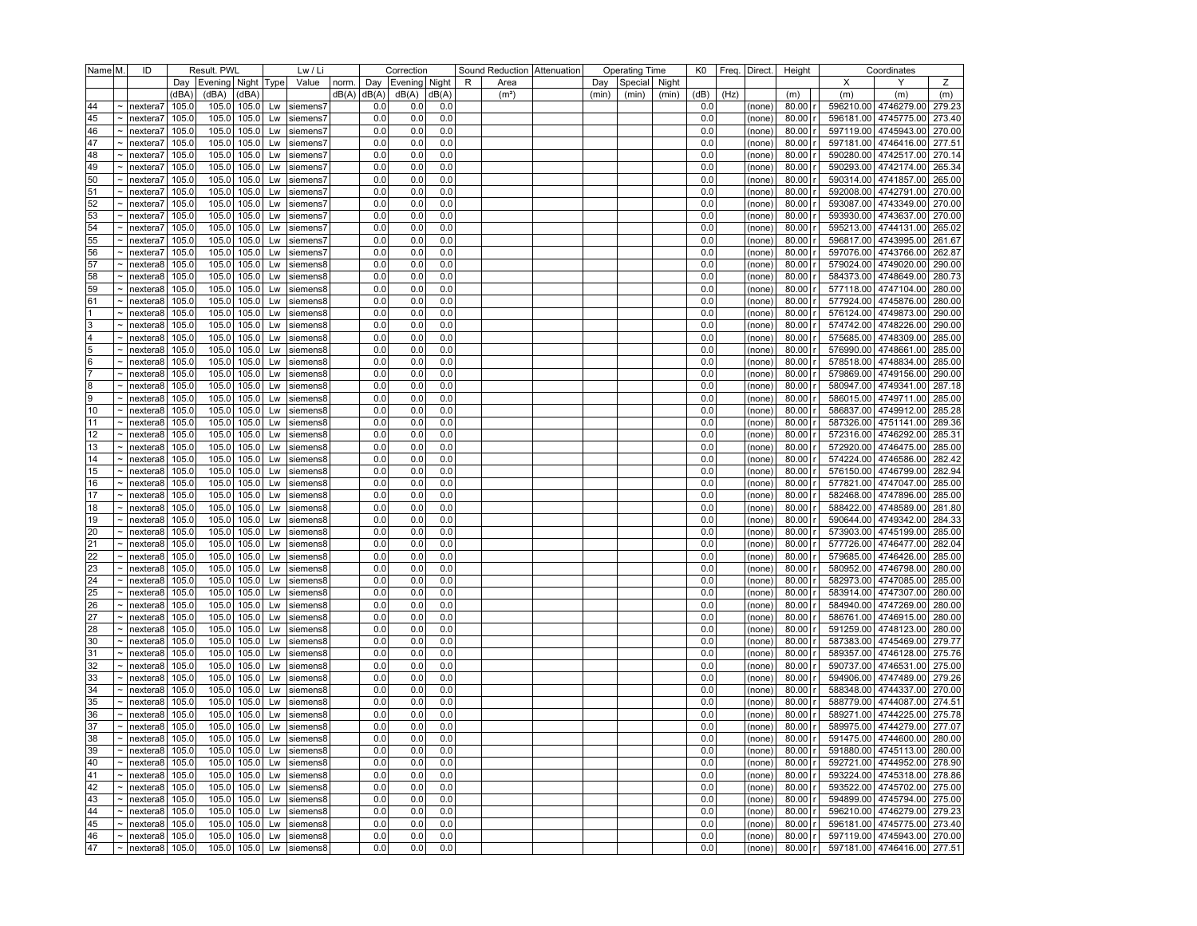| Evening   Night<br>X<br>Ζ<br>Day<br>Evening Night Type<br>Value<br>norm.<br>Day<br>R<br>Area<br>Special<br>Night<br>Y<br>Day<br>(dBA)<br>(dBA)<br>(dBA)<br>dB(A)<br>dB(A)<br>dB(A)<br>dB(A)<br>(dB)<br>(Hz)<br>(m)<br>(m <sup>2</sup> )<br>(min)<br>(min)<br>(min)<br>(m)<br>(m)<br>(m)<br>105.0<br>0.0<br>80.00<br>596210.00 4746279.00<br>279.23<br>44<br>nextera7<br>105.0<br>105.0<br>Lw<br>siemens7<br>0.0<br>0.0<br>0.0<br>(none)<br>45<br>105.0<br>105.0<br>$105.0$ Lw<br>siemens7<br>0.0<br>0.0<br>0.0<br>0.0<br>80.00<br>596181.00 4745775.00<br>273.40<br>nextera7<br>(none)<br>0.0<br>80.00<br>597119.00 4745943.00<br>270.00<br>46<br>105.0<br>105.0<br>105.0<br>Lw<br>0.0<br>0.0<br>0.0<br>nextera7<br>siemens7<br>(none)<br>47<br>105.0<br>105.0<br>0.0<br>0.0<br>0.0<br>0.0<br>80.00<br>597181.00 4746416.00<br>277.51<br>nextera7<br>105.0<br>Lw<br>siemens7<br>(none)<br>105.0<br>105.0<br>590280.00 4742517.00<br>270.14<br>48<br>105.0<br>siemens7<br>0.0<br>0.0<br>0.0<br>0.0<br>80.00<br>nextera7<br>Lw<br>(none)<br>105.0<br>590293.00 4742174.00<br>49<br>105.0<br>105.0<br>0.0<br>0.0<br>0.0<br>0.0<br>80.00<br>265.34<br>nextera7<br>Lw<br>siemens7<br>(none)<br>50<br>590314.00 4741857.00<br>265.00<br>105.0<br>105.0<br>105.0<br>0.0<br>0.0<br>0.0<br>0.0<br>80.00<br>nextera7<br>Lw<br>siemens7<br>(none)<br>592008.00 4742791.00<br>51<br>105.0<br>105.0<br>105.0<br>0.0<br>0.0<br>0.0<br>0.0<br>80.00<br>270.00<br>nextera7<br>Lw<br>siemens7<br>(none)<br>52<br>105.0<br>105.0<br>593087.00 4743349.00<br>105.0<br>0.0<br>0.0<br>0.0<br>0.0<br>80.00<br>270.00<br>nextera7<br>Lw<br>siemens7<br>(none)<br>53<br>593930.00 4743637.00<br>270.00<br>105.0<br>105.0<br>105.0<br>0.0<br>0.0<br>0.0<br>0.0<br>80.00<br>nextera7<br>Lw<br>siemens7<br>(none)<br>54<br>105.0<br>105.0<br>$105.0$ Lw<br>0.0<br>0.0<br>0.0<br>0.0<br>80.00<br>595213.00 4744131.00<br>265.02<br>nextera7<br>siemens7<br>(none)<br>55<br>105.0<br>105.0<br>0.0<br>0.0<br>596817.00 4743995.00<br>261.67<br>nextera7<br>105.0<br>siemens7<br>0.0<br>0.0<br>80.00<br>Lw<br>(none)<br>56<br>105.0<br>105.0<br>105.0<br>0.0<br>0.0<br>0.0<br>0.0<br>80.00<br>597076.00 4743766.00<br>262.87<br>nextera7<br>Lw<br>siemens7<br>(none)<br>57<br>105.0<br>105.0<br>579024.00 4749020.00<br>290.00<br>105.0<br>0.0<br>0.0<br>0.0<br>0.0<br>80.00<br>nextera8<br>Lw<br>siemens8<br>(none)<br>105.0<br>58<br>nextera8<br>105.0<br>105.0<br>0.0<br>0.0<br>0.0<br>0.0<br>80.00<br>584373.00 4748649.00<br>280.73<br>Lw<br>siemens8<br>(none)<br>105.0<br>577118.00 4747104.00<br>59<br>105.0<br>105.0<br>0.0<br>0.0<br>0.0<br>0.0<br>80.00<br>280.00<br>nextera8<br>Lw<br>siemens8<br>(none)<br>61<br>105.0<br>0.0<br>577924.00 4745876.00<br>105.0<br>105.0<br>0.0<br>0.0<br>0.0<br>80.00<br>280.00<br>nextera8<br>Lw<br>siemens8<br>(none)<br>105.0<br>576124.00 4749873.00<br>105.0<br>105.0<br>0.0<br>0.0<br>0.0<br>0.0<br>80.00<br>290.00<br>1<br>nextera8<br>Lw<br>siemens8<br>(none)<br>105.0<br>105.0<br>574742.00 4748226.00<br>290.00<br>3<br>105.0<br>siemens8<br>0.0<br>0.0<br>0.0<br>0.0<br>80.00<br>nextera8<br>Lw<br>(none)<br>575685.00 4748309.00<br>4<br>105.0<br>105.0<br>105.0<br>0.0<br>0.0<br>0.0<br>0.0<br>80.00<br>285.00<br>nextera8<br>Lw<br>siemens8<br>(none)<br>5<br>105.0<br>576990.00 4748661.00<br>nextera8<br>105.0<br>105.0<br>siemens8<br>0.0<br>0.0<br>0.0<br>0.0<br>80.00<br>285.00<br>Lw<br>(none)<br>6<br>105.0<br>105.0<br>105.0<br>0.0<br>0.0<br>0.0<br>0.0<br>80.00<br>578518.00 4748834.00<br>285.00<br>nextera8<br>Lw<br>siemens8<br>(none)<br>17<br>105.0<br>105.0<br>0.0<br>0.0<br>579869.00 4749156.00<br>105.0<br>0.0<br>0.0<br>80.00<br>290.00<br>nextera8<br>Lw<br>siemens8<br>(none)<br>8<br>105.0<br>105.0<br>105.0<br>0.0<br>0.0<br>0.0<br>0.0<br>80.00<br>580947.00 4749341.00<br>287.18<br>nextera8<br>Lw<br>siemens8<br>(none)<br>9<br>105.0<br>105.0<br>105.0<br>0.0<br>0.0<br>0.0<br>0.0<br>80.00<br>586015.00 4749711.00<br>285.00<br>nextera8<br>Lw<br>siemens8<br>(none)<br>10<br>105.0<br>105.0<br>0.0<br>0.0<br>586837.00 4749912.00<br>285.28<br>105.0<br>0.0<br>0.0<br>80.00<br>nextera8<br>Lw<br>siemens8<br>(none)<br>105.0<br>105.0<br>105.0<br>0.0<br>0.0<br>0.0<br>0.0<br>80.00<br>587326.00 4751141.00<br>289.36<br>11<br>nextera8<br>Lw<br>siemens8<br>(none)<br>105.0<br>572316.00 4746292.00<br>285.31<br>12<br>105.0<br>105.0<br>siemens8<br>0.0<br>0.0<br>0.0<br>0.0<br>80.00<br>nextera8<br>Lw<br>(none)<br>105.0<br>0.0<br>572920.00 4746475.00<br>13<br>105.0<br>105.0<br>0.0<br>0.0<br>0.0<br>80.00<br>285.00<br>nextera8<br>Lw<br>siemens8<br>(none)<br>105.0<br>105.0<br>0.0<br>574224.00 4746586.00<br>nextera8<br>105.0<br>Lw<br>siemens8<br>0.0<br>0.0<br>0.0<br>80.00<br>282.42<br>14<br>(none)<br>576150.00 4746799.00<br>105.0<br>105.0<br>105.0<br>0.0<br>0.0<br>0.0<br>0.0<br>80.00<br>282.94<br>15<br>nextera8<br>Lw<br>siemens8<br>(none)<br>105.0<br>0.0<br>0.0<br>577821.00 4747047.00<br>285.00<br>nextera8<br>105.0<br>105.0<br>0.0<br>0.0<br>80.00<br>16<br>Lw<br>siemens8<br>(none)<br>582468.00 4747896.00<br>17<br>105.0<br>105.0<br>105.0<br>0.0<br>0.0<br>0.0<br>0.0<br>80.00<br>285.00<br>nextera8<br>Lw<br>siemens8<br>(none)<br>588422.00 4748589.00<br>281.80<br>105.0<br>105.0<br>105.0<br>0.0<br>0.0<br>0.0<br>0.0<br>80.00<br>18<br>nextera8<br>Lw<br>siemens8<br>(none)<br>105.0<br>0.0<br>590644.00 4749342.00<br>19<br>nextera8<br>105.0<br>105.0<br>0.0<br>0.0<br>0.0<br>80.00<br>284.33<br>Lw<br>siemens8<br>(none)<br>573903.00 4745199.00<br>20<br>105.0<br>105.0<br>105.0<br>0.0<br>0.0<br>0.0<br>0.0<br>80.00<br>285.00<br>nextera8<br>Lw<br>siemens8<br>(none)<br> 21<br>105.0<br>105.0<br>0.0<br>0.0<br>0.0<br>577726.00 4746477.00<br>282.04<br>105.0<br>siemens8<br>0.0<br>80.00<br>nextera8<br>Lw<br>(none)<br>105.0<br>22<br>105.0<br>105.0<br>0.0<br>0.0<br>0.0<br>0.0<br>80.00<br>579685.00 4746426.00<br>285.00<br>nextera8<br>Lw<br>siemens8<br>(none)<br>23<br>580952.00 4746798.00<br>105.0<br>105.0<br>105.0<br>0.0<br>0.0<br>0.0<br>0.0<br>80.00<br>280.00<br>nextera8<br>Lw<br>siemens8<br>(none)<br>24<br>582973.00 4747085.00<br>285.00<br>105.0<br>105.0<br>105.0<br>0.0<br>0.0<br>0.0<br>0.0<br>80.00<br>nextera8<br>Lw<br>siemens8<br>(none)<br>105.0<br>583914.00 4747307.00<br>25<br>nextera8<br>105.0<br>105.0<br>0.0<br>0.0<br>0.0<br>0.0<br>80.00<br>280.00<br>Lw<br>siemens8<br>(none)<br>584940.00 4747269.00<br>26<br>105.0<br>105.0<br>105.0<br>0.0<br>0.0<br>0.0<br>0.0<br>80.00<br>280.00<br>nextera8<br>Lw<br>siemens8<br>(none)<br>27<br>586761.00 4746915.00<br>105.0<br>105.0<br>0.0<br>0.0<br>0.0<br>80.00<br>280.00<br>nextera8<br>105.0<br>Lw<br>siemens8<br>0.0<br>(none)<br>105.0<br>0.0<br>591259.00 4748123.00<br>28<br>nextera8<br>105.0<br>105.0<br>0.0<br>0.0<br>0.0<br>80.00<br>280.00<br>Lw<br>siemens8<br>(none)<br>30<br>105.0<br>105.0<br>105.0<br>0.0<br>0.0<br>0.0<br>0.0<br>80.00<br>587383.00 4745469.00<br>279.77<br>nextera8<br>Lw<br>siemens8<br>(none)<br>589357.00 4746128.00<br>275.76<br>31<br>105.0<br>105.0<br>105.0<br>siemens8<br>0.0<br>0.0<br>0.0<br>0.0<br>80.00<br>nextera8<br>Lw<br>(none)<br>105.0<br>32<br>105.0<br>105.0<br>0.0<br>0.0<br>0.0<br>0.0<br>80.00<br>590737.00 4746531.00<br>275.00<br>nextera8<br>Lw<br>siemens8<br>(none)<br>33<br>105.0<br>105.0<br>105.0<br>0.0<br>0.0<br>0.0<br>0.0<br>80.00<br>594906.00 4747489.00<br>279.26<br>nextera8<br>Lw<br>siemens8<br>(none)<br>34<br>105.0<br>105.0<br>105.0<br>0.0<br>0.0<br>0.0<br>0.0<br>80.00<br>588348.00 4744337.00<br>270.00<br>nextera8<br>Lw<br>siemens8<br>(none)<br>35<br>nextera8<br>105.0<br>105.0<br>105.0<br>0.0<br>0.0<br>0.0<br>0.0<br>80.00<br>588779.00 4744087.00<br>274.51<br>Lw<br>siemens8<br>(none)<br>589271.00 4744225.00<br>36<br>105.0<br>105.0<br>105.0<br>0.0<br>0.0<br>0.0<br>0.0<br>80.00<br>275.78<br>nextera8<br>Lw<br>siemens8<br>(none)<br>37<br>105.0<br>105.0<br>$105.0$ Lw<br>0.0<br>0.0<br>0.0<br>0.0<br>80.00<br>589975.00 4744279.00 277.07<br>nextera8<br>siemens8<br>(none)<br>38<br>105.0<br>105.0<br>$105.0$ Lw<br>0.0<br>0.0<br>0.0<br>80.00 r<br>591475.00 4744600.00 280.00<br>$\tilde{}$<br>0.0<br>nextera8<br>siemens8<br>(none)<br>39<br>105.0<br>105.0 105.0 Lw siemens8<br>0.0<br>0.0<br>0.0<br>$80.00$ r<br>591880.00 4745113.00 280.00<br>$\sim$   nextera8  <br>0.0<br>(none)<br>40<br>105.0 105.0 Lw<br>siemens8<br>0.0<br>0.0<br>0.0<br>0.0<br>80.00 <br>592721.00 4744952.00 278.90<br>$\sim$   nextera8<br>105.0<br>(none)<br>41<br>105.0 105.0 Lw<br>0.0<br>0.0<br>80.00<br>593224.00 4745318.00 278.86<br>nextera8<br>105.0<br>siemens8<br>0.0<br>0.0<br>$\tilde{}$<br>(none)<br>42<br>593522.00 4745702.00 275.00<br>nextera <sub>8</sub><br>105.0 105.0<br>Lw<br>siemens8<br>0.0<br>0.0<br>0.0<br>0.0<br>80.00<br>105.0<br>(none)<br>43<br>105.0 105.0 Lw<br>siemens8<br>0.0<br>0.0<br>0.0<br>80.00<br>594899.00 4745794.00 275.00<br> nextera8 <br>105.0<br>0.0<br>(none)<br>596210.00 4746279.00 279.23<br>105.0<br>105.0<br>$105.0$ Lw<br>0.0<br>0.0<br>44<br>nextera8<br>siemens8<br>0.0<br>0.0<br>80.00<br>$\tilde{ }$<br>(none)<br>45<br>596181.00 4745775.00 273.40<br>105.0<br>105.0<br>105.0<br>Lw<br>siemens8<br>0.0<br>0.0<br>0.0<br>0.0<br>80.00<br>nextera8<br>(none)<br>46<br>nextera <sub>8</sub><br>105.0 105.0 Lw<br>siemens8<br>0.0<br>0.0<br>0.0<br>0.0<br>80.00 <br>597119.00 4745943.00 270.00<br>105.0<br>(none)<br>47<br>$0.0\,$<br>597181.00 4746416.00 277.51<br>nextera <sub>8</sub><br>105.0<br>105.0 105.0 Lw siemens8<br>0.0<br>0.0<br>0.0<br>80.00 <br>$\tilde{}$<br>(none) | Name M. | ID | Result. PWL<br>Lw / Li |  |  |  | Correction |  | Sound Reduction   Attenuation |  | <b>Operating Time</b> | K0 | Freq.   Direct. | Height | Coordinates |  |
|--------------------------------------------------------------------------------------------------------------------------------------------------------------------------------------------------------------------------------------------------------------------------------------------------------------------------------------------------------------------------------------------------------------------------------------------------------------------------------------------------------------------------------------------------------------------------------------------------------------------------------------------------------------------------------------------------------------------------------------------------------------------------------------------------------------------------------------------------------------------------------------------------------------------------------------------------------------------------------------------------------------------------------------------------------------------------------------------------------------------------------------------------------------------------------------------------------------------------------------------------------------------------------------------------------------------------------------------------------------------------------------------------------------------------------------------------------------------------------------------------------------------------------------------------------------------------------------------------------------------------------------------------------------------------------------------------------------------------------------------------------------------------------------------------------------------------------------------------------------------------------------------------------------------------------------------------------------------------------------------------------------------------------------------------------------------------------------------------------------------------------------------------------------------------------------------------------------------------------------------------------------------------------------------------------------------------------------------------------------------------------------------------------------------------------------------------------------------------------------------------------------------------------------------------------------------------------------------------------------------------------------------------------------------------------------------------------------------------------------------------------------------------------------------------------------------------------------------------------------------------------------------------------------------------------------------------------------------------------------------------------------------------------------------------------------------------------------------------------------------------------------------------------------------------------------------------------------------------------------------------------------------------------------------------------------------------------------------------------------------------------------------------------------------------------------------------------------------------------------------------------------------------------------------------------------------------------------------------------------------------------------------------------------------------------------------------------------------------------------------------------------------------------------------------------------------------------------------------------------------------------------------------------------------------------------------------------------------------------------------------------------------------------------------------------------------------------------------------------------------------------------------------------------------------------------------------------------------------------------------------------------------------------------------------------------------------------------------------------------------------------------------------------------------------------------------------------------------------------------------------------------------------------------------------------------------------------------------------------------------------------------------------------------------------------------------------------------------------------------------------------------------------------------------------------------------------------------------------------------------------------------------------------------------------------------------------------------------------------------------------------------------------------------------------------------------------------------------------------------------------------------------------------------------------------------------------------------------------------------------------------------------------------------------------------------------------------------------------------------------------------------------------------------------------------------------------------------------------------------------------------------------------------------------------------------------------------------------------------------------------------------------------------------------------------------------------------------------------------------------------------------------------------------------------------------------------------------------------------------------------------------------------------------------------------------------------------------------------------------------------------------------------------------------------------------------------------------------------------------------------------------------------------------------------------------------------------------------------------------------------------------------------------------------------------------------------------------------------------------------------------------------------------------------------------------------------------------------------------------------------------------------------------------------------------------------------------------------------------------------------------------------------------------------------------------------------------------------------------------------------------------------------------------------------------------------------------------------------------------------------------------------------------------------------------------------------------------------------------------------------------------------------------------------------------------------------------------------------------------------------------------------------------------------------------------------------------------------------------------------------------------------------------------------------------------------------------------------------------------------------------------------------------------------------------------------------------------------------------------------------------------------------------------------------------------------------------------------------------------------------------------------------------------------------------------------------------------------------------------------------------------------------------------------------------------------------------------------------------------------------------------------------------------------------------------------------------------------------------------------------------------------------------------------------------------------------------------------------------------------------------------------------------------------------------------------------------------------------------------------------------------------------------------------------------------------------------------------------------------------------------------------------------------------------------------------------------------------------------------------------------------------------------------------------------------------------------------------------------------------------------------------------------------------------------------------------------------------------------------------------------------------------------------------------------------------------------------------------------------------------------------------------------------------------------------------------------------------------------------------------------------------------------------------------------------------------------------------------------------------------------------------------------------------------------------------------------------------------------------------------------------------------------------------------------------------------------------------------------------------------------------------------------------------------------------------------------------------------------------------------------------------------------------------------------------------------------------------------------------------------------|---------|----|------------------------|--|--|--|------------|--|-------------------------------|--|-----------------------|----|-----------------|--------|-------------|--|
|                                                                                                                                                                                                                                                                                                                                                                                                                                                                                                                                                                                                                                                                                                                                                                                                                                                                                                                                                                                                                                                                                                                                                                                                                                                                                                                                                                                                                                                                                                                                                                                                                                                                                                                                                                                                                                                                                                                                                                                                                                                                                                                                                                                                                                                                                                                                                                                                                                                                                                                                                                                                                                                                                                                                                                                                                                                                                                                                                                                                                                                                                                                                                                                                                                                                                                                                                                                                                                                                                                                                                                                                                                                                                                                                                                                                                                                                                                                                                                                                                                                                                                                                                                                                                                                                                                                                                                                                                                                                                                                                                                                                                                                                                                                                                                                                                                                                                                                                                                                                                                                                                                                                                                                                                                                                                                                                                                                                                                                                                                                                                                                                                                                                                                                                                                                                                                                                                                                                                                                                                                                                                                                                                                                                                                                                                                                                                                                                                                                                                                                                                                                                                                                                                                                                                                                                                                                                                                                                                                                                                                                                                                                                                                                                                                                                                                                                                                                                                                                                                                                                                                                                                                                                                                                                                                                                                                                                                                                                                                                                                                                                                                                                                                                                                                                                                                                                                                                                                                                                                                                                                                                                                                                                                                                                                                                                                                                                                                                                                                                                                                                                                                                                                                                                                                                                                                                                                                                                                                                                                                                                                                                                                                |         |    |                        |  |  |  |            |  |                               |  |                       |    |                 |        |             |  |
|                                                                                                                                                                                                                                                                                                                                                                                                                                                                                                                                                                                                                                                                                                                                                                                                                                                                                                                                                                                                                                                                                                                                                                                                                                                                                                                                                                                                                                                                                                                                                                                                                                                                                                                                                                                                                                                                                                                                                                                                                                                                                                                                                                                                                                                                                                                                                                                                                                                                                                                                                                                                                                                                                                                                                                                                                                                                                                                                                                                                                                                                                                                                                                                                                                                                                                                                                                                                                                                                                                                                                                                                                                                                                                                                                                                                                                                                                                                                                                                                                                                                                                                                                                                                                                                                                                                                                                                                                                                                                                                                                                                                                                                                                                                                                                                                                                                                                                                                                                                                                                                                                                                                                                                                                                                                                                                                                                                                                                                                                                                                                                                                                                                                                                                                                                                                                                                                                                                                                                                                                                                                                                                                                                                                                                                                                                                                                                                                                                                                                                                                                                                                                                                                                                                                                                                                                                                                                                                                                                                                                                                                                                                                                                                                                                                                                                                                                                                                                                                                                                                                                                                                                                                                                                                                                                                                                                                                                                                                                                                                                                                                                                                                                                                                                                                                                                                                                                                                                                                                                                                                                                                                                                                                                                                                                                                                                                                                                                                                                                                                                                                                                                                                                                                                                                                                                                                                                                                                                                                                                                                                                                                                                                |         |    |                        |  |  |  |            |  |                               |  |                       |    |                 |        |             |  |
|                                                                                                                                                                                                                                                                                                                                                                                                                                                                                                                                                                                                                                                                                                                                                                                                                                                                                                                                                                                                                                                                                                                                                                                                                                                                                                                                                                                                                                                                                                                                                                                                                                                                                                                                                                                                                                                                                                                                                                                                                                                                                                                                                                                                                                                                                                                                                                                                                                                                                                                                                                                                                                                                                                                                                                                                                                                                                                                                                                                                                                                                                                                                                                                                                                                                                                                                                                                                                                                                                                                                                                                                                                                                                                                                                                                                                                                                                                                                                                                                                                                                                                                                                                                                                                                                                                                                                                                                                                                                                                                                                                                                                                                                                                                                                                                                                                                                                                                                                                                                                                                                                                                                                                                                                                                                                                                                                                                                                                                                                                                                                                                                                                                                                                                                                                                                                                                                                                                                                                                                                                                                                                                                                                                                                                                                                                                                                                                                                                                                                                                                                                                                                                                                                                                                                                                                                                                                                                                                                                                                                                                                                                                                                                                                                                                                                                                                                                                                                                                                                                                                                                                                                                                                                                                                                                                                                                                                                                                                                                                                                                                                                                                                                                                                                                                                                                                                                                                                                                                                                                                                                                                                                                                                                                                                                                                                                                                                                                                                                                                                                                                                                                                                                                                                                                                                                                                                                                                                                                                                                                                                                                                                                                |         |    |                        |  |  |  |            |  |                               |  |                       |    |                 |        |             |  |
|                                                                                                                                                                                                                                                                                                                                                                                                                                                                                                                                                                                                                                                                                                                                                                                                                                                                                                                                                                                                                                                                                                                                                                                                                                                                                                                                                                                                                                                                                                                                                                                                                                                                                                                                                                                                                                                                                                                                                                                                                                                                                                                                                                                                                                                                                                                                                                                                                                                                                                                                                                                                                                                                                                                                                                                                                                                                                                                                                                                                                                                                                                                                                                                                                                                                                                                                                                                                                                                                                                                                                                                                                                                                                                                                                                                                                                                                                                                                                                                                                                                                                                                                                                                                                                                                                                                                                                                                                                                                                                                                                                                                                                                                                                                                                                                                                                                                                                                                                                                                                                                                                                                                                                                                                                                                                                                                                                                                                                                                                                                                                                                                                                                                                                                                                                                                                                                                                                                                                                                                                                                                                                                                                                                                                                                                                                                                                                                                                                                                                                                                                                                                                                                                                                                                                                                                                                                                                                                                                                                                                                                                                                                                                                                                                                                                                                                                                                                                                                                                                                                                                                                                                                                                                                                                                                                                                                                                                                                                                                                                                                                                                                                                                                                                                                                                                                                                                                                                                                                                                                                                                                                                                                                                                                                                                                                                                                                                                                                                                                                                                                                                                                                                                                                                                                                                                                                                                                                                                                                                                                                                                                                                                                |         |    |                        |  |  |  |            |  |                               |  |                       |    |                 |        |             |  |
|                                                                                                                                                                                                                                                                                                                                                                                                                                                                                                                                                                                                                                                                                                                                                                                                                                                                                                                                                                                                                                                                                                                                                                                                                                                                                                                                                                                                                                                                                                                                                                                                                                                                                                                                                                                                                                                                                                                                                                                                                                                                                                                                                                                                                                                                                                                                                                                                                                                                                                                                                                                                                                                                                                                                                                                                                                                                                                                                                                                                                                                                                                                                                                                                                                                                                                                                                                                                                                                                                                                                                                                                                                                                                                                                                                                                                                                                                                                                                                                                                                                                                                                                                                                                                                                                                                                                                                                                                                                                                                                                                                                                                                                                                                                                                                                                                                                                                                                                                                                                                                                                                                                                                                                                                                                                                                                                                                                                                                                                                                                                                                                                                                                                                                                                                                                                                                                                                                                                                                                                                                                                                                                                                                                                                                                                                                                                                                                                                                                                                                                                                                                                                                                                                                                                                                                                                                                                                                                                                                                                                                                                                                                                                                                                                                                                                                                                                                                                                                                                                                                                                                                                                                                                                                                                                                                                                                                                                                                                                                                                                                                                                                                                                                                                                                                                                                                                                                                                                                                                                                                                                                                                                                                                                                                                                                                                                                                                                                                                                                                                                                                                                                                                                                                                                                                                                                                                                                                                                                                                                                                                                                                                                                |         |    |                        |  |  |  |            |  |                               |  |                       |    |                 |        |             |  |
|                                                                                                                                                                                                                                                                                                                                                                                                                                                                                                                                                                                                                                                                                                                                                                                                                                                                                                                                                                                                                                                                                                                                                                                                                                                                                                                                                                                                                                                                                                                                                                                                                                                                                                                                                                                                                                                                                                                                                                                                                                                                                                                                                                                                                                                                                                                                                                                                                                                                                                                                                                                                                                                                                                                                                                                                                                                                                                                                                                                                                                                                                                                                                                                                                                                                                                                                                                                                                                                                                                                                                                                                                                                                                                                                                                                                                                                                                                                                                                                                                                                                                                                                                                                                                                                                                                                                                                                                                                                                                                                                                                                                                                                                                                                                                                                                                                                                                                                                                                                                                                                                                                                                                                                                                                                                                                                                                                                                                                                                                                                                                                                                                                                                                                                                                                                                                                                                                                                                                                                                                                                                                                                                                                                                                                                                                                                                                                                                                                                                                                                                                                                                                                                                                                                                                                                                                                                                                                                                                                                                                                                                                                                                                                                                                                                                                                                                                                                                                                                                                                                                                                                                                                                                                                                                                                                                                                                                                                                                                                                                                                                                                                                                                                                                                                                                                                                                                                                                                                                                                                                                                                                                                                                                                                                                                                                                                                                                                                                                                                                                                                                                                                                                                                                                                                                                                                                                                                                                                                                                                                                                                                                                                                |         |    |                        |  |  |  |            |  |                               |  |                       |    |                 |        |             |  |
|                                                                                                                                                                                                                                                                                                                                                                                                                                                                                                                                                                                                                                                                                                                                                                                                                                                                                                                                                                                                                                                                                                                                                                                                                                                                                                                                                                                                                                                                                                                                                                                                                                                                                                                                                                                                                                                                                                                                                                                                                                                                                                                                                                                                                                                                                                                                                                                                                                                                                                                                                                                                                                                                                                                                                                                                                                                                                                                                                                                                                                                                                                                                                                                                                                                                                                                                                                                                                                                                                                                                                                                                                                                                                                                                                                                                                                                                                                                                                                                                                                                                                                                                                                                                                                                                                                                                                                                                                                                                                                                                                                                                                                                                                                                                                                                                                                                                                                                                                                                                                                                                                                                                                                                                                                                                                                                                                                                                                                                                                                                                                                                                                                                                                                                                                                                                                                                                                                                                                                                                                                                                                                                                                                                                                                                                                                                                                                                                                                                                                                                                                                                                                                                                                                                                                                                                                                                                                                                                                                                                                                                                                                                                                                                                                                                                                                                                                                                                                                                                                                                                                                                                                                                                                                                                                                                                                                                                                                                                                                                                                                                                                                                                                                                                                                                                                                                                                                                                                                                                                                                                                                                                                                                                                                                                                                                                                                                                                                                                                                                                                                                                                                                                                                                                                                                                                                                                                                                                                                                                                                                                                                                                                                |         |    |                        |  |  |  |            |  |                               |  |                       |    |                 |        |             |  |
|                                                                                                                                                                                                                                                                                                                                                                                                                                                                                                                                                                                                                                                                                                                                                                                                                                                                                                                                                                                                                                                                                                                                                                                                                                                                                                                                                                                                                                                                                                                                                                                                                                                                                                                                                                                                                                                                                                                                                                                                                                                                                                                                                                                                                                                                                                                                                                                                                                                                                                                                                                                                                                                                                                                                                                                                                                                                                                                                                                                                                                                                                                                                                                                                                                                                                                                                                                                                                                                                                                                                                                                                                                                                                                                                                                                                                                                                                                                                                                                                                                                                                                                                                                                                                                                                                                                                                                                                                                                                                                                                                                                                                                                                                                                                                                                                                                                                                                                                                                                                                                                                                                                                                                                                                                                                                                                                                                                                                                                                                                                                                                                                                                                                                                                                                                                                                                                                                                                                                                                                                                                                                                                                                                                                                                                                                                                                                                                                                                                                                                                                                                                                                                                                                                                                                                                                                                                                                                                                                                                                                                                                                                                                                                                                                                                                                                                                                                                                                                                                                                                                                                                                                                                                                                                                                                                                                                                                                                                                                                                                                                                                                                                                                                                                                                                                                                                                                                                                                                                                                                                                                                                                                                                                                                                                                                                                                                                                                                                                                                                                                                                                                                                                                                                                                                                                                                                                                                                                                                                                                                                                                                                                                                |         |    |                        |  |  |  |            |  |                               |  |                       |    |                 |        |             |  |
|                                                                                                                                                                                                                                                                                                                                                                                                                                                                                                                                                                                                                                                                                                                                                                                                                                                                                                                                                                                                                                                                                                                                                                                                                                                                                                                                                                                                                                                                                                                                                                                                                                                                                                                                                                                                                                                                                                                                                                                                                                                                                                                                                                                                                                                                                                                                                                                                                                                                                                                                                                                                                                                                                                                                                                                                                                                                                                                                                                                                                                                                                                                                                                                                                                                                                                                                                                                                                                                                                                                                                                                                                                                                                                                                                                                                                                                                                                                                                                                                                                                                                                                                                                                                                                                                                                                                                                                                                                                                                                                                                                                                                                                                                                                                                                                                                                                                                                                                                                                                                                                                                                                                                                                                                                                                                                                                                                                                                                                                                                                                                                                                                                                                                                                                                                                                                                                                                                                                                                                                                                                                                                                                                                                                                                                                                                                                                                                                                                                                                                                                                                                                                                                                                                                                                                                                                                                                                                                                                                                                                                                                                                                                                                                                                                                                                                                                                                                                                                                                                                                                                                                                                                                                                                                                                                                                                                                                                                                                                                                                                                                                                                                                                                                                                                                                                                                                                                                                                                                                                                                                                                                                                                                                                                                                                                                                                                                                                                                                                                                                                                                                                                                                                                                                                                                                                                                                                                                                                                                                                                                                                                                                                                |         |    |                        |  |  |  |            |  |                               |  |                       |    |                 |        |             |  |
|                                                                                                                                                                                                                                                                                                                                                                                                                                                                                                                                                                                                                                                                                                                                                                                                                                                                                                                                                                                                                                                                                                                                                                                                                                                                                                                                                                                                                                                                                                                                                                                                                                                                                                                                                                                                                                                                                                                                                                                                                                                                                                                                                                                                                                                                                                                                                                                                                                                                                                                                                                                                                                                                                                                                                                                                                                                                                                                                                                                                                                                                                                                                                                                                                                                                                                                                                                                                                                                                                                                                                                                                                                                                                                                                                                                                                                                                                                                                                                                                                                                                                                                                                                                                                                                                                                                                                                                                                                                                                                                                                                                                                                                                                                                                                                                                                                                                                                                                                                                                                                                                                                                                                                                                                                                                                                                                                                                                                                                                                                                                                                                                                                                                                                                                                                                                                                                                                                                                                                                                                                                                                                                                                                                                                                                                                                                                                                                                                                                                                                                                                                                                                                                                                                                                                                                                                                                                                                                                                                                                                                                                                                                                                                                                                                                                                                                                                                                                                                                                                                                                                                                                                                                                                                                                                                                                                                                                                                                                                                                                                                                                                                                                                                                                                                                                                                                                                                                                                                                                                                                                                                                                                                                                                                                                                                                                                                                                                                                                                                                                                                                                                                                                                                                                                                                                                                                                                                                                                                                                                                                                                                                                                                |         |    |                        |  |  |  |            |  |                               |  |                       |    |                 |        |             |  |
|                                                                                                                                                                                                                                                                                                                                                                                                                                                                                                                                                                                                                                                                                                                                                                                                                                                                                                                                                                                                                                                                                                                                                                                                                                                                                                                                                                                                                                                                                                                                                                                                                                                                                                                                                                                                                                                                                                                                                                                                                                                                                                                                                                                                                                                                                                                                                                                                                                                                                                                                                                                                                                                                                                                                                                                                                                                                                                                                                                                                                                                                                                                                                                                                                                                                                                                                                                                                                                                                                                                                                                                                                                                                                                                                                                                                                                                                                                                                                                                                                                                                                                                                                                                                                                                                                                                                                                                                                                                                                                                                                                                                                                                                                                                                                                                                                                                                                                                                                                                                                                                                                                                                                                                                                                                                                                                                                                                                                                                                                                                                                                                                                                                                                                                                                                                                                                                                                                                                                                                                                                                                                                                                                                                                                                                                                                                                                                                                                                                                                                                                                                                                                                                                                                                                                                                                                                                                                                                                                                                                                                                                                                                                                                                                                                                                                                                                                                                                                                                                                                                                                                                                                                                                                                                                                                                                                                                                                                                                                                                                                                                                                                                                                                                                                                                                                                                                                                                                                                                                                                                                                                                                                                                                                                                                                                                                                                                                                                                                                                                                                                                                                                                                                                                                                                                                                                                                                                                                                                                                                                                                                                                                                                |         |    |                        |  |  |  |            |  |                               |  |                       |    |                 |        |             |  |
|                                                                                                                                                                                                                                                                                                                                                                                                                                                                                                                                                                                                                                                                                                                                                                                                                                                                                                                                                                                                                                                                                                                                                                                                                                                                                                                                                                                                                                                                                                                                                                                                                                                                                                                                                                                                                                                                                                                                                                                                                                                                                                                                                                                                                                                                                                                                                                                                                                                                                                                                                                                                                                                                                                                                                                                                                                                                                                                                                                                                                                                                                                                                                                                                                                                                                                                                                                                                                                                                                                                                                                                                                                                                                                                                                                                                                                                                                                                                                                                                                                                                                                                                                                                                                                                                                                                                                                                                                                                                                                                                                                                                                                                                                                                                                                                                                                                                                                                                                                                                                                                                                                                                                                                                                                                                                                                                                                                                                                                                                                                                                                                                                                                                                                                                                                                                                                                                                                                                                                                                                                                                                                                                                                                                                                                                                                                                                                                                                                                                                                                                                                                                                                                                                                                                                                                                                                                                                                                                                                                                                                                                                                                                                                                                                                                                                                                                                                                                                                                                                                                                                                                                                                                                                                                                                                                                                                                                                                                                                                                                                                                                                                                                                                                                                                                                                                                                                                                                                                                                                                                                                                                                                                                                                                                                                                                                                                                                                                                                                                                                                                                                                                                                                                                                                                                                                                                                                                                                                                                                                                                                                                                                                                |         |    |                        |  |  |  |            |  |                               |  |                       |    |                 |        |             |  |
|                                                                                                                                                                                                                                                                                                                                                                                                                                                                                                                                                                                                                                                                                                                                                                                                                                                                                                                                                                                                                                                                                                                                                                                                                                                                                                                                                                                                                                                                                                                                                                                                                                                                                                                                                                                                                                                                                                                                                                                                                                                                                                                                                                                                                                                                                                                                                                                                                                                                                                                                                                                                                                                                                                                                                                                                                                                                                                                                                                                                                                                                                                                                                                                                                                                                                                                                                                                                                                                                                                                                                                                                                                                                                                                                                                                                                                                                                                                                                                                                                                                                                                                                                                                                                                                                                                                                                                                                                                                                                                                                                                                                                                                                                                                                                                                                                                                                                                                                                                                                                                                                                                                                                                                                                                                                                                                                                                                                                                                                                                                                                                                                                                                                                                                                                                                                                                                                                                                                                                                                                                                                                                                                                                                                                                                                                                                                                                                                                                                                                                                                                                                                                                                                                                                                                                                                                                                                                                                                                                                                                                                                                                                                                                                                                                                                                                                                                                                                                                                                                                                                                                                                                                                                                                                                                                                                                                                                                                                                                                                                                                                                                                                                                                                                                                                                                                                                                                                                                                                                                                                                                                                                                                                                                                                                                                                                                                                                                                                                                                                                                                                                                                                                                                                                                                                                                                                                                                                                                                                                                                                                                                                                                                |         |    |                        |  |  |  |            |  |                               |  |                       |    |                 |        |             |  |
|                                                                                                                                                                                                                                                                                                                                                                                                                                                                                                                                                                                                                                                                                                                                                                                                                                                                                                                                                                                                                                                                                                                                                                                                                                                                                                                                                                                                                                                                                                                                                                                                                                                                                                                                                                                                                                                                                                                                                                                                                                                                                                                                                                                                                                                                                                                                                                                                                                                                                                                                                                                                                                                                                                                                                                                                                                                                                                                                                                                                                                                                                                                                                                                                                                                                                                                                                                                                                                                                                                                                                                                                                                                                                                                                                                                                                                                                                                                                                                                                                                                                                                                                                                                                                                                                                                                                                                                                                                                                                                                                                                                                                                                                                                                                                                                                                                                                                                                                                                                                                                                                                                                                                                                                                                                                                                                                                                                                                                                                                                                                                                                                                                                                                                                                                                                                                                                                                                                                                                                                                                                                                                                                                                                                                                                                                                                                                                                                                                                                                                                                                                                                                                                                                                                                                                                                                                                                                                                                                                                                                                                                                                                                                                                                                                                                                                                                                                                                                                                                                                                                                                                                                                                                                                                                                                                                                                                                                                                                                                                                                                                                                                                                                                                                                                                                                                                                                                                                                                                                                                                                                                                                                                                                                                                                                                                                                                                                                                                                                                                                                                                                                                                                                                                                                                                                                                                                                                                                                                                                                                                                                                                                                                |         |    |                        |  |  |  |            |  |                               |  |                       |    |                 |        |             |  |
|                                                                                                                                                                                                                                                                                                                                                                                                                                                                                                                                                                                                                                                                                                                                                                                                                                                                                                                                                                                                                                                                                                                                                                                                                                                                                                                                                                                                                                                                                                                                                                                                                                                                                                                                                                                                                                                                                                                                                                                                                                                                                                                                                                                                                                                                                                                                                                                                                                                                                                                                                                                                                                                                                                                                                                                                                                                                                                                                                                                                                                                                                                                                                                                                                                                                                                                                                                                                                                                                                                                                                                                                                                                                                                                                                                                                                                                                                                                                                                                                                                                                                                                                                                                                                                                                                                                                                                                                                                                                                                                                                                                                                                                                                                                                                                                                                                                                                                                                                                                                                                                                                                                                                                                                                                                                                                                                                                                                                                                                                                                                                                                                                                                                                                                                                                                                                                                                                                                                                                                                                                                                                                                                                                                                                                                                                                                                                                                                                                                                                                                                                                                                                                                                                                                                                                                                                                                                                                                                                                                                                                                                                                                                                                                                                                                                                                                                                                                                                                                                                                                                                                                                                                                                                                                                                                                                                                                                                                                                                                                                                                                                                                                                                                                                                                                                                                                                                                                                                                                                                                                                                                                                                                                                                                                                                                                                                                                                                                                                                                                                                                                                                                                                                                                                                                                                                                                                                                                                                                                                                                                                                                                                                                |         |    |                        |  |  |  |            |  |                               |  |                       |    |                 |        |             |  |
|                                                                                                                                                                                                                                                                                                                                                                                                                                                                                                                                                                                                                                                                                                                                                                                                                                                                                                                                                                                                                                                                                                                                                                                                                                                                                                                                                                                                                                                                                                                                                                                                                                                                                                                                                                                                                                                                                                                                                                                                                                                                                                                                                                                                                                                                                                                                                                                                                                                                                                                                                                                                                                                                                                                                                                                                                                                                                                                                                                                                                                                                                                                                                                                                                                                                                                                                                                                                                                                                                                                                                                                                                                                                                                                                                                                                                                                                                                                                                                                                                                                                                                                                                                                                                                                                                                                                                                                                                                                                                                                                                                                                                                                                                                                                                                                                                                                                                                                                                                                                                                                                                                                                                                                                                                                                                                                                                                                                                                                                                                                                                                                                                                                                                                                                                                                                                                                                                                                                                                                                                                                                                                                                                                                                                                                                                                                                                                                                                                                                                                                                                                                                                                                                                                                                                                                                                                                                                                                                                                                                                                                                                                                                                                                                                                                                                                                                                                                                                                                                                                                                                                                                                                                                                                                                                                                                                                                                                                                                                                                                                                                                                                                                                                                                                                                                                                                                                                                                                                                                                                                                                                                                                                                                                                                                                                                                                                                                                                                                                                                                                                                                                                                                                                                                                                                                                                                                                                                                                                                                                                                                                                                                                                |         |    |                        |  |  |  |            |  |                               |  |                       |    |                 |        |             |  |
|                                                                                                                                                                                                                                                                                                                                                                                                                                                                                                                                                                                                                                                                                                                                                                                                                                                                                                                                                                                                                                                                                                                                                                                                                                                                                                                                                                                                                                                                                                                                                                                                                                                                                                                                                                                                                                                                                                                                                                                                                                                                                                                                                                                                                                                                                                                                                                                                                                                                                                                                                                                                                                                                                                                                                                                                                                                                                                                                                                                                                                                                                                                                                                                                                                                                                                                                                                                                                                                                                                                                                                                                                                                                                                                                                                                                                                                                                                                                                                                                                                                                                                                                                                                                                                                                                                                                                                                                                                                                                                                                                                                                                                                                                                                                                                                                                                                                                                                                                                                                                                                                                                                                                                                                                                                                                                                                                                                                                                                                                                                                                                                                                                                                                                                                                                                                                                                                                                                                                                                                                                                                                                                                                                                                                                                                                                                                                                                                                                                                                                                                                                                                                                                                                                                                                                                                                                                                                                                                                                                                                                                                                                                                                                                                                                                                                                                                                                                                                                                                                                                                                                                                                                                                                                                                                                                                                                                                                                                                                                                                                                                                                                                                                                                                                                                                                                                                                                                                                                                                                                                                                                                                                                                                                                                                                                                                                                                                                                                                                                                                                                                                                                                                                                                                                                                                                                                                                                                                                                                                                                                                                                                                                                |         |    |                        |  |  |  |            |  |                               |  |                       |    |                 |        |             |  |
|                                                                                                                                                                                                                                                                                                                                                                                                                                                                                                                                                                                                                                                                                                                                                                                                                                                                                                                                                                                                                                                                                                                                                                                                                                                                                                                                                                                                                                                                                                                                                                                                                                                                                                                                                                                                                                                                                                                                                                                                                                                                                                                                                                                                                                                                                                                                                                                                                                                                                                                                                                                                                                                                                                                                                                                                                                                                                                                                                                                                                                                                                                                                                                                                                                                                                                                                                                                                                                                                                                                                                                                                                                                                                                                                                                                                                                                                                                                                                                                                                                                                                                                                                                                                                                                                                                                                                                                                                                                                                                                                                                                                                                                                                                                                                                                                                                                                                                                                                                                                                                                                                                                                                                                                                                                                                                                                                                                                                                                                                                                                                                                                                                                                                                                                                                                                                                                                                                                                                                                                                                                                                                                                                                                                                                                                                                                                                                                                                                                                                                                                                                                                                                                                                                                                                                                                                                                                                                                                                                                                                                                                                                                                                                                                                                                                                                                                                                                                                                                                                                                                                                                                                                                                                                                                                                                                                                                                                                                                                                                                                                                                                                                                                                                                                                                                                                                                                                                                                                                                                                                                                                                                                                                                                                                                                                                                                                                                                                                                                                                                                                                                                                                                                                                                                                                                                                                                                                                                                                                                                                                                                                                                                                |         |    |                        |  |  |  |            |  |                               |  |                       |    |                 |        |             |  |
|                                                                                                                                                                                                                                                                                                                                                                                                                                                                                                                                                                                                                                                                                                                                                                                                                                                                                                                                                                                                                                                                                                                                                                                                                                                                                                                                                                                                                                                                                                                                                                                                                                                                                                                                                                                                                                                                                                                                                                                                                                                                                                                                                                                                                                                                                                                                                                                                                                                                                                                                                                                                                                                                                                                                                                                                                                                                                                                                                                                                                                                                                                                                                                                                                                                                                                                                                                                                                                                                                                                                                                                                                                                                                                                                                                                                                                                                                                                                                                                                                                                                                                                                                                                                                                                                                                                                                                                                                                                                                                                                                                                                                                                                                                                                                                                                                                                                                                                                                                                                                                                                                                                                                                                                                                                                                                                                                                                                                                                                                                                                                                                                                                                                                                                                                                                                                                                                                                                                                                                                                                                                                                                                                                                                                                                                                                                                                                                                                                                                                                                                                                                                                                                                                                                                                                                                                                                                                                                                                                                                                                                                                                                                                                                                                                                                                                                                                                                                                                                                                                                                                                                                                                                                                                                                                                                                                                                                                                                                                                                                                                                                                                                                                                                                                                                                                                                                                                                                                                                                                                                                                                                                                                                                                                                                                                                                                                                                                                                                                                                                                                                                                                                                                                                                                                                                                                                                                                                                                                                                                                                                                                                                                                |         |    |                        |  |  |  |            |  |                               |  |                       |    |                 |        |             |  |
|                                                                                                                                                                                                                                                                                                                                                                                                                                                                                                                                                                                                                                                                                                                                                                                                                                                                                                                                                                                                                                                                                                                                                                                                                                                                                                                                                                                                                                                                                                                                                                                                                                                                                                                                                                                                                                                                                                                                                                                                                                                                                                                                                                                                                                                                                                                                                                                                                                                                                                                                                                                                                                                                                                                                                                                                                                                                                                                                                                                                                                                                                                                                                                                                                                                                                                                                                                                                                                                                                                                                                                                                                                                                                                                                                                                                                                                                                                                                                                                                                                                                                                                                                                                                                                                                                                                                                                                                                                                                                                                                                                                                                                                                                                                                                                                                                                                                                                                                                                                                                                                                                                                                                                                                                                                                                                                                                                                                                                                                                                                                                                                                                                                                                                                                                                                                                                                                                                                                                                                                                                                                                                                                                                                                                                                                                                                                                                                                                                                                                                                                                                                                                                                                                                                                                                                                                                                                                                                                                                                                                                                                                                                                                                                                                                                                                                                                                                                                                                                                                                                                                                                                                                                                                                                                                                                                                                                                                                                                                                                                                                                                                                                                                                                                                                                                                                                                                                                                                                                                                                                                                                                                                                                                                                                                                                                                                                                                                                                                                                                                                                                                                                                                                                                                                                                                                                                                                                                                                                                                                                                                                                                                                                |         |    |                        |  |  |  |            |  |                               |  |                       |    |                 |        |             |  |
|                                                                                                                                                                                                                                                                                                                                                                                                                                                                                                                                                                                                                                                                                                                                                                                                                                                                                                                                                                                                                                                                                                                                                                                                                                                                                                                                                                                                                                                                                                                                                                                                                                                                                                                                                                                                                                                                                                                                                                                                                                                                                                                                                                                                                                                                                                                                                                                                                                                                                                                                                                                                                                                                                                                                                                                                                                                                                                                                                                                                                                                                                                                                                                                                                                                                                                                                                                                                                                                                                                                                                                                                                                                                                                                                                                                                                                                                                                                                                                                                                                                                                                                                                                                                                                                                                                                                                                                                                                                                                                                                                                                                                                                                                                                                                                                                                                                                                                                                                                                                                                                                                                                                                                                                                                                                                                                                                                                                                                                                                                                                                                                                                                                                                                                                                                                                                                                                                                                                                                                                                                                                                                                                                                                                                                                                                                                                                                                                                                                                                                                                                                                                                                                                                                                                                                                                                                                                                                                                                                                                                                                                                                                                                                                                                                                                                                                                                                                                                                                                                                                                                                                                                                                                                                                                                                                                                                                                                                                                                                                                                                                                                                                                                                                                                                                                                                                                                                                                                                                                                                                                                                                                                                                                                                                                                                                                                                                                                                                                                                                                                                                                                                                                                                                                                                                                                                                                                                                                                                                                                                                                                                                                                                |         |    |                        |  |  |  |            |  |                               |  |                       |    |                 |        |             |  |
|                                                                                                                                                                                                                                                                                                                                                                                                                                                                                                                                                                                                                                                                                                                                                                                                                                                                                                                                                                                                                                                                                                                                                                                                                                                                                                                                                                                                                                                                                                                                                                                                                                                                                                                                                                                                                                                                                                                                                                                                                                                                                                                                                                                                                                                                                                                                                                                                                                                                                                                                                                                                                                                                                                                                                                                                                                                                                                                                                                                                                                                                                                                                                                                                                                                                                                                                                                                                                                                                                                                                                                                                                                                                                                                                                                                                                                                                                                                                                                                                                                                                                                                                                                                                                                                                                                                                                                                                                                                                                                                                                                                                                                                                                                                                                                                                                                                                                                                                                                                                                                                                                                                                                                                                                                                                                                                                                                                                                                                                                                                                                                                                                                                                                                                                                                                                                                                                                                                                                                                                                                                                                                                                                                                                                                                                                                                                                                                                                                                                                                                                                                                                                                                                                                                                                                                                                                                                                                                                                                                                                                                                                                                                                                                                                                                                                                                                                                                                                                                                                                                                                                                                                                                                                                                                                                                                                                                                                                                                                                                                                                                                                                                                                                                                                                                                                                                                                                                                                                                                                                                                                                                                                                                                                                                                                                                                                                                                                                                                                                                                                                                                                                                                                                                                                                                                                                                                                                                                                                                                                                                                                                                                                                |         |    |                        |  |  |  |            |  |                               |  |                       |    |                 |        |             |  |
|                                                                                                                                                                                                                                                                                                                                                                                                                                                                                                                                                                                                                                                                                                                                                                                                                                                                                                                                                                                                                                                                                                                                                                                                                                                                                                                                                                                                                                                                                                                                                                                                                                                                                                                                                                                                                                                                                                                                                                                                                                                                                                                                                                                                                                                                                                                                                                                                                                                                                                                                                                                                                                                                                                                                                                                                                                                                                                                                                                                                                                                                                                                                                                                                                                                                                                                                                                                                                                                                                                                                                                                                                                                                                                                                                                                                                                                                                                                                                                                                                                                                                                                                                                                                                                                                                                                                                                                                                                                                                                                                                                                                                                                                                                                                                                                                                                                                                                                                                                                                                                                                                                                                                                                                                                                                                                                                                                                                                                                                                                                                                                                                                                                                                                                                                                                                                                                                                                                                                                                                                                                                                                                                                                                                                                                                                                                                                                                                                                                                                                                                                                                                                                                                                                                                                                                                                                                                                                                                                                                                                                                                                                                                                                                                                                                                                                                                                                                                                                                                                                                                                                                                                                                                                                                                                                                                                                                                                                                                                                                                                                                                                                                                                                                                                                                                                                                                                                                                                                                                                                                                                                                                                                                                                                                                                                                                                                                                                                                                                                                                                                                                                                                                                                                                                                                                                                                                                                                                                                                                                                                                                                                                                                |         |    |                        |  |  |  |            |  |                               |  |                       |    |                 |        |             |  |
|                                                                                                                                                                                                                                                                                                                                                                                                                                                                                                                                                                                                                                                                                                                                                                                                                                                                                                                                                                                                                                                                                                                                                                                                                                                                                                                                                                                                                                                                                                                                                                                                                                                                                                                                                                                                                                                                                                                                                                                                                                                                                                                                                                                                                                                                                                                                                                                                                                                                                                                                                                                                                                                                                                                                                                                                                                                                                                                                                                                                                                                                                                                                                                                                                                                                                                                                                                                                                                                                                                                                                                                                                                                                                                                                                                                                                                                                                                                                                                                                                                                                                                                                                                                                                                                                                                                                                                                                                                                                                                                                                                                                                                                                                                                                                                                                                                                                                                                                                                                                                                                                                                                                                                                                                                                                                                                                                                                                                                                                                                                                                                                                                                                                                                                                                                                                                                                                                                                                                                                                                                                                                                                                                                                                                                                                                                                                                                                                                                                                                                                                                                                                                                                                                                                                                                                                                                                                                                                                                                                                                                                                                                                                                                                                                                                                                                                                                                                                                                                                                                                                                                                                                                                                                                                                                                                                                                                                                                                                                                                                                                                                                                                                                                                                                                                                                                                                                                                                                                                                                                                                                                                                                                                                                                                                                                                                                                                                                                                                                                                                                                                                                                                                                                                                                                                                                                                                                                                                                                                                                                                                                                                                                                |         |    |                        |  |  |  |            |  |                               |  |                       |    |                 |        |             |  |
|                                                                                                                                                                                                                                                                                                                                                                                                                                                                                                                                                                                                                                                                                                                                                                                                                                                                                                                                                                                                                                                                                                                                                                                                                                                                                                                                                                                                                                                                                                                                                                                                                                                                                                                                                                                                                                                                                                                                                                                                                                                                                                                                                                                                                                                                                                                                                                                                                                                                                                                                                                                                                                                                                                                                                                                                                                                                                                                                                                                                                                                                                                                                                                                                                                                                                                                                                                                                                                                                                                                                                                                                                                                                                                                                                                                                                                                                                                                                                                                                                                                                                                                                                                                                                                                                                                                                                                                                                                                                                                                                                                                                                                                                                                                                                                                                                                                                                                                                                                                                                                                                                                                                                                                                                                                                                                                                                                                                                                                                                                                                                                                                                                                                                                                                                                                                                                                                                                                                                                                                                                                                                                                                                                                                                                                                                                                                                                                                                                                                                                                                                                                                                                                                                                                                                                                                                                                                                                                                                                                                                                                                                                                                                                                                                                                                                                                                                                                                                                                                                                                                                                                                                                                                                                                                                                                                                                                                                                                                                                                                                                                                                                                                                                                                                                                                                                                                                                                                                                                                                                                                                                                                                                                                                                                                                                                                                                                                                                                                                                                                                                                                                                                                                                                                                                                                                                                                                                                                                                                                                                                                                                                                                                |         |    |                        |  |  |  |            |  |                               |  |                       |    |                 |        |             |  |
|                                                                                                                                                                                                                                                                                                                                                                                                                                                                                                                                                                                                                                                                                                                                                                                                                                                                                                                                                                                                                                                                                                                                                                                                                                                                                                                                                                                                                                                                                                                                                                                                                                                                                                                                                                                                                                                                                                                                                                                                                                                                                                                                                                                                                                                                                                                                                                                                                                                                                                                                                                                                                                                                                                                                                                                                                                                                                                                                                                                                                                                                                                                                                                                                                                                                                                                                                                                                                                                                                                                                                                                                                                                                                                                                                                                                                                                                                                                                                                                                                                                                                                                                                                                                                                                                                                                                                                                                                                                                                                                                                                                                                                                                                                                                                                                                                                                                                                                                                                                                                                                                                                                                                                                                                                                                                                                                                                                                                                                                                                                                                                                                                                                                                                                                                                                                                                                                                                                                                                                                                                                                                                                                                                                                                                                                                                                                                                                                                                                                                                                                                                                                                                                                                                                                                                                                                                                                                                                                                                                                                                                                                                                                                                                                                                                                                                                                                                                                                                                                                                                                                                                                                                                                                                                                                                                                                                                                                                                                                                                                                                                                                                                                                                                                                                                                                                                                                                                                                                                                                                                                                                                                                                                                                                                                                                                                                                                                                                                                                                                                                                                                                                                                                                                                                                                                                                                                                                                                                                                                                                                                                                                                                                |         |    |                        |  |  |  |            |  |                               |  |                       |    |                 |        |             |  |
|                                                                                                                                                                                                                                                                                                                                                                                                                                                                                                                                                                                                                                                                                                                                                                                                                                                                                                                                                                                                                                                                                                                                                                                                                                                                                                                                                                                                                                                                                                                                                                                                                                                                                                                                                                                                                                                                                                                                                                                                                                                                                                                                                                                                                                                                                                                                                                                                                                                                                                                                                                                                                                                                                                                                                                                                                                                                                                                                                                                                                                                                                                                                                                                                                                                                                                                                                                                                                                                                                                                                                                                                                                                                                                                                                                                                                                                                                                                                                                                                                                                                                                                                                                                                                                                                                                                                                                                                                                                                                                                                                                                                                                                                                                                                                                                                                                                                                                                                                                                                                                                                                                                                                                                                                                                                                                                                                                                                                                                                                                                                                                                                                                                                                                                                                                                                                                                                                                                                                                                                                                                                                                                                                                                                                                                                                                                                                                                                                                                                                                                                                                                                                                                                                                                                                                                                                                                                                                                                                                                                                                                                                                                                                                                                                                                                                                                                                                                                                                                                                                                                                                                                                                                                                                                                                                                                                                                                                                                                                                                                                                                                                                                                                                                                                                                                                                                                                                                                                                                                                                                                                                                                                                                                                                                                                                                                                                                                                                                                                                                                                                                                                                                                                                                                                                                                                                                                                                                                                                                                                                                                                                                                                                |         |    |                        |  |  |  |            |  |                               |  |                       |    |                 |        |             |  |
|                                                                                                                                                                                                                                                                                                                                                                                                                                                                                                                                                                                                                                                                                                                                                                                                                                                                                                                                                                                                                                                                                                                                                                                                                                                                                                                                                                                                                                                                                                                                                                                                                                                                                                                                                                                                                                                                                                                                                                                                                                                                                                                                                                                                                                                                                                                                                                                                                                                                                                                                                                                                                                                                                                                                                                                                                                                                                                                                                                                                                                                                                                                                                                                                                                                                                                                                                                                                                                                                                                                                                                                                                                                                                                                                                                                                                                                                                                                                                                                                                                                                                                                                                                                                                                                                                                                                                                                                                                                                                                                                                                                                                                                                                                                                                                                                                                                                                                                                                                                                                                                                                                                                                                                                                                                                                                                                                                                                                                                                                                                                                                                                                                                                                                                                                                                                                                                                                                                                                                                                                                                                                                                                                                                                                                                                                                                                                                                                                                                                                                                                                                                                                                                                                                                                                                                                                                                                                                                                                                                                                                                                                                                                                                                                                                                                                                                                                                                                                                                                                                                                                                                                                                                                                                                                                                                                                                                                                                                                                                                                                                                                                                                                                                                                                                                                                                                                                                                                                                                                                                                                                                                                                                                                                                                                                                                                                                                                                                                                                                                                                                                                                                                                                                                                                                                                                                                                                                                                                                                                                                                                                                                                                                |         |    |                        |  |  |  |            |  |                               |  |                       |    |                 |        |             |  |
|                                                                                                                                                                                                                                                                                                                                                                                                                                                                                                                                                                                                                                                                                                                                                                                                                                                                                                                                                                                                                                                                                                                                                                                                                                                                                                                                                                                                                                                                                                                                                                                                                                                                                                                                                                                                                                                                                                                                                                                                                                                                                                                                                                                                                                                                                                                                                                                                                                                                                                                                                                                                                                                                                                                                                                                                                                                                                                                                                                                                                                                                                                                                                                                                                                                                                                                                                                                                                                                                                                                                                                                                                                                                                                                                                                                                                                                                                                                                                                                                                                                                                                                                                                                                                                                                                                                                                                                                                                                                                                                                                                                                                                                                                                                                                                                                                                                                                                                                                                                                                                                                                                                                                                                                                                                                                                                                                                                                                                                                                                                                                                                                                                                                                                                                                                                                                                                                                                                                                                                                                                                                                                                                                                                                                                                                                                                                                                                                                                                                                                                                                                                                                                                                                                                                                                                                                                                                                                                                                                                                                                                                                                                                                                                                                                                                                                                                                                                                                                                                                                                                                                                                                                                                                                                                                                                                                                                                                                                                                                                                                                                                                                                                                                                                                                                                                                                                                                                                                                                                                                                                                                                                                                                                                                                                                                                                                                                                                                                                                                                                                                                                                                                                                                                                                                                                                                                                                                                                                                                                                                                                                                                                                                |         |    |                        |  |  |  |            |  |                               |  |                       |    |                 |        |             |  |
|                                                                                                                                                                                                                                                                                                                                                                                                                                                                                                                                                                                                                                                                                                                                                                                                                                                                                                                                                                                                                                                                                                                                                                                                                                                                                                                                                                                                                                                                                                                                                                                                                                                                                                                                                                                                                                                                                                                                                                                                                                                                                                                                                                                                                                                                                                                                                                                                                                                                                                                                                                                                                                                                                                                                                                                                                                                                                                                                                                                                                                                                                                                                                                                                                                                                                                                                                                                                                                                                                                                                                                                                                                                                                                                                                                                                                                                                                                                                                                                                                                                                                                                                                                                                                                                                                                                                                                                                                                                                                                                                                                                                                                                                                                                                                                                                                                                                                                                                                                                                                                                                                                                                                                                                                                                                                                                                                                                                                                                                                                                                                                                                                                                                                                                                                                                                                                                                                                                                                                                                                                                                                                                                                                                                                                                                                                                                                                                                                                                                                                                                                                                                                                                                                                                                                                                                                                                                                                                                                                                                                                                                                                                                                                                                                                                                                                                                                                                                                                                                                                                                                                                                                                                                                                                                                                                                                                                                                                                                                                                                                                                                                                                                                                                                                                                                                                                                                                                                                                                                                                                                                                                                                                                                                                                                                                                                                                                                                                                                                                                                                                                                                                                                                                                                                                                                                                                                                                                                                                                                                                                                                                                                                                |         |    |                        |  |  |  |            |  |                               |  |                       |    |                 |        |             |  |
|                                                                                                                                                                                                                                                                                                                                                                                                                                                                                                                                                                                                                                                                                                                                                                                                                                                                                                                                                                                                                                                                                                                                                                                                                                                                                                                                                                                                                                                                                                                                                                                                                                                                                                                                                                                                                                                                                                                                                                                                                                                                                                                                                                                                                                                                                                                                                                                                                                                                                                                                                                                                                                                                                                                                                                                                                                                                                                                                                                                                                                                                                                                                                                                                                                                                                                                                                                                                                                                                                                                                                                                                                                                                                                                                                                                                                                                                                                                                                                                                                                                                                                                                                                                                                                                                                                                                                                                                                                                                                                                                                                                                                                                                                                                                                                                                                                                                                                                                                                                                                                                                                                                                                                                                                                                                                                                                                                                                                                                                                                                                                                                                                                                                                                                                                                                                                                                                                                                                                                                                                                                                                                                                                                                                                                                                                                                                                                                                                                                                                                                                                                                                                                                                                                                                                                                                                                                                                                                                                                                                                                                                                                                                                                                                                                                                                                                                                                                                                                                                                                                                                                                                                                                                                                                                                                                                                                                                                                                                                                                                                                                                                                                                                                                                                                                                                                                                                                                                                                                                                                                                                                                                                                                                                                                                                                                                                                                                                                                                                                                                                                                                                                                                                                                                                                                                                                                                                                                                                                                                                                                                                                                                                                |         |    |                        |  |  |  |            |  |                               |  |                       |    |                 |        |             |  |
|                                                                                                                                                                                                                                                                                                                                                                                                                                                                                                                                                                                                                                                                                                                                                                                                                                                                                                                                                                                                                                                                                                                                                                                                                                                                                                                                                                                                                                                                                                                                                                                                                                                                                                                                                                                                                                                                                                                                                                                                                                                                                                                                                                                                                                                                                                                                                                                                                                                                                                                                                                                                                                                                                                                                                                                                                                                                                                                                                                                                                                                                                                                                                                                                                                                                                                                                                                                                                                                                                                                                                                                                                                                                                                                                                                                                                                                                                                                                                                                                                                                                                                                                                                                                                                                                                                                                                                                                                                                                                                                                                                                                                                                                                                                                                                                                                                                                                                                                                                                                                                                                                                                                                                                                                                                                                                                                                                                                                                                                                                                                                                                                                                                                                                                                                                                                                                                                                                                                                                                                                                                                                                                                                                                                                                                                                                                                                                                                                                                                                                                                                                                                                                                                                                                                                                                                                                                                                                                                                                                                                                                                                                                                                                                                                                                                                                                                                                                                                                                                                                                                                                                                                                                                                                                                                                                                                                                                                                                                                                                                                                                                                                                                                                                                                                                                                                                                                                                                                                                                                                                                                                                                                                                                                                                                                                                                                                                                                                                                                                                                                                                                                                                                                                                                                                                                                                                                                                                                                                                                                                                                                                                                                                |         |    |                        |  |  |  |            |  |                               |  |                       |    |                 |        |             |  |
|                                                                                                                                                                                                                                                                                                                                                                                                                                                                                                                                                                                                                                                                                                                                                                                                                                                                                                                                                                                                                                                                                                                                                                                                                                                                                                                                                                                                                                                                                                                                                                                                                                                                                                                                                                                                                                                                                                                                                                                                                                                                                                                                                                                                                                                                                                                                                                                                                                                                                                                                                                                                                                                                                                                                                                                                                                                                                                                                                                                                                                                                                                                                                                                                                                                                                                                                                                                                                                                                                                                                                                                                                                                                                                                                                                                                                                                                                                                                                                                                                                                                                                                                                                                                                                                                                                                                                                                                                                                                                                                                                                                                                                                                                                                                                                                                                                                                                                                                                                                                                                                                                                                                                                                                                                                                                                                                                                                                                                                                                                                                                                                                                                                                                                                                                                                                                                                                                                                                                                                                                                                                                                                                                                                                                                                                                                                                                                                                                                                                                                                                                                                                                                                                                                                                                                                                                                                                                                                                                                                                                                                                                                                                                                                                                                                                                                                                                                                                                                                                                                                                                                                                                                                                                                                                                                                                                                                                                                                                                                                                                                                                                                                                                                                                                                                                                                                                                                                                                                                                                                                                                                                                                                                                                                                                                                                                                                                                                                                                                                                                                                                                                                                                                                                                                                                                                                                                                                                                                                                                                                                                                                                                                                |         |    |                        |  |  |  |            |  |                               |  |                       |    |                 |        |             |  |
|                                                                                                                                                                                                                                                                                                                                                                                                                                                                                                                                                                                                                                                                                                                                                                                                                                                                                                                                                                                                                                                                                                                                                                                                                                                                                                                                                                                                                                                                                                                                                                                                                                                                                                                                                                                                                                                                                                                                                                                                                                                                                                                                                                                                                                                                                                                                                                                                                                                                                                                                                                                                                                                                                                                                                                                                                                                                                                                                                                                                                                                                                                                                                                                                                                                                                                                                                                                                                                                                                                                                                                                                                                                                                                                                                                                                                                                                                                                                                                                                                                                                                                                                                                                                                                                                                                                                                                                                                                                                                                                                                                                                                                                                                                                                                                                                                                                                                                                                                                                                                                                                                                                                                                                                                                                                                                                                                                                                                                                                                                                                                                                                                                                                                                                                                                                                                                                                                                                                                                                                                                                                                                                                                                                                                                                                                                                                                                                                                                                                                                                                                                                                                                                                                                                                                                                                                                                                                                                                                                                                                                                                                                                                                                                                                                                                                                                                                                                                                                                                                                                                                                                                                                                                                                                                                                                                                                                                                                                                                                                                                                                                                                                                                                                                                                                                                                                                                                                                                                                                                                                                                                                                                                                                                                                                                                                                                                                                                                                                                                                                                                                                                                                                                                                                                                                                                                                                                                                                                                                                                                                                                                                                                                |         |    |                        |  |  |  |            |  |                               |  |                       |    |                 |        |             |  |
|                                                                                                                                                                                                                                                                                                                                                                                                                                                                                                                                                                                                                                                                                                                                                                                                                                                                                                                                                                                                                                                                                                                                                                                                                                                                                                                                                                                                                                                                                                                                                                                                                                                                                                                                                                                                                                                                                                                                                                                                                                                                                                                                                                                                                                                                                                                                                                                                                                                                                                                                                                                                                                                                                                                                                                                                                                                                                                                                                                                                                                                                                                                                                                                                                                                                                                                                                                                                                                                                                                                                                                                                                                                                                                                                                                                                                                                                                                                                                                                                                                                                                                                                                                                                                                                                                                                                                                                                                                                                                                                                                                                                                                                                                                                                                                                                                                                                                                                                                                                                                                                                                                                                                                                                                                                                                                                                                                                                                                                                                                                                                                                                                                                                                                                                                                                                                                                                                                                                                                                                                                                                                                                                                                                                                                                                                                                                                                                                                                                                                                                                                                                                                                                                                                                                                                                                                                                                                                                                                                                                                                                                                                                                                                                                                                                                                                                                                                                                                                                                                                                                                                                                                                                                                                                                                                                                                                                                                                                                                                                                                                                                                                                                                                                                                                                                                                                                                                                                                                                                                                                                                                                                                                                                                                                                                                                                                                                                                                                                                                                                                                                                                                                                                                                                                                                                                                                                                                                                                                                                                                                                                                                                                                |         |    |                        |  |  |  |            |  |                               |  |                       |    |                 |        |             |  |
|                                                                                                                                                                                                                                                                                                                                                                                                                                                                                                                                                                                                                                                                                                                                                                                                                                                                                                                                                                                                                                                                                                                                                                                                                                                                                                                                                                                                                                                                                                                                                                                                                                                                                                                                                                                                                                                                                                                                                                                                                                                                                                                                                                                                                                                                                                                                                                                                                                                                                                                                                                                                                                                                                                                                                                                                                                                                                                                                                                                                                                                                                                                                                                                                                                                                                                                                                                                                                                                                                                                                                                                                                                                                                                                                                                                                                                                                                                                                                                                                                                                                                                                                                                                                                                                                                                                                                                                                                                                                                                                                                                                                                                                                                                                                                                                                                                                                                                                                                                                                                                                                                                                                                                                                                                                                                                                                                                                                                                                                                                                                                                                                                                                                                                                                                                                                                                                                                                                                                                                                                                                                                                                                                                                                                                                                                                                                                                                                                                                                                                                                                                                                                                                                                                                                                                                                                                                                                                                                                                                                                                                                                                                                                                                                                                                                                                                                                                                                                                                                                                                                                                                                                                                                                                                                                                                                                                                                                                                                                                                                                                                                                                                                                                                                                                                                                                                                                                                                                                                                                                                                                                                                                                                                                                                                                                                                                                                                                                                                                                                                                                                                                                                                                                                                                                                                                                                                                                                                                                                                                                                                                                                                                                |         |    |                        |  |  |  |            |  |                               |  |                       |    |                 |        |             |  |
|                                                                                                                                                                                                                                                                                                                                                                                                                                                                                                                                                                                                                                                                                                                                                                                                                                                                                                                                                                                                                                                                                                                                                                                                                                                                                                                                                                                                                                                                                                                                                                                                                                                                                                                                                                                                                                                                                                                                                                                                                                                                                                                                                                                                                                                                                                                                                                                                                                                                                                                                                                                                                                                                                                                                                                                                                                                                                                                                                                                                                                                                                                                                                                                                                                                                                                                                                                                                                                                                                                                                                                                                                                                                                                                                                                                                                                                                                                                                                                                                                                                                                                                                                                                                                                                                                                                                                                                                                                                                                                                                                                                                                                                                                                                                                                                                                                                                                                                                                                                                                                                                                                                                                                                                                                                                                                                                                                                                                                                                                                                                                                                                                                                                                                                                                                                                                                                                                                                                                                                                                                                                                                                                                                                                                                                                                                                                                                                                                                                                                                                                                                                                                                                                                                                                                                                                                                                                                                                                                                                                                                                                                                                                                                                                                                                                                                                                                                                                                                                                                                                                                                                                                                                                                                                                                                                                                                                                                                                                                                                                                                                                                                                                                                                                                                                                                                                                                                                                                                                                                                                                                                                                                                                                                                                                                                                                                                                                                                                                                                                                                                                                                                                                                                                                                                                                                                                                                                                                                                                                                                                                                                                                                                |         |    |                        |  |  |  |            |  |                               |  |                       |    |                 |        |             |  |
|                                                                                                                                                                                                                                                                                                                                                                                                                                                                                                                                                                                                                                                                                                                                                                                                                                                                                                                                                                                                                                                                                                                                                                                                                                                                                                                                                                                                                                                                                                                                                                                                                                                                                                                                                                                                                                                                                                                                                                                                                                                                                                                                                                                                                                                                                                                                                                                                                                                                                                                                                                                                                                                                                                                                                                                                                                                                                                                                                                                                                                                                                                                                                                                                                                                                                                                                                                                                                                                                                                                                                                                                                                                                                                                                                                                                                                                                                                                                                                                                                                                                                                                                                                                                                                                                                                                                                                                                                                                                                                                                                                                                                                                                                                                                                                                                                                                                                                                                                                                                                                                                                                                                                                                                                                                                                                                                                                                                                                                                                                                                                                                                                                                                                                                                                                                                                                                                                                                                                                                                                                                                                                                                                                                                                                                                                                                                                                                                                                                                                                                                                                                                                                                                                                                                                                                                                                                                                                                                                                                                                                                                                                                                                                                                                                                                                                                                                                                                                                                                                                                                                                                                                                                                                                                                                                                                                                                                                                                                                                                                                                                                                                                                                                                                                                                                                                                                                                                                                                                                                                                                                                                                                                                                                                                                                                                                                                                                                                                                                                                                                                                                                                                                                                                                                                                                                                                                                                                                                                                                                                                                                                                                                                |         |    |                        |  |  |  |            |  |                               |  |                       |    |                 |        |             |  |
|                                                                                                                                                                                                                                                                                                                                                                                                                                                                                                                                                                                                                                                                                                                                                                                                                                                                                                                                                                                                                                                                                                                                                                                                                                                                                                                                                                                                                                                                                                                                                                                                                                                                                                                                                                                                                                                                                                                                                                                                                                                                                                                                                                                                                                                                                                                                                                                                                                                                                                                                                                                                                                                                                                                                                                                                                                                                                                                                                                                                                                                                                                                                                                                                                                                                                                                                                                                                                                                                                                                                                                                                                                                                                                                                                                                                                                                                                                                                                                                                                                                                                                                                                                                                                                                                                                                                                                                                                                                                                                                                                                                                                                                                                                                                                                                                                                                                                                                                                                                                                                                                                                                                                                                                                                                                                                                                                                                                                                                                                                                                                                                                                                                                                                                                                                                                                                                                                                                                                                                                                                                                                                                                                                                                                                                                                                                                                                                                                                                                                                                                                                                                                                                                                                                                                                                                                                                                                                                                                                                                                                                                                                                                                                                                                                                                                                                                                                                                                                                                                                                                                                                                                                                                                                                                                                                                                                                                                                                                                                                                                                                                                                                                                                                                                                                                                                                                                                                                                                                                                                                                                                                                                                                                                                                                                                                                                                                                                                                                                                                                                                                                                                                                                                                                                                                                                                                                                                                                                                                                                                                                                                                                                                |         |    |                        |  |  |  |            |  |                               |  |                       |    |                 |        |             |  |
|                                                                                                                                                                                                                                                                                                                                                                                                                                                                                                                                                                                                                                                                                                                                                                                                                                                                                                                                                                                                                                                                                                                                                                                                                                                                                                                                                                                                                                                                                                                                                                                                                                                                                                                                                                                                                                                                                                                                                                                                                                                                                                                                                                                                                                                                                                                                                                                                                                                                                                                                                                                                                                                                                                                                                                                                                                                                                                                                                                                                                                                                                                                                                                                                                                                                                                                                                                                                                                                                                                                                                                                                                                                                                                                                                                                                                                                                                                                                                                                                                                                                                                                                                                                                                                                                                                                                                                                                                                                                                                                                                                                                                                                                                                                                                                                                                                                                                                                                                                                                                                                                                                                                                                                                                                                                                                                                                                                                                                                                                                                                                                                                                                                                                                                                                                                                                                                                                                                                                                                                                                                                                                                                                                                                                                                                                                                                                                                                                                                                                                                                                                                                                                                                                                                                                                                                                                                                                                                                                                                                                                                                                                                                                                                                                                                                                                                                                                                                                                                                                                                                                                                                                                                                                                                                                                                                                                                                                                                                                                                                                                                                                                                                                                                                                                                                                                                                                                                                                                                                                                                                                                                                                                                                                                                                                                                                                                                                                                                                                                                                                                                                                                                                                                                                                                                                                                                                                                                                                                                                                                                                                                                                                                |         |    |                        |  |  |  |            |  |                               |  |                       |    |                 |        |             |  |
|                                                                                                                                                                                                                                                                                                                                                                                                                                                                                                                                                                                                                                                                                                                                                                                                                                                                                                                                                                                                                                                                                                                                                                                                                                                                                                                                                                                                                                                                                                                                                                                                                                                                                                                                                                                                                                                                                                                                                                                                                                                                                                                                                                                                                                                                                                                                                                                                                                                                                                                                                                                                                                                                                                                                                                                                                                                                                                                                                                                                                                                                                                                                                                                                                                                                                                                                                                                                                                                                                                                                                                                                                                                                                                                                                                                                                                                                                                                                                                                                                                                                                                                                                                                                                                                                                                                                                                                                                                                                                                                                                                                                                                                                                                                                                                                                                                                                                                                                                                                                                                                                                                                                                                                                                                                                                                                                                                                                                                                                                                                                                                                                                                                                                                                                                                                                                                                                                                                                                                                                                                                                                                                                                                                                                                                                                                                                                                                                                                                                                                                                                                                                                                                                                                                                                                                                                                                                                                                                                                                                                                                                                                                                                                                                                                                                                                                                                                                                                                                                                                                                                                                                                                                                                                                                                                                                                                                                                                                                                                                                                                                                                                                                                                                                                                                                                                                                                                                                                                                                                                                                                                                                                                                                                                                                                                                                                                                                                                                                                                                                                                                                                                                                                                                                                                                                                                                                                                                                                                                                                                                                                                                                                                |         |    |                        |  |  |  |            |  |                               |  |                       |    |                 |        |             |  |
|                                                                                                                                                                                                                                                                                                                                                                                                                                                                                                                                                                                                                                                                                                                                                                                                                                                                                                                                                                                                                                                                                                                                                                                                                                                                                                                                                                                                                                                                                                                                                                                                                                                                                                                                                                                                                                                                                                                                                                                                                                                                                                                                                                                                                                                                                                                                                                                                                                                                                                                                                                                                                                                                                                                                                                                                                                                                                                                                                                                                                                                                                                                                                                                                                                                                                                                                                                                                                                                                                                                                                                                                                                                                                                                                                                                                                                                                                                                                                                                                                                                                                                                                                                                                                                                                                                                                                                                                                                                                                                                                                                                                                                                                                                                                                                                                                                                                                                                                                                                                                                                                                                                                                                                                                                                                                                                                                                                                                                                                                                                                                                                                                                                                                                                                                                                                                                                                                                                                                                                                                                                                                                                                                                                                                                                                                                                                                                                                                                                                                                                                                                                                                                                                                                                                                                                                                                                                                                                                                                                                                                                                                                                                                                                                                                                                                                                                                                                                                                                                                                                                                                                                                                                                                                                                                                                                                                                                                                                                                                                                                                                                                                                                                                                                                                                                                                                                                                                                                                                                                                                                                                                                                                                                                                                                                                                                                                                                                                                                                                                                                                                                                                                                                                                                                                                                                                                                                                                                                                                                                                                                                                                                                                |         |    |                        |  |  |  |            |  |                               |  |                       |    |                 |        |             |  |
|                                                                                                                                                                                                                                                                                                                                                                                                                                                                                                                                                                                                                                                                                                                                                                                                                                                                                                                                                                                                                                                                                                                                                                                                                                                                                                                                                                                                                                                                                                                                                                                                                                                                                                                                                                                                                                                                                                                                                                                                                                                                                                                                                                                                                                                                                                                                                                                                                                                                                                                                                                                                                                                                                                                                                                                                                                                                                                                                                                                                                                                                                                                                                                                                                                                                                                                                                                                                                                                                                                                                                                                                                                                                                                                                                                                                                                                                                                                                                                                                                                                                                                                                                                                                                                                                                                                                                                                                                                                                                                                                                                                                                                                                                                                                                                                                                                                                                                                                                                                                                                                                                                                                                                                                                                                                                                                                                                                                                                                                                                                                                                                                                                                                                                                                                                                                                                                                                                                                                                                                                                                                                                                                                                                                                                                                                                                                                                                                                                                                                                                                                                                                                                                                                                                                                                                                                                                                                                                                                                                                                                                                                                                                                                                                                                                                                                                                                                                                                                                                                                                                                                                                                                                                                                                                                                                                                                                                                                                                                                                                                                                                                                                                                                                                                                                                                                                                                                                                                                                                                                                                                                                                                                                                                                                                                                                                                                                                                                                                                                                                                                                                                                                                                                                                                                                                                                                                                                                                                                                                                                                                                                                                                                |         |    |                        |  |  |  |            |  |                               |  |                       |    |                 |        |             |  |
|                                                                                                                                                                                                                                                                                                                                                                                                                                                                                                                                                                                                                                                                                                                                                                                                                                                                                                                                                                                                                                                                                                                                                                                                                                                                                                                                                                                                                                                                                                                                                                                                                                                                                                                                                                                                                                                                                                                                                                                                                                                                                                                                                                                                                                                                                                                                                                                                                                                                                                                                                                                                                                                                                                                                                                                                                                                                                                                                                                                                                                                                                                                                                                                                                                                                                                                                                                                                                                                                                                                                                                                                                                                                                                                                                                                                                                                                                                                                                                                                                                                                                                                                                                                                                                                                                                                                                                                                                                                                                                                                                                                                                                                                                                                                                                                                                                                                                                                                                                                                                                                                                                                                                                                                                                                                                                                                                                                                                                                                                                                                                                                                                                                                                                                                                                                                                                                                                                                                                                                                                                                                                                                                                                                                                                                                                                                                                                                                                                                                                                                                                                                                                                                                                                                                                                                                                                                                                                                                                                                                                                                                                                                                                                                                                                                                                                                                                                                                                                                                                                                                                                                                                                                                                                                                                                                                                                                                                                                                                                                                                                                                                                                                                                                                                                                                                                                                                                                                                                                                                                                                                                                                                                                                                                                                                                                                                                                                                                                                                                                                                                                                                                                                                                                                                                                                                                                                                                                                                                                                                                                                                                                                                                |         |    |                        |  |  |  |            |  |                               |  |                       |    |                 |        |             |  |
|                                                                                                                                                                                                                                                                                                                                                                                                                                                                                                                                                                                                                                                                                                                                                                                                                                                                                                                                                                                                                                                                                                                                                                                                                                                                                                                                                                                                                                                                                                                                                                                                                                                                                                                                                                                                                                                                                                                                                                                                                                                                                                                                                                                                                                                                                                                                                                                                                                                                                                                                                                                                                                                                                                                                                                                                                                                                                                                                                                                                                                                                                                                                                                                                                                                                                                                                                                                                                                                                                                                                                                                                                                                                                                                                                                                                                                                                                                                                                                                                                                                                                                                                                                                                                                                                                                                                                                                                                                                                                                                                                                                                                                                                                                                                                                                                                                                                                                                                                                                                                                                                                                                                                                                                                                                                                                                                                                                                                                                                                                                                                                                                                                                                                                                                                                                                                                                                                                                                                                                                                                                                                                                                                                                                                                                                                                                                                                                                                                                                                                                                                                                                                                                                                                                                                                                                                                                                                                                                                                                                                                                                                                                                                                                                                                                                                                                                                                                                                                                                                                                                                                                                                                                                                                                                                                                                                                                                                                                                                                                                                                                                                                                                                                                                                                                                                                                                                                                                                                                                                                                                                                                                                                                                                                                                                                                                                                                                                                                                                                                                                                                                                                                                                                                                                                                                                                                                                                                                                                                                                                                                                                                                                                |         |    |                        |  |  |  |            |  |                               |  |                       |    |                 |        |             |  |
|                                                                                                                                                                                                                                                                                                                                                                                                                                                                                                                                                                                                                                                                                                                                                                                                                                                                                                                                                                                                                                                                                                                                                                                                                                                                                                                                                                                                                                                                                                                                                                                                                                                                                                                                                                                                                                                                                                                                                                                                                                                                                                                                                                                                                                                                                                                                                                                                                                                                                                                                                                                                                                                                                                                                                                                                                                                                                                                                                                                                                                                                                                                                                                                                                                                                                                                                                                                                                                                                                                                                                                                                                                                                                                                                                                                                                                                                                                                                                                                                                                                                                                                                                                                                                                                                                                                                                                                                                                                                                                                                                                                                                                                                                                                                                                                                                                                                                                                                                                                                                                                                                                                                                                                                                                                                                                                                                                                                                                                                                                                                                                                                                                                                                                                                                                                                                                                                                                                                                                                                                                                                                                                                                                                                                                                                                                                                                                                                                                                                                                                                                                                                                                                                                                                                                                                                                                                                                                                                                                                                                                                                                                                                                                                                                                                                                                                                                                                                                                                                                                                                                                                                                                                                                                                                                                                                                                                                                                                                                                                                                                                                                                                                                                                                                                                                                                                                                                                                                                                                                                                                                                                                                                                                                                                                                                                                                                                                                                                                                                                                                                                                                                                                                                                                                                                                                                                                                                                                                                                                                                                                                                                                                                |         |    |                        |  |  |  |            |  |                               |  |                       |    |                 |        |             |  |
|                                                                                                                                                                                                                                                                                                                                                                                                                                                                                                                                                                                                                                                                                                                                                                                                                                                                                                                                                                                                                                                                                                                                                                                                                                                                                                                                                                                                                                                                                                                                                                                                                                                                                                                                                                                                                                                                                                                                                                                                                                                                                                                                                                                                                                                                                                                                                                                                                                                                                                                                                                                                                                                                                                                                                                                                                                                                                                                                                                                                                                                                                                                                                                                                                                                                                                                                                                                                                                                                                                                                                                                                                                                                                                                                                                                                                                                                                                                                                                                                                                                                                                                                                                                                                                                                                                                                                                                                                                                                                                                                                                                                                                                                                                                                                                                                                                                                                                                                                                                                                                                                                                                                                                                                                                                                                                                                                                                                                                                                                                                                                                                                                                                                                                                                                                                                                                                                                                                                                                                                                                                                                                                                                                                                                                                                                                                                                                                                                                                                                                                                                                                                                                                                                                                                                                                                                                                                                                                                                                                                                                                                                                                                                                                                                                                                                                                                                                                                                                                                                                                                                                                                                                                                                                                                                                                                                                                                                                                                                                                                                                                                                                                                                                                                                                                                                                                                                                                                                                                                                                                                                                                                                                                                                                                                                                                                                                                                                                                                                                                                                                                                                                                                                                                                                                                                                                                                                                                                                                                                                                                                                                                                                                |         |    |                        |  |  |  |            |  |                               |  |                       |    |                 |        |             |  |
|                                                                                                                                                                                                                                                                                                                                                                                                                                                                                                                                                                                                                                                                                                                                                                                                                                                                                                                                                                                                                                                                                                                                                                                                                                                                                                                                                                                                                                                                                                                                                                                                                                                                                                                                                                                                                                                                                                                                                                                                                                                                                                                                                                                                                                                                                                                                                                                                                                                                                                                                                                                                                                                                                                                                                                                                                                                                                                                                                                                                                                                                                                                                                                                                                                                                                                                                                                                                                                                                                                                                                                                                                                                                                                                                                                                                                                                                                                                                                                                                                                                                                                                                                                                                                                                                                                                                                                                                                                                                                                                                                                                                                                                                                                                                                                                                                                                                                                                                                                                                                                                                                                                                                                                                                                                                                                                                                                                                                                                                                                                                                                                                                                                                                                                                                                                                                                                                                                                                                                                                                                                                                                                                                                                                                                                                                                                                                                                                                                                                                                                                                                                                                                                                                                                                                                                                                                                                                                                                                                                                                                                                                                                                                                                                                                                                                                                                                                                                                                                                                                                                                                                                                                                                                                                                                                                                                                                                                                                                                                                                                                                                                                                                                                                                                                                                                                                                                                                                                                                                                                                                                                                                                                                                                                                                                                                                                                                                                                                                                                                                                                                                                                                                                                                                                                                                                                                                                                                                                                                                                                                                                                                                                                |         |    |                        |  |  |  |            |  |                               |  |                       |    |                 |        |             |  |
|                                                                                                                                                                                                                                                                                                                                                                                                                                                                                                                                                                                                                                                                                                                                                                                                                                                                                                                                                                                                                                                                                                                                                                                                                                                                                                                                                                                                                                                                                                                                                                                                                                                                                                                                                                                                                                                                                                                                                                                                                                                                                                                                                                                                                                                                                                                                                                                                                                                                                                                                                                                                                                                                                                                                                                                                                                                                                                                                                                                                                                                                                                                                                                                                                                                                                                                                                                                                                                                                                                                                                                                                                                                                                                                                                                                                                                                                                                                                                                                                                                                                                                                                                                                                                                                                                                                                                                                                                                                                                                                                                                                                                                                                                                                                                                                                                                                                                                                                                                                                                                                                                                                                                                                                                                                                                                                                                                                                                                                                                                                                                                                                                                                                                                                                                                                                                                                                                                                                                                                                                                                                                                                                                                                                                                                                                                                                                                                                                                                                                                                                                                                                                                                                                                                                                                                                                                                                                                                                                                                                                                                                                                                                                                                                                                                                                                                                                                                                                                                                                                                                                                                                                                                                                                                                                                                                                                                                                                                                                                                                                                                                                                                                                                                                                                                                                                                                                                                                                                                                                                                                                                                                                                                                                                                                                                                                                                                                                                                                                                                                                                                                                                                                                                                                                                                                                                                                                                                                                                                                                                                                                                                                                                |         |    |                        |  |  |  |            |  |                               |  |                       |    |                 |        |             |  |
|                                                                                                                                                                                                                                                                                                                                                                                                                                                                                                                                                                                                                                                                                                                                                                                                                                                                                                                                                                                                                                                                                                                                                                                                                                                                                                                                                                                                                                                                                                                                                                                                                                                                                                                                                                                                                                                                                                                                                                                                                                                                                                                                                                                                                                                                                                                                                                                                                                                                                                                                                                                                                                                                                                                                                                                                                                                                                                                                                                                                                                                                                                                                                                                                                                                                                                                                                                                                                                                                                                                                                                                                                                                                                                                                                                                                                                                                                                                                                                                                                                                                                                                                                                                                                                                                                                                                                                                                                                                                                                                                                                                                                                                                                                                                                                                                                                                                                                                                                                                                                                                                                                                                                                                                                                                                                                                                                                                                                                                                                                                                                                                                                                                                                                                                                                                                                                                                                                                                                                                                                                                                                                                                                                                                                                                                                                                                                                                                                                                                                                                                                                                                                                                                                                                                                                                                                                                                                                                                                                                                                                                                                                                                                                                                                                                                                                                                                                                                                                                                                                                                                                                                                                                                                                                                                                                                                                                                                                                                                                                                                                                                                                                                                                                                                                                                                                                                                                                                                                                                                                                                                                                                                                                                                                                                                                                                                                                                                                                                                                                                                                                                                                                                                                                                                                                                                                                                                                                                                                                                                                                                                                                                                                |         |    |                        |  |  |  |            |  |                               |  |                       |    |                 |        |             |  |
|                                                                                                                                                                                                                                                                                                                                                                                                                                                                                                                                                                                                                                                                                                                                                                                                                                                                                                                                                                                                                                                                                                                                                                                                                                                                                                                                                                                                                                                                                                                                                                                                                                                                                                                                                                                                                                                                                                                                                                                                                                                                                                                                                                                                                                                                                                                                                                                                                                                                                                                                                                                                                                                                                                                                                                                                                                                                                                                                                                                                                                                                                                                                                                                                                                                                                                                                                                                                                                                                                                                                                                                                                                                                                                                                                                                                                                                                                                                                                                                                                                                                                                                                                                                                                                                                                                                                                                                                                                                                                                                                                                                                                                                                                                                                                                                                                                                                                                                                                                                                                                                                                                                                                                                                                                                                                                                                                                                                                                                                                                                                                                                                                                                                                                                                                                                                                                                                                                                                                                                                                                                                                                                                                                                                                                                                                                                                                                                                                                                                                                                                                                                                                                                                                                                                                                                                                                                                                                                                                                                                                                                                                                                                                                                                                                                                                                                                                                                                                                                                                                                                                                                                                                                                                                                                                                                                                                                                                                                                                                                                                                                                                                                                                                                                                                                                                                                                                                                                                                                                                                                                                                                                                                                                                                                                                                                                                                                                                                                                                                                                                                                                                                                                                                                                                                                                                                                                                                                                                                                                                                                                                                                                                                |         |    |                        |  |  |  |            |  |                               |  |                       |    |                 |        |             |  |
|                                                                                                                                                                                                                                                                                                                                                                                                                                                                                                                                                                                                                                                                                                                                                                                                                                                                                                                                                                                                                                                                                                                                                                                                                                                                                                                                                                                                                                                                                                                                                                                                                                                                                                                                                                                                                                                                                                                                                                                                                                                                                                                                                                                                                                                                                                                                                                                                                                                                                                                                                                                                                                                                                                                                                                                                                                                                                                                                                                                                                                                                                                                                                                                                                                                                                                                                                                                                                                                                                                                                                                                                                                                                                                                                                                                                                                                                                                                                                                                                                                                                                                                                                                                                                                                                                                                                                                                                                                                                                                                                                                                                                                                                                                                                                                                                                                                                                                                                                                                                                                                                                                                                                                                                                                                                                                                                                                                                                                                                                                                                                                                                                                                                                                                                                                                                                                                                                                                                                                                                                                                                                                                                                                                                                                                                                                                                                                                                                                                                                                                                                                                                                                                                                                                                                                                                                                                                                                                                                                                                                                                                                                                                                                                                                                                                                                                                                                                                                                                                                                                                                                                                                                                                                                                                                                                                                                                                                                                                                                                                                                                                                                                                                                                                                                                                                                                                                                                                                                                                                                                                                                                                                                                                                                                                                                                                                                                                                                                                                                                                                                                                                                                                                                                                                                                                                                                                                                                                                                                                                                                                                                                                                                |         |    |                        |  |  |  |            |  |                               |  |                       |    |                 |        |             |  |
|                                                                                                                                                                                                                                                                                                                                                                                                                                                                                                                                                                                                                                                                                                                                                                                                                                                                                                                                                                                                                                                                                                                                                                                                                                                                                                                                                                                                                                                                                                                                                                                                                                                                                                                                                                                                                                                                                                                                                                                                                                                                                                                                                                                                                                                                                                                                                                                                                                                                                                                                                                                                                                                                                                                                                                                                                                                                                                                                                                                                                                                                                                                                                                                                                                                                                                                                                                                                                                                                                                                                                                                                                                                                                                                                                                                                                                                                                                                                                                                                                                                                                                                                                                                                                                                                                                                                                                                                                                                                                                                                                                                                                                                                                                                                                                                                                                                                                                                                                                                                                                                                                                                                                                                                                                                                                                                                                                                                                                                                                                                                                                                                                                                                                                                                                                                                                                                                                                                                                                                                                                                                                                                                                                                                                                                                                                                                                                                                                                                                                                                                                                                                                                                                                                                                                                                                                                                                                                                                                                                                                                                                                                                                                                                                                                                                                                                                                                                                                                                                                                                                                                                                                                                                                                                                                                                                                                                                                                                                                                                                                                                                                                                                                                                                                                                                                                                                                                                                                                                                                                                                                                                                                                                                                                                                                                                                                                                                                                                                                                                                                                                                                                                                                                                                                                                                                                                                                                                                                                                                                                                                                                                                                                |         |    |                        |  |  |  |            |  |                               |  |                       |    |                 |        |             |  |
|                                                                                                                                                                                                                                                                                                                                                                                                                                                                                                                                                                                                                                                                                                                                                                                                                                                                                                                                                                                                                                                                                                                                                                                                                                                                                                                                                                                                                                                                                                                                                                                                                                                                                                                                                                                                                                                                                                                                                                                                                                                                                                                                                                                                                                                                                                                                                                                                                                                                                                                                                                                                                                                                                                                                                                                                                                                                                                                                                                                                                                                                                                                                                                                                                                                                                                                                                                                                                                                                                                                                                                                                                                                                                                                                                                                                                                                                                                                                                                                                                                                                                                                                                                                                                                                                                                                                                                                                                                                                                                                                                                                                                                                                                                                                                                                                                                                                                                                                                                                                                                                                                                                                                                                                                                                                                                                                                                                                                                                                                                                                                                                                                                                                                                                                                                                                                                                                                                                                                                                                                                                                                                                                                                                                                                                                                                                                                                                                                                                                                                                                                                                                                                                                                                                                                                                                                                                                                                                                                                                                                                                                                                                                                                                                                                                                                                                                                                                                                                                                                                                                                                                                                                                                                                                                                                                                                                                                                                                                                                                                                                                                                                                                                                                                                                                                                                                                                                                                                                                                                                                                                                                                                                                                                                                                                                                                                                                                                                                                                                                                                                                                                                                                                                                                                                                                                                                                                                                                                                                                                                                                                                                                                                |         |    |                        |  |  |  |            |  |                               |  |                       |    |                 |        |             |  |
|                                                                                                                                                                                                                                                                                                                                                                                                                                                                                                                                                                                                                                                                                                                                                                                                                                                                                                                                                                                                                                                                                                                                                                                                                                                                                                                                                                                                                                                                                                                                                                                                                                                                                                                                                                                                                                                                                                                                                                                                                                                                                                                                                                                                                                                                                                                                                                                                                                                                                                                                                                                                                                                                                                                                                                                                                                                                                                                                                                                                                                                                                                                                                                                                                                                                                                                                                                                                                                                                                                                                                                                                                                                                                                                                                                                                                                                                                                                                                                                                                                                                                                                                                                                                                                                                                                                                                                                                                                                                                                                                                                                                                                                                                                                                                                                                                                                                                                                                                                                                                                                                                                                                                                                                                                                                                                                                                                                                                                                                                                                                                                                                                                                                                                                                                                                                                                                                                                                                                                                                                                                                                                                                                                                                                                                                                                                                                                                                                                                                                                                                                                                                                                                                                                                                                                                                                                                                                                                                                                                                                                                                                                                                                                                                                                                                                                                                                                                                                                                                                                                                                                                                                                                                                                                                                                                                                                                                                                                                                                                                                                                                                                                                                                                                                                                                                                                                                                                                                                                                                                                                                                                                                                                                                                                                                                                                                                                                                                                                                                                                                                                                                                                                                                                                                                                                                                                                                                                                                                                                                                                                                                                                                                |         |    |                        |  |  |  |            |  |                               |  |                       |    |                 |        |             |  |
|                                                                                                                                                                                                                                                                                                                                                                                                                                                                                                                                                                                                                                                                                                                                                                                                                                                                                                                                                                                                                                                                                                                                                                                                                                                                                                                                                                                                                                                                                                                                                                                                                                                                                                                                                                                                                                                                                                                                                                                                                                                                                                                                                                                                                                                                                                                                                                                                                                                                                                                                                                                                                                                                                                                                                                                                                                                                                                                                                                                                                                                                                                                                                                                                                                                                                                                                                                                                                                                                                                                                                                                                                                                                                                                                                                                                                                                                                                                                                                                                                                                                                                                                                                                                                                                                                                                                                                                                                                                                                                                                                                                                                                                                                                                                                                                                                                                                                                                                                                                                                                                                                                                                                                                                                                                                                                                                                                                                                                                                                                                                                                                                                                                                                                                                                                                                                                                                                                                                                                                                                                                                                                                                                                                                                                                                                                                                                                                                                                                                                                                                                                                                                                                                                                                                                                                                                                                                                                                                                                                                                                                                                                                                                                                                                                                                                                                                                                                                                                                                                                                                                                                                                                                                                                                                                                                                                                                                                                                                                                                                                                                                                                                                                                                                                                                                                                                                                                                                                                                                                                                                                                                                                                                                                                                                                                                                                                                                                                                                                                                                                                                                                                                                                                                                                                                                                                                                                                                                                                                                                                                                                                                                                                |         |    |                        |  |  |  |            |  |                               |  |                       |    |                 |        |             |  |
|                                                                                                                                                                                                                                                                                                                                                                                                                                                                                                                                                                                                                                                                                                                                                                                                                                                                                                                                                                                                                                                                                                                                                                                                                                                                                                                                                                                                                                                                                                                                                                                                                                                                                                                                                                                                                                                                                                                                                                                                                                                                                                                                                                                                                                                                                                                                                                                                                                                                                                                                                                                                                                                                                                                                                                                                                                                                                                                                                                                                                                                                                                                                                                                                                                                                                                                                                                                                                                                                                                                                                                                                                                                                                                                                                                                                                                                                                                                                                                                                                                                                                                                                                                                                                                                                                                                                                                                                                                                                                                                                                                                                                                                                                                                                                                                                                                                                                                                                                                                                                                                                                                                                                                                                                                                                                                                                                                                                                                                                                                                                                                                                                                                                                                                                                                                                                                                                                                                                                                                                                                                                                                                                                                                                                                                                                                                                                                                                                                                                                                                                                                                                                                                                                                                                                                                                                                                                                                                                                                                                                                                                                                                                                                                                                                                                                                                                                                                                                                                                                                                                                                                                                                                                                                                                                                                                                                                                                                                                                                                                                                                                                                                                                                                                                                                                                                                                                                                                                                                                                                                                                                                                                                                                                                                                                                                                                                                                                                                                                                                                                                                                                                                                                                                                                                                                                                                                                                                                                                                                                                                                                                                                                                |         |    |                        |  |  |  |            |  |                               |  |                       |    |                 |        |             |  |
|                                                                                                                                                                                                                                                                                                                                                                                                                                                                                                                                                                                                                                                                                                                                                                                                                                                                                                                                                                                                                                                                                                                                                                                                                                                                                                                                                                                                                                                                                                                                                                                                                                                                                                                                                                                                                                                                                                                                                                                                                                                                                                                                                                                                                                                                                                                                                                                                                                                                                                                                                                                                                                                                                                                                                                                                                                                                                                                                                                                                                                                                                                                                                                                                                                                                                                                                                                                                                                                                                                                                                                                                                                                                                                                                                                                                                                                                                                                                                                                                                                                                                                                                                                                                                                                                                                                                                                                                                                                                                                                                                                                                                                                                                                                                                                                                                                                                                                                                                                                                                                                                                                                                                                                                                                                                                                                                                                                                                                                                                                                                                                                                                                                                                                                                                                                                                                                                                                                                                                                                                                                                                                                                                                                                                                                                                                                                                                                                                                                                                                                                                                                                                                                                                                                                                                                                                                                                                                                                                                                                                                                                                                                                                                                                                                                                                                                                                                                                                                                                                                                                                                                                                                                                                                                                                                                                                                                                                                                                                                                                                                                                                                                                                                                                                                                                                                                                                                                                                                                                                                                                                                                                                                                                                                                                                                                                                                                                                                                                                                                                                                                                                                                                                                                                                                                                                                                                                                                                                                                                                                                                                                                                                                |         |    |                        |  |  |  |            |  |                               |  |                       |    |                 |        |             |  |
|                                                                                                                                                                                                                                                                                                                                                                                                                                                                                                                                                                                                                                                                                                                                                                                                                                                                                                                                                                                                                                                                                                                                                                                                                                                                                                                                                                                                                                                                                                                                                                                                                                                                                                                                                                                                                                                                                                                                                                                                                                                                                                                                                                                                                                                                                                                                                                                                                                                                                                                                                                                                                                                                                                                                                                                                                                                                                                                                                                                                                                                                                                                                                                                                                                                                                                                                                                                                                                                                                                                                                                                                                                                                                                                                                                                                                                                                                                                                                                                                                                                                                                                                                                                                                                                                                                                                                                                                                                                                                                                                                                                                                                                                                                                                                                                                                                                                                                                                                                                                                                                                                                                                                                                                                                                                                                                                                                                                                                                                                                                                                                                                                                                                                                                                                                                                                                                                                                                                                                                                                                                                                                                                                                                                                                                                                                                                                                                                                                                                                                                                                                                                                                                                                                                                                                                                                                                                                                                                                                                                                                                                                                                                                                                                                                                                                                                                                                                                                                                                                                                                                                                                                                                                                                                                                                                                                                                                                                                                                                                                                                                                                                                                                                                                                                                                                                                                                                                                                                                                                                                                                                                                                                                                                                                                                                                                                                                                                                                                                                                                                                                                                                                                                                                                                                                                                                                                                                                                                                                                                                                                                                                                                                |         |    |                        |  |  |  |            |  |                               |  |                       |    |                 |        |             |  |
|                                                                                                                                                                                                                                                                                                                                                                                                                                                                                                                                                                                                                                                                                                                                                                                                                                                                                                                                                                                                                                                                                                                                                                                                                                                                                                                                                                                                                                                                                                                                                                                                                                                                                                                                                                                                                                                                                                                                                                                                                                                                                                                                                                                                                                                                                                                                                                                                                                                                                                                                                                                                                                                                                                                                                                                                                                                                                                                                                                                                                                                                                                                                                                                                                                                                                                                                                                                                                                                                                                                                                                                                                                                                                                                                                                                                                                                                                                                                                                                                                                                                                                                                                                                                                                                                                                                                                                                                                                                                                                                                                                                                                                                                                                                                                                                                                                                                                                                                                                                                                                                                                                                                                                                                                                                                                                                                                                                                                                                                                                                                                                                                                                                                                                                                                                                                                                                                                                                                                                                                                                                                                                                                                                                                                                                                                                                                                                                                                                                                                                                                                                                                                                                                                                                                                                                                                                                                                                                                                                                                                                                                                                                                                                                                                                                                                                                                                                                                                                                                                                                                                                                                                                                                                                                                                                                                                                                                                                                                                                                                                                                                                                                                                                                                                                                                                                                                                                                                                                                                                                                                                                                                                                                                                                                                                                                                                                                                                                                                                                                                                                                                                                                                                                                                                                                                                                                                                                                                                                                                                                                                                                                                                                |         |    |                        |  |  |  |            |  |                               |  |                       |    |                 |        |             |  |
|                                                                                                                                                                                                                                                                                                                                                                                                                                                                                                                                                                                                                                                                                                                                                                                                                                                                                                                                                                                                                                                                                                                                                                                                                                                                                                                                                                                                                                                                                                                                                                                                                                                                                                                                                                                                                                                                                                                                                                                                                                                                                                                                                                                                                                                                                                                                                                                                                                                                                                                                                                                                                                                                                                                                                                                                                                                                                                                                                                                                                                                                                                                                                                                                                                                                                                                                                                                                                                                                                                                                                                                                                                                                                                                                                                                                                                                                                                                                                                                                                                                                                                                                                                                                                                                                                                                                                                                                                                                                                                                                                                                                                                                                                                                                                                                                                                                                                                                                                                                                                                                                                                                                                                                                                                                                                                                                                                                                                                                                                                                                                                                                                                                                                                                                                                                                                                                                                                                                                                                                                                                                                                                                                                                                                                                                                                                                                                                                                                                                                                                                                                                                                                                                                                                                                                                                                                                                                                                                                                                                                                                                                                                                                                                                                                                                                                                                                                                                                                                                                                                                                                                                                                                                                                                                                                                                                                                                                                                                                                                                                                                                                                                                                                                                                                                                                                                                                                                                                                                                                                                                                                                                                                                                                                                                                                                                                                                                                                                                                                                                                                                                                                                                                                                                                                                                                                                                                                                                                                                                                                                                                                                                                                |         |    |                        |  |  |  |            |  |                               |  |                       |    |                 |        |             |  |
|                                                                                                                                                                                                                                                                                                                                                                                                                                                                                                                                                                                                                                                                                                                                                                                                                                                                                                                                                                                                                                                                                                                                                                                                                                                                                                                                                                                                                                                                                                                                                                                                                                                                                                                                                                                                                                                                                                                                                                                                                                                                                                                                                                                                                                                                                                                                                                                                                                                                                                                                                                                                                                                                                                                                                                                                                                                                                                                                                                                                                                                                                                                                                                                                                                                                                                                                                                                                                                                                                                                                                                                                                                                                                                                                                                                                                                                                                                                                                                                                                                                                                                                                                                                                                                                                                                                                                                                                                                                                                                                                                                                                                                                                                                                                                                                                                                                                                                                                                                                                                                                                                                                                                                                                                                                                                                                                                                                                                                                                                                                                                                                                                                                                                                                                                                                                                                                                                                                                                                                                                                                                                                                                                                                                                                                                                                                                                                                                                                                                                                                                                                                                                                                                                                                                                                                                                                                                                                                                                                                                                                                                                                                                                                                                                                                                                                                                                                                                                                                                                                                                                                                                                                                                                                                                                                                                                                                                                                                                                                                                                                                                                                                                                                                                                                                                                                                                                                                                                                                                                                                                                                                                                                                                                                                                                                                                                                                                                                                                                                                                                                                                                                                                                                                                                                                                                                                                                                                                                                                                                                                                                                                                                                |         |    |                        |  |  |  |            |  |                               |  |                       |    |                 |        |             |  |
|                                                                                                                                                                                                                                                                                                                                                                                                                                                                                                                                                                                                                                                                                                                                                                                                                                                                                                                                                                                                                                                                                                                                                                                                                                                                                                                                                                                                                                                                                                                                                                                                                                                                                                                                                                                                                                                                                                                                                                                                                                                                                                                                                                                                                                                                                                                                                                                                                                                                                                                                                                                                                                                                                                                                                                                                                                                                                                                                                                                                                                                                                                                                                                                                                                                                                                                                                                                                                                                                                                                                                                                                                                                                                                                                                                                                                                                                                                                                                                                                                                                                                                                                                                                                                                                                                                                                                                                                                                                                                                                                                                                                                                                                                                                                                                                                                                                                                                                                                                                                                                                                                                                                                                                                                                                                                                                                                                                                                                                                                                                                                                                                                                                                                                                                                                                                                                                                                                                                                                                                                                                                                                                                                                                                                                                                                                                                                                                                                                                                                                                                                                                                                                                                                                                                                                                                                                                                                                                                                                                                                                                                                                                                                                                                                                                                                                                                                                                                                                                                                                                                                                                                                                                                                                                                                                                                                                                                                                                                                                                                                                                                                                                                                                                                                                                                                                                                                                                                                                                                                                                                                                                                                                                                                                                                                                                                                                                                                                                                                                                                                                                                                                                                                                                                                                                                                                                                                                                                                                                                                                                                                                                                                                |         |    |                        |  |  |  |            |  |                               |  |                       |    |                 |        |             |  |
|                                                                                                                                                                                                                                                                                                                                                                                                                                                                                                                                                                                                                                                                                                                                                                                                                                                                                                                                                                                                                                                                                                                                                                                                                                                                                                                                                                                                                                                                                                                                                                                                                                                                                                                                                                                                                                                                                                                                                                                                                                                                                                                                                                                                                                                                                                                                                                                                                                                                                                                                                                                                                                                                                                                                                                                                                                                                                                                                                                                                                                                                                                                                                                                                                                                                                                                                                                                                                                                                                                                                                                                                                                                                                                                                                                                                                                                                                                                                                                                                                                                                                                                                                                                                                                                                                                                                                                                                                                                                                                                                                                                                                                                                                                                                                                                                                                                                                                                                                                                                                                                                                                                                                                                                                                                                                                                                                                                                                                                                                                                                                                                                                                                                                                                                                                                                                                                                                                                                                                                                                                                                                                                                                                                                                                                                                                                                                                                                                                                                                                                                                                                                                                                                                                                                                                                                                                                                                                                                                                                                                                                                                                                                                                                                                                                                                                                                                                                                                                                                                                                                                                                                                                                                                                                                                                                                                                                                                                                                                                                                                                                                                                                                                                                                                                                                                                                                                                                                                                                                                                                                                                                                                                                                                                                                                                                                                                                                                                                                                                                                                                                                                                                                                                                                                                                                                                                                                                                                                                                                                                                                                                                                                                |         |    |                        |  |  |  |            |  |                               |  |                       |    |                 |        |             |  |
|                                                                                                                                                                                                                                                                                                                                                                                                                                                                                                                                                                                                                                                                                                                                                                                                                                                                                                                                                                                                                                                                                                                                                                                                                                                                                                                                                                                                                                                                                                                                                                                                                                                                                                                                                                                                                                                                                                                                                                                                                                                                                                                                                                                                                                                                                                                                                                                                                                                                                                                                                                                                                                                                                                                                                                                                                                                                                                                                                                                                                                                                                                                                                                                                                                                                                                                                                                                                                                                                                                                                                                                                                                                                                                                                                                                                                                                                                                                                                                                                                                                                                                                                                                                                                                                                                                                                                                                                                                                                                                                                                                                                                                                                                                                                                                                                                                                                                                                                                                                                                                                                                                                                                                                                                                                                                                                                                                                                                                                                                                                                                                                                                                                                                                                                                                                                                                                                                                                                                                                                                                                                                                                                                                                                                                                                                                                                                                                                                                                                                                                                                                                                                                                                                                                                                                                                                                                                                                                                                                                                                                                                                                                                                                                                                                                                                                                                                                                                                                                                                                                                                                                                                                                                                                                                                                                                                                                                                                                                                                                                                                                                                                                                                                                                                                                                                                                                                                                                                                                                                                                                                                                                                                                                                                                                                                                                                                                                                                                                                                                                                                                                                                                                                                                                                                                                                                                                                                                                                                                                                                                                                                                                                                |         |    |                        |  |  |  |            |  |                               |  |                       |    |                 |        |             |  |
|                                                                                                                                                                                                                                                                                                                                                                                                                                                                                                                                                                                                                                                                                                                                                                                                                                                                                                                                                                                                                                                                                                                                                                                                                                                                                                                                                                                                                                                                                                                                                                                                                                                                                                                                                                                                                                                                                                                                                                                                                                                                                                                                                                                                                                                                                                                                                                                                                                                                                                                                                                                                                                                                                                                                                                                                                                                                                                                                                                                                                                                                                                                                                                                                                                                                                                                                                                                                                                                                                                                                                                                                                                                                                                                                                                                                                                                                                                                                                                                                                                                                                                                                                                                                                                                                                                                                                                                                                                                                                                                                                                                                                                                                                                                                                                                                                                                                                                                                                                                                                                                                                                                                                                                                                                                                                                                                                                                                                                                                                                                                                                                                                                                                                                                                                                                                                                                                                                                                                                                                                                                                                                                                                                                                                                                                                                                                                                                                                                                                                                                                                                                                                                                                                                                                                                                                                                                                                                                                                                                                                                                                                                                                                                                                                                                                                                                                                                                                                                                                                                                                                                                                                                                                                                                                                                                                                                                                                                                                                                                                                                                                                                                                                                                                                                                                                                                                                                                                                                                                                                                                                                                                                                                                                                                                                                                                                                                                                                                                                                                                                                                                                                                                                                                                                                                                                                                                                                                                                                                                                                                                                                                                                                |         |    |                        |  |  |  |            |  |                               |  |                       |    |                 |        |             |  |
|                                                                                                                                                                                                                                                                                                                                                                                                                                                                                                                                                                                                                                                                                                                                                                                                                                                                                                                                                                                                                                                                                                                                                                                                                                                                                                                                                                                                                                                                                                                                                                                                                                                                                                                                                                                                                                                                                                                                                                                                                                                                                                                                                                                                                                                                                                                                                                                                                                                                                                                                                                                                                                                                                                                                                                                                                                                                                                                                                                                                                                                                                                                                                                                                                                                                                                                                                                                                                                                                                                                                                                                                                                                                                                                                                                                                                                                                                                                                                                                                                                                                                                                                                                                                                                                                                                                                                                                                                                                                                                                                                                                                                                                                                                                                                                                                                                                                                                                                                                                                                                                                                                                                                                                                                                                                                                                                                                                                                                                                                                                                                                                                                                                                                                                                                                                                                                                                                                                                                                                                                                                                                                                                                                                                                                                                                                                                                                                                                                                                                                                                                                                                                                                                                                                                                                                                                                                                                                                                                                                                                                                                                                                                                                                                                                                                                                                                                                                                                                                                                                                                                                                                                                                                                                                                                                                                                                                                                                                                                                                                                                                                                                                                                                                                                                                                                                                                                                                                                                                                                                                                                                                                                                                                                                                                                                                                                                                                                                                                                                                                                                                                                                                                                                                                                                                                                                                                                                                                                                                                                                                                                                                                                                |         |    |                        |  |  |  |            |  |                               |  |                       |    |                 |        |             |  |
|                                                                                                                                                                                                                                                                                                                                                                                                                                                                                                                                                                                                                                                                                                                                                                                                                                                                                                                                                                                                                                                                                                                                                                                                                                                                                                                                                                                                                                                                                                                                                                                                                                                                                                                                                                                                                                                                                                                                                                                                                                                                                                                                                                                                                                                                                                                                                                                                                                                                                                                                                                                                                                                                                                                                                                                                                                                                                                                                                                                                                                                                                                                                                                                                                                                                                                                                                                                                                                                                                                                                                                                                                                                                                                                                                                                                                                                                                                                                                                                                                                                                                                                                                                                                                                                                                                                                                                                                                                                                                                                                                                                                                                                                                                                                                                                                                                                                                                                                                                                                                                                                                                                                                                                                                                                                                                                                                                                                                                                                                                                                                                                                                                                                                                                                                                                                                                                                                                                                                                                                                                                                                                                                                                                                                                                                                                                                                                                                                                                                                                                                                                                                                                                                                                                                                                                                                                                                                                                                                                                                                                                                                                                                                                                                                                                                                                                                                                                                                                                                                                                                                                                                                                                                                                                                                                                                                                                                                                                                                                                                                                                                                                                                                                                                                                                                                                                                                                                                                                                                                                                                                                                                                                                                                                                                                                                                                                                                                                                                                                                                                                                                                                                                                                                                                                                                                                                                                                                                                                                                                                                                                                                                                                |         |    |                        |  |  |  |            |  |                               |  |                       |    |                 |        |             |  |
|                                                                                                                                                                                                                                                                                                                                                                                                                                                                                                                                                                                                                                                                                                                                                                                                                                                                                                                                                                                                                                                                                                                                                                                                                                                                                                                                                                                                                                                                                                                                                                                                                                                                                                                                                                                                                                                                                                                                                                                                                                                                                                                                                                                                                                                                                                                                                                                                                                                                                                                                                                                                                                                                                                                                                                                                                                                                                                                                                                                                                                                                                                                                                                                                                                                                                                                                                                                                                                                                                                                                                                                                                                                                                                                                                                                                                                                                                                                                                                                                                                                                                                                                                                                                                                                                                                                                                                                                                                                                                                                                                                                                                                                                                                                                                                                                                                                                                                                                                                                                                                                                                                                                                                                                                                                                                                                                                                                                                                                                                                                                                                                                                                                                                                                                                                                                                                                                                                                                                                                                                                                                                                                                                                                                                                                                                                                                                                                                                                                                                                                                                                                                                                                                                                                                                                                                                                                                                                                                                                                                                                                                                                                                                                                                                                                                                                                                                                                                                                                                                                                                                                                                                                                                                                                                                                                                                                                                                                                                                                                                                                                                                                                                                                                                                                                                                                                                                                                                                                                                                                                                                                                                                                                                                                                                                                                                                                                                                                                                                                                                                                                                                                                                                                                                                                                                                                                                                                                                                                                                                                                                                                                                                                |         |    |                        |  |  |  |            |  |                               |  |                       |    |                 |        |             |  |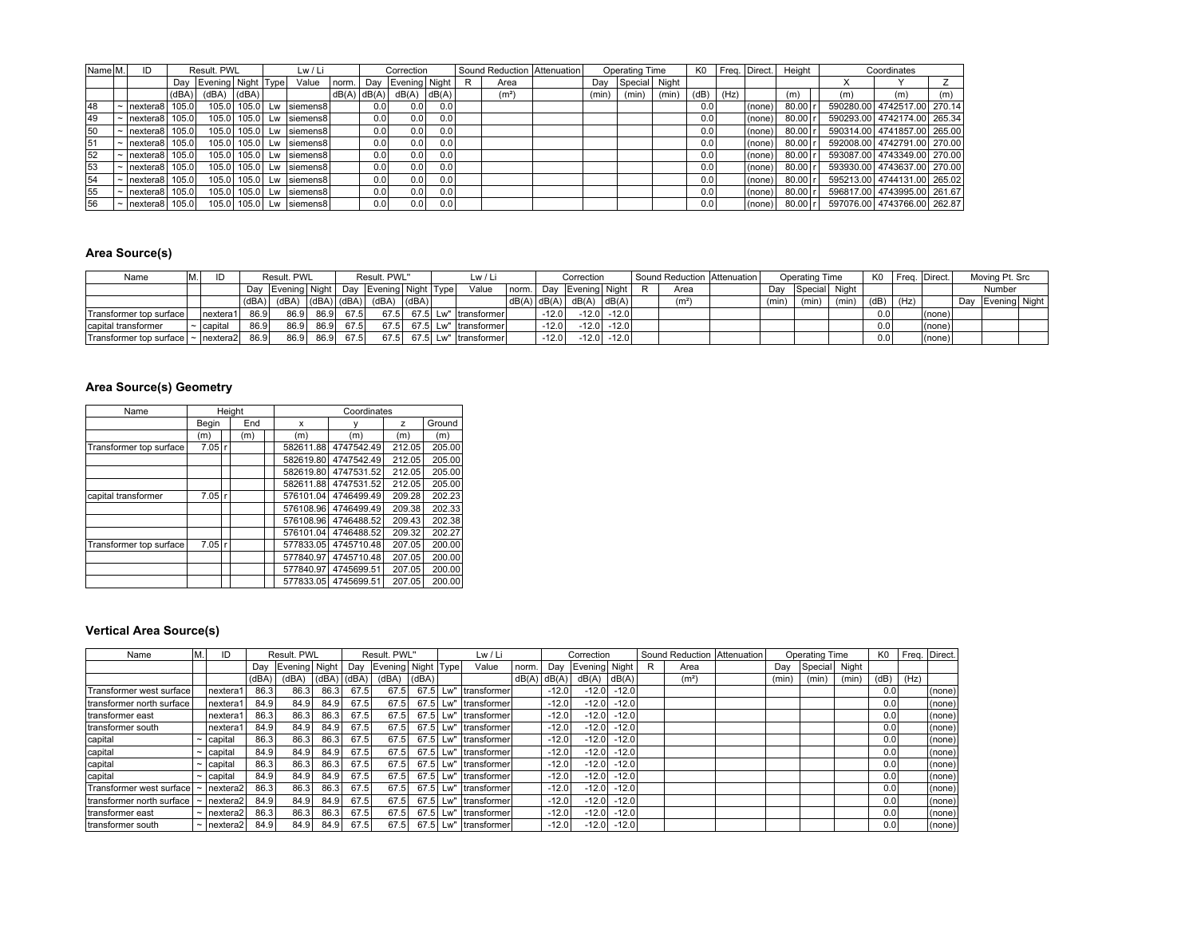| Name M. | ID                       |       | Result, PWL            |       | Lw / Li                     |             |      | Correction    |     | Sound Reduction   Attenuation |       | Operating Time |       | K <sub>0</sub> |      | Freq. Direct. | Height |     | Coordinates                 |     |
|---------|--------------------------|-------|------------------------|-------|-----------------------------|-------------|------|---------------|-----|-------------------------------|-------|----------------|-------|----------------|------|---------------|--------|-----|-----------------------------|-----|
|         |                          |       | Day Evening Night Type |       | Value                       | norm        | Day  | Evening Night |     | Area                          | Dav   | Special Night  |       |                |      |               |        |     |                             |     |
|         |                          | (dBA) | (dBA)                  | (dBA) |                             | dB(A) dB(A) |      | dB(A)  dB(A)  |     | (m <sup>2</sup> )             | (min) | (min)          | (min) | (dB)           | (Hz) |               | (m)    | (m) | (m)                         | (m) |
| 48      | Inextera8                | 105.0 |                        |       | 105.0   105.0 Lw   siemens8 |             | 0.01 | 0.0           | 0.0 |                               |       |                |       | 0.01           |      | (none)        | 80.00  |     | 590280.00 4742517.00 270.14 |     |
| 49      | Inextera8                | 105.0 |                        |       | 105.0   105.0 Lw   siemens8 |             | 0.01 | 0.0           | 0.0 |                               |       |                |       | 0.01           |      | (none)        | 80.00  |     | 590293.00 4742174.00 265.34 |     |
| 50      | $\sim$  nextera8  105.0  |       |                        |       | 105.0   105.0 Lw   siemens8 |             | 0.0  | 0.0           | 0.0 |                               |       |                |       | 0.01           |      | (none)        | 80.00  |     | 590314.00 4741857.00 265.00 |     |
| 51      | $\sim$  nextera8  105.0  |       |                        |       | 105.0 105.0 Lw   siemens8   |             | 0.0  | 0.0           | 0.0 |                               |       |                |       | 0.0            |      | (none)        | 80.00  |     | 592008.00 4742791.00 270.00 |     |
| 52      | $\sim$  nextera8  105.0  |       |                        |       | 105.0 105.0 Lw siemens8     |             | 0.0  | 0.0           | 0.0 |                               |       |                |       | 0.0            |      | (none)        | 80.00  |     | 593087.00 4743349.00 270.00 |     |
| 53      | $\sim$  nextera8  105.0  |       |                        |       | 105.0 105.0 Lw   siemens8   |             | 0.0  | 0.0           | 0.0 |                               |       |                |       | 0.0            |      | (none)        | 80.00  |     | 593930.00 4743637.00 270.00 |     |
| 154     | $\sim$   nextera8        | 105.0 |                        |       | 105.0 105.0 Lw   siemens8   |             | 0.0  | 0.0           | 0.0 |                               |       |                |       | 0.0            |      | (none)        | 80.00  |     | 595213.00 4744131.00 265.02 |     |
| 155     | $\sim$   nextera8        | 105.0 |                        |       | 105.0 105.0 Lw   siemens8   |             | 0.0  | 0.0           | 0.0 |                               |       |                |       | 0.0            |      | (none)        | 80.00  |     | 596817.00 4743995.00 261.67 |     |
| 56      | $\sim$  nextera8   105.0 |       |                        |       | 105.0 105.0 Lw   siemens8   |             | 0.0  | 0.0           | 0.0 |                               |       |                |       | 0.0            |      | (none)        | 80.00  |     | 597076.00 4743766.00 262.87 |     |

#### **Area Source(s)**

| Name                                  |                |       | Result, PWL                                   |      |       | Result, PWL"           |           | Lw / Li                   |                 |         | Correction                 |                            |                   | Sound Reduction   Attenuation |       | Operating Time |       | K <sub>0</sub> |      | Freg. Direct. | Moving Pt. Src    |  |
|---------------------------------------|----------------|-------|-----------------------------------------------|------|-------|------------------------|-----------|---------------------------|-----------------|---------|----------------------------|----------------------------|-------------------|-------------------------------|-------|----------------|-------|----------------|------|---------------|-------------------|--|
|                                       |                |       | Dav Evening Night                             |      |       | Day Evening Night Type |           | Value                     |                 |         | Inorm.   Day Evening Night |                            | Area              |                               | Dav   | Special Night  |       |                |      |               | Number            |  |
|                                       |                | (dBA) | $\left  \right $ (dBA) $\left  \right $ (dBA) |      | (dBA) | (dBA)                  | $ $ (dBA) |                           | $dB(A)$ $dB(A)$ |         | dB(A)                      | $\cdot$ dB(A) <sub>1</sub> | (m <sup>2</sup> ) |                               | (min) | (min)          | (min) | (dB)           | (Hz) |               | Day Evening Night |  |
| Transformer top surface               | Inextera1      | 86.9  | 86.9                                          | 86.9 | 67.5  |                        |           | 67.5 67.5 Lw" transformer |                 | $-12.0$ |                            | $-12.0$ $-12.0$            |                   |                               |       |                |       | 0.0            |      | (none)        |                   |  |
| capital transformer                   | $\sim$ capital | 86.9  | 86.9                                          | 86.9 | 67.5  |                        |           | 67.5 67.5 Lw" transformer |                 | $-12.0$ |                            | $-12.0$ $-12.0$            |                   |                               |       |                |       | 0.01           |      | (none)        |                   |  |
| Transformer top surface  ~   nextera2 |                | 86.9  | 86.9                                          | 86.9 | 67.5  |                        |           | 67.5 67.5 Lw" transformer |                 | $-12.0$ |                            | $-12.0$ $-12.0$            |                   |                               |       |                |       | 0.0            |      | (none)        |                   |  |

#### **Area Source(s) Geometry**

| Name                    |          | Height |           | Coordinates |        |        |
|-------------------------|----------|--------|-----------|-------------|--------|--------|
|                         | Begin    | End    | x         |             | z      | Ground |
|                         | (m)      | (m)    | (m)       | (m)         | (m)    | (m)    |
| Transformer top surface | $7.05$ r |        | 582611.88 | 4747542.49  | 212.05 | 205.00 |
|                         |          |        | 582619.80 | 4747542.49  | 212.05 | 205.00 |
|                         |          |        | 582619.80 | 4747531.52  | 212.05 | 205.00 |
|                         |          |        | 582611.88 | 4747531.52  | 212.05 | 205.00 |
| capital transformer     | 7.05 r   |        | 576101.04 | 4746499.49  | 209.28 | 202.23 |
|                         |          |        | 576108.96 | 4746499.49  | 209.38 | 202.33 |
|                         |          |        | 576108.96 | 4746488.52  | 209.43 | 202.38 |
|                         |          |        | 576101.04 | 4746488.52  | 209.32 | 202.27 |
| Transformer top surface | $7.05$ r |        | 577833.05 | 4745710.48  | 207.05 | 200.00 |
|                         |          |        | 577840.97 | 4745710.48  | 207.05 | 200.00 |
|                         |          |        | 577840.97 | 4745699.51  | 207.05 | 200.00 |
|                         |          |        | 577833.05 | 4745699.51  | 207.05 | 200.00 |

## **Vertical Area Source(s)**

| Name                      |                       | ID         |       | Result, PWL   |       |       | Result. PWL"           |       |     | Lw / Li          |       |         | Correction    |         |   | Sound Reduction Attenuation |       | Operating Time |       | K <sub>0</sub> |      | Freq. Direct. |
|---------------------------|-----------------------|------------|-------|---------------|-------|-------|------------------------|-------|-----|------------------|-------|---------|---------------|---------|---|-----------------------------|-------|----------------|-------|----------------|------|---------------|
|                           |                       |            | Dav   | Evening Night |       | Dav   | Evening   Night   Type |       |     | Value            | norm. | Dav     | Evening Night |         | R | Area                        | Dav   | Special        | Night |                |      |               |
|                           |                       |            | (dBA) | (dBA)         | (dBA) | (dBA) | (dBA)                  | (dBA) |     |                  | dB(A) | dB(A)   | dB(A)         | dB(A)   |   | (m <sup>2</sup> )           | (min) | (min)          | (min) | (dB)           | (Hz) |               |
| Transformer west surface  |                       | nextera1   | 86.3  | 86.3          | 86.3  | 67.5  | 67.5                   | 67.5  | LW" | Itransformer     |       | $-12.0$ | $-12.0$       | $-12.0$ |   |                             |       |                |       | 0.0            |      | $ $ (none)    |
| transformer north surface |                       | nextera1   | 84.9  | 84.9          | 84.9  | 67.5  | 67.5                   | 67.5  | Lw" | Itransformer     |       | $-12.0$ | $-12.0$       | $-12.0$ |   |                             |       |                |       | 0.0            |      | $ $ (none)    |
| Itransformer east         |                       | nextera1   | 86.3  | 86.3          | 86.3  | 67.5  | 67.5                   | 67.5  | Lw" | Itransformer     |       | $-12.0$ | $-12.0$       | $-12.0$ |   |                             |       |                |       | 0.0            |      | $ $ (none)    |
| transformer south         |                       | nextera1   | 84.9  | 84.9          | 84.9  | 67.5  | 67.5                   | 67.5  |     | Lw" transformer  |       | $-12.0$ | $-12.0$       | $-12.0$ |   |                             |       |                |       | 0.0            |      | $ $ (none)    |
| capital                   |                       | capital    | 86.3  | 86.3          | 86.3  | 67.5  | 67.5                   | 67.5  |     | Lw" transformer  |       | $-12.0$ | $-12.0$       | $-12.0$ |   |                             |       |                |       | 0.0            |      | $ $ (none)    |
| capital                   |                       | capital    | 84.9  | 84.9          | 84.9  | 67.5  | 67.5                   | 67.5  |     | Lw" transformer  |       | $-12.0$ | $-12.0$       | $-12.0$ |   |                             |       |                |       | 0.0            |      | (none)        |
| capital                   |                       | capital    | 86.3  | 86.3          | 86.3  | 67.5  | 67.5                   | 67.5  |     | Lw" transformer  |       | $-12.0$ | $-12.0$       | $-12.0$ |   |                             |       |                |       | 0.0            |      | (none)        |
| capital                   | $\tilde{\phantom{a}}$ | capital    | 84.9  | 84.9          | 84.9  | 67.5  | 67.5                   | 67.5  |     | Lw" Itransformer |       | $-12.0$ | $-12.0$       | $-12.0$ |   |                             |       |                |       | 0.0            |      | $ $ (none)    |
| Transformer west surface  |                       | nextera2   | 86.3  | 86.3          | 86.3  | 67.5  | 67.5                   | 67.5  |     | Lw"  transformer |       | $-12.0$ | $-12.0$       | $-12.0$ |   |                             |       |                |       | 0.0            |      | $ $ (none)    |
| transformer north surface |                       | nextera2 l | 84.9  | 84.9          | 84.9  | 67.5  | 67.5                   | 67.5  |     | Lw" Itransformer |       | $-12.0$ | $-12.0$       | $-12.0$ |   |                             |       |                |       | 0.0            |      | $ $ (none)    |
| Itransformer east         | $\tilde{\phantom{a}}$ | nextera2l  | 86.3  | 86.3          | 86.3  | 67.5  | 67.5                   | 67.5  |     | Lw" Itransformer |       | $-12.0$ | $-12.0$       | $-12.0$ |   |                             |       |                |       | 0.0            |      | $ $ (none)    |
| Itransformer south        | $\tilde{\phantom{a}}$ | nextera2l  | 84.9  | 84.9          | 84.9  | 67.5  | 67.5                   | 67.5  | Lw" | Itransformer     |       | $-12.0$ | $-12.0$       | $-12.0$ |   |                             |       |                |       | 0.0            |      | $ $ (none)    |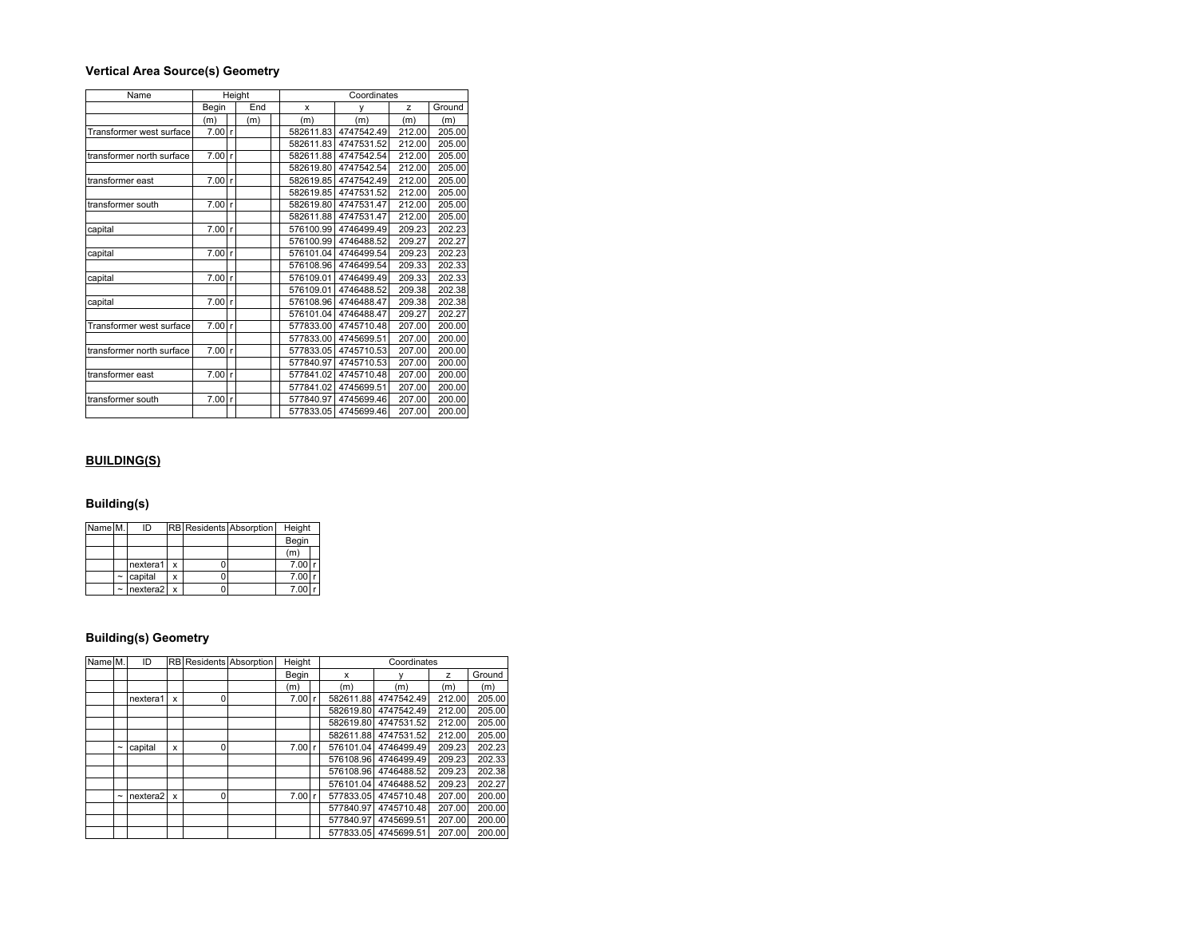#### **Vertical Area Source(s) Geometry**

| Name                      |        |              | Height |           | Coordinates |        |        |
|---------------------------|--------|--------------|--------|-----------|-------------|--------|--------|
|                           | Begin  |              | End    | x         | ٧           | z      | Ground |
|                           | (m)    |              | (m)    | (m)       | (m)         | (m)    | (m)    |
| Transformer west surface  | 7.00   | r            |        | 582611.83 | 4747542.49  | 212.00 | 205.00 |
|                           |        |              |        | 582611.83 | 4747531.52  | 212.00 | 205.00 |
| transformer north surface | 7.00   | $\mathbf{r}$ |        | 582611.88 | 4747542.54  | 212.00 | 205.00 |
|                           |        |              |        | 582619.80 | 4747542.54  | 212.00 | 205.00 |
| transformer east          | 7.00   | l r          |        | 582619.85 | 4747542.49  | 212.00 | 205.00 |
|                           |        |              |        | 582619.85 | 4747531.52  | 212.00 | 205.00 |
| transformer south         | 7.00   | $\mathsf{r}$ |        | 582619.80 | 4747531.47  | 212.00 | 205.00 |
|                           |        |              |        | 582611.88 | 4747531.47  | 212.00 | 205.00 |
| capital                   | 7.00   | l r          |        | 576100.99 | 4746499.49  | 209.23 | 202.23 |
|                           |        |              |        | 576100.99 | 4746488.52  | 209.27 | 202.27 |
| capital                   | 7.00   | $\mathsf{r}$ |        | 576101.04 | 4746499.54  | 209.23 | 202.23 |
|                           |        |              |        | 576108.96 | 4746499.54  | 209.33 | 202.33 |
| capital                   | 7.00   | l r          |        | 576109.01 | 4746499.49  | 209.33 | 202.33 |
|                           |        |              |        | 576109.01 | 4746488.52  | 209.38 | 202.38 |
| capital                   | 7.00   | $\mathsf{r}$ |        | 576108.96 | 4746488.47  | 209.38 | 202.38 |
|                           |        |              |        | 576101.04 | 4746488.47  | 209.27 | 202.27 |
| Transformer west surface  | 7.00 r |              |        | 577833.00 | 4745710.48  | 207.00 | 200.00 |
|                           |        |              |        | 577833.00 | 4745699.51  | 207.00 | 200.00 |
| transformer north surface | 7.00 r |              |        | 577833.05 | 4745710.53  | 207.00 | 200.00 |
|                           |        |              |        | 577840.97 | 4745710.53  | 207.00 | 200.00 |
| transformer east          | 7.00 r |              |        | 577841.02 | 4745710.48  | 207.00 | 200.00 |
|                           |        |              |        | 577841.02 | 4745699.51  | 207.00 | 200.00 |
| transformer south         | 7.00 r |              |        | 577840.97 | 4745699.46  | 207.00 | 200.00 |
|                           |        |              |        | 577833.05 | 4745699.46  | 207.00 | 200.00 |

## **BUILDING(S)**

#### **Building(s)**

| Name M. |                       | ID                   |                           | RB Residents Absorption | Height |  |
|---------|-----------------------|----------------------|---------------------------|-------------------------|--------|--|
|         |                       |                      |                           |                         | Begin  |  |
|         |                       |                      |                           |                         | (m)    |  |
|         |                       | nextera1             | x                         |                         | 7.00   |  |
|         | $\tilde{ }$           | capital              | x                         |                         | 7.00   |  |
|         | $\tilde{\phantom{a}}$ | nextera <sub>2</sub> | $\boldsymbol{\mathsf{x}}$ |                         | 7.00   |  |

# **Building(s) Geometry**

| Name <sub>M.</sub> |                       | ID                   |   |   | RB Residents Absorption | Height |   | Coordinates |            |        |        |  |  |  |
|--------------------|-----------------------|----------------------|---|---|-------------------------|--------|---|-------------|------------|--------|--------|--|--|--|
|                    |                       |                      |   |   |                         | Begin  |   | x           |            | z      | Ground |  |  |  |
|                    |                       |                      |   |   |                         | (m)    |   | (m)         | (m)        | (m)    | (m)    |  |  |  |
|                    |                       | nextera1             | x | 0 |                         | 7.00   | r | 582611.88   | 4747542.49 | 212.00 | 205.00 |  |  |  |
|                    |                       |                      |   |   |                         |        |   | 582619.80   | 4747542.49 | 212.00 | 205.00 |  |  |  |
|                    |                       |                      |   |   |                         |        |   | 582619.80   | 4747531.52 | 212.00 | 205.00 |  |  |  |
|                    |                       |                      |   |   |                         |        |   | 582611.88   | 4747531.52 | 212.00 | 205.00 |  |  |  |
|                    | $\tilde{\phantom{a}}$ | capital              | x | 0 |                         | 7.00   | r | 576101.04   | 4746499.49 | 209.23 | 202.23 |  |  |  |
|                    |                       |                      |   |   |                         |        |   | 576108.96   | 4746499.49 | 209.23 | 202.33 |  |  |  |
|                    |                       |                      |   |   |                         |        |   | 576108.96   | 4746488.52 | 209.23 | 202.38 |  |  |  |
|                    |                       |                      |   |   |                         |        |   | 576101.04   | 4746488.52 | 209.23 | 202.27 |  |  |  |
|                    | $\tilde{}$            | nextera <sub>2</sub> | x | 0 |                         | 7.00   | r | 577833.05   | 4745710.48 | 207.00 | 200.00 |  |  |  |
|                    |                       |                      |   |   |                         |        |   | 577840.97   | 4745710.48 | 207.00 | 200.00 |  |  |  |
|                    |                       |                      |   |   |                         |        |   | 577840.97   | 4745699.51 | 207.00 | 200.00 |  |  |  |
|                    |                       |                      |   |   |                         |        |   | 577833.05   | 4745699.51 | 207.00 | 200.00 |  |  |  |